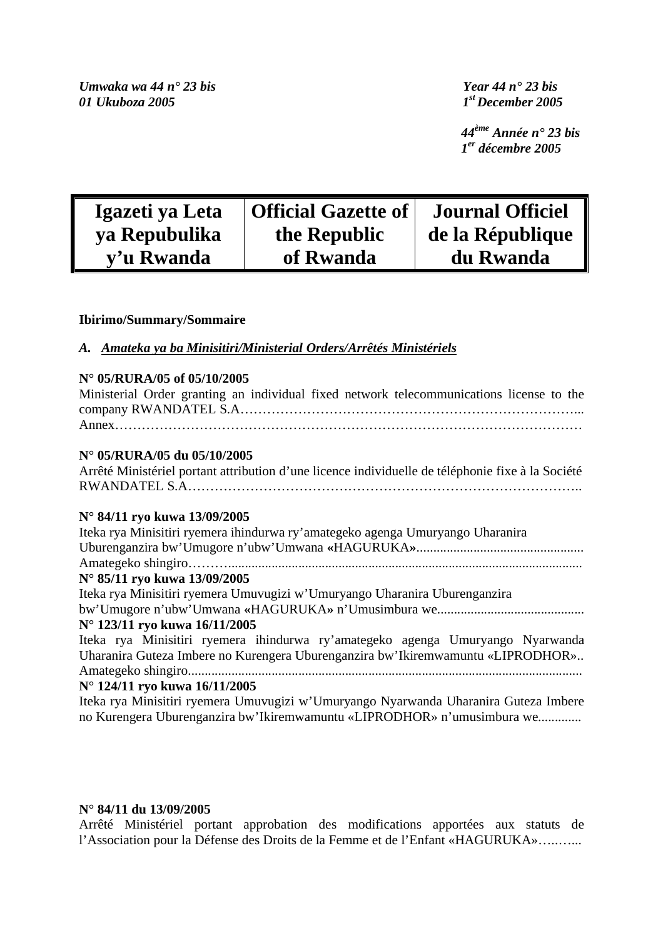*Umwaka wa 44 n° 23 bis Year 44 n° 23 bis 01 Ukuboza 2005 1st December 2005* 

 *44ème Année n° 23 bis 1er décembre 2005* 

| Igazeti ya Leta | Official Gazette of | <b>Journal Officiel</b> |
|-----------------|---------------------|-------------------------|
| ya Repubulika   | the Republic        | de la République        |
| y'u Rwanda      | of Rwanda           | du Rwanda               |

# **Ibirimo/Summary/Sommaire**

*A.**Amateka ya ba Minisitiri/Ministerial Orders/Arrêtés Ministériels*

# **N° 05/RURA/05 of 05/10/2005**

|  |  |  |  | Ministerial Order granting an individual fixed network telecommunications license to the |  |  |
|--|--|--|--|------------------------------------------------------------------------------------------|--|--|
|  |  |  |  |                                                                                          |  |  |
|  |  |  |  |                                                                                          |  |  |

# **N° 05/RURA/05 du 05/10/2005**

Arrêté Ministériel portant attribution d'une licence individuelle de téléphonie fixe à la Société RWANDATEL S.A……………………………………………………………………………..

# **N° 84/11 ryo kuwa 13/09/2005**

| Iteka rya Minisitiri ryemera ihindurwa ry'amategeko agenga Umuryango Uharanira       |
|--------------------------------------------------------------------------------------|
|                                                                                      |
|                                                                                      |
| N° 85/11 ryo kuwa 13/09/2005                                                         |
| Iteka rya Minisitiri ryemera Umuvugizi w'Umuryango Uharanira Uburenganzira           |
|                                                                                      |
| N° 123/11 ryo kuwa 16/11/2005                                                        |
| Iteka rya Minisitiri ryemera ihindurwa ry'amategeko agenga Umuryango Nyarwanda       |
| Uharanira Guteza Imbere no Kurengera Uburenganzira bw'Ikiremwamuntu «LIPRODHOR»      |
|                                                                                      |
| N° 124/11 ryo kuwa 16/11/2005                                                        |
| Iteka rya Minisitiri ryemera Umuvugizi w'Umuryango Nyarwanda Uharanira Guteza Imbere |
| no Kurengera Uburenganzira bw'Ikiremwamuntu «LIPRODHOR» n'umusimbura we              |

# **N° 84/11 du 13/09/2005**

Arrêté Ministériel portant approbation des modifications apportées aux statuts de l'Association pour la Défense des Droits de la Femme et de l'Enfant «HAGURUKA»…..…...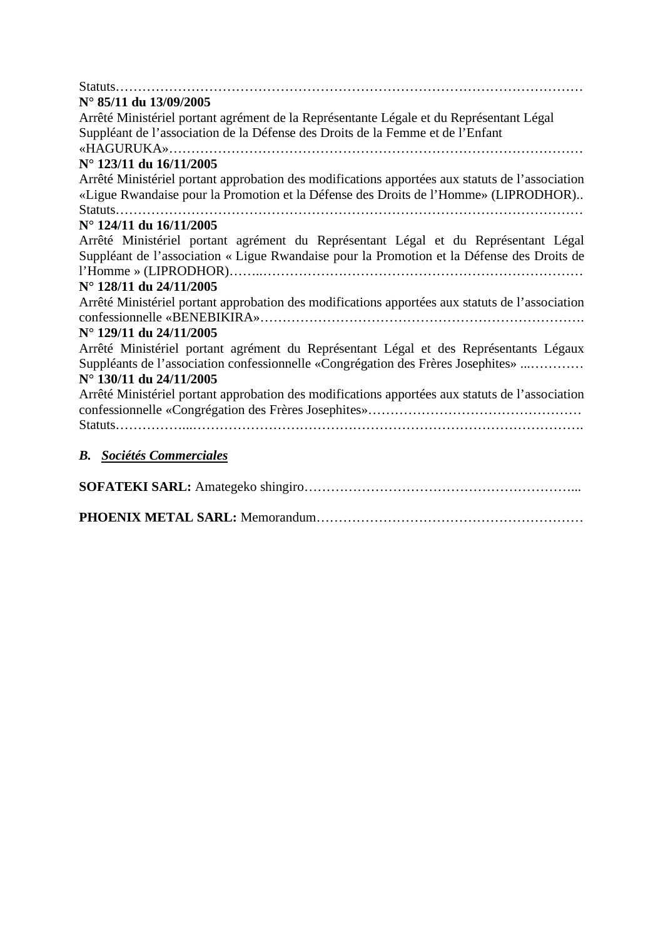| $N^{\circ}$ 85/11 du 13/09/2005                                                                 |
|-------------------------------------------------------------------------------------------------|
| Arrêté Ministériel portant agrément de la Représentante Légale et du Représentant Légal         |
| Suppléant de l'association de la Défense des Droits de la Femme et de l'Enfant                  |
|                                                                                                 |
| N° 123/11 du 16/11/2005                                                                         |
| Arrêté Ministériel portant approbation des modifications apportées aux statuts de l'association |
| «Ligue Rwandaise pour la Promotion et la Défense des Droits de l'Homme» (LIPRODHOR)             |
|                                                                                                 |
| N° 124/11 du 16/11/2005                                                                         |
| Arrêté Ministériel portant agrément du Représentant Légal et du Représentant Légal              |
| Suppléant de l'association « Ligue Rwandaise pour la Promotion et la Défense des Droits de      |
|                                                                                                 |
| N° 128/11 du 24/11/2005                                                                         |
| Arrêté Ministériel portant approbation des modifications apportées aux statuts de l'association |
| N° 129/11 du 24/11/2005                                                                         |
| Arrêté Ministériel portant agrément du Représentant Légal et des Représentants Légaux           |
| Suppléants de l'association confessionnelle «Congrégation des Frères Josephites»                |
| N° 130/11 du 24/11/2005                                                                         |
| Arrêté Ministériel portant approbation des modifications apportées aux statuts de l'association |
|                                                                                                 |
|                                                                                                 |
|                                                                                                 |
| <b>B.</b> Sociétés Commerciales                                                                 |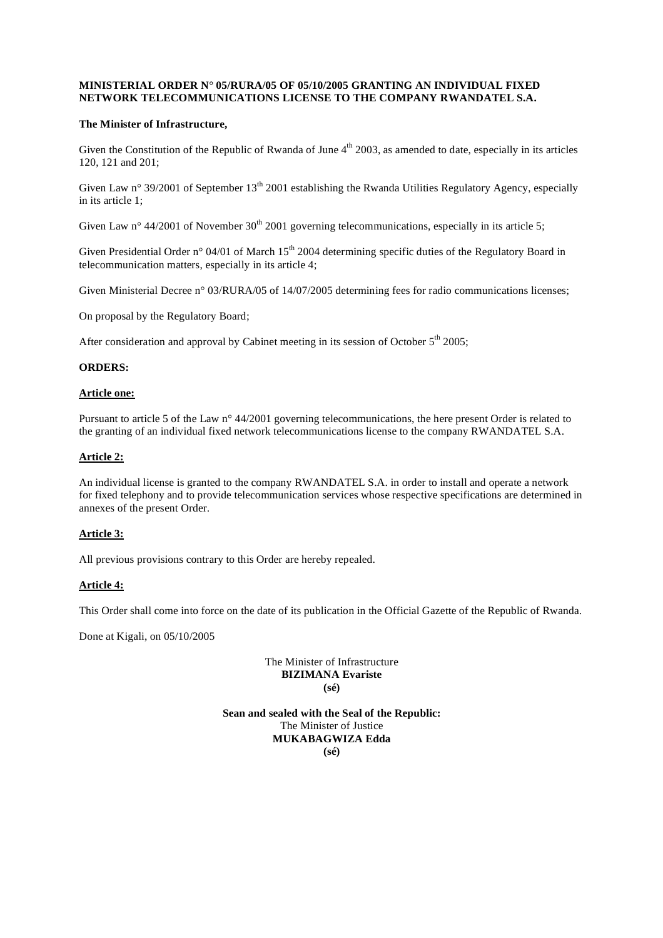# **MINISTERIAL ORDER N° 05/RURA/05 OF 05/10/2005 GRANTING AN INDIVIDUAL FIXED NETWORK TELECOMMUNICATIONS LICENSE TO THE COMPANY RWANDATEL S.A.**

# **The Minister of Infrastructure,**

Given the Constitution of the Republic of Rwanda of June  $4<sup>th</sup>$  2003, as amended to date, especially in its articles 120, 121 and 201;

Given Law n° 39/2001 of September 13<sup>th</sup> 2001 establishing the Rwanda Utilities Regulatory Agency, especially in its article 1;

Given Law n° 44/2001 of November  $30<sup>th</sup>$  2001 governing telecommunications, especially in its article 5;

Given Presidential Order n° 04/01 of March 15<sup>th</sup> 2004 determining specific duties of the Regulatory Board in telecommunication matters, especially in its article 4;

Given Ministerial Decree n° 03/RURA/05 of 14/07/2005 determining fees for radio communications licenses;

On proposal by the Regulatory Board;

After consideration and approval by Cabinet meeting in its session of October  $5<sup>th</sup>$  2005;

### **ORDERS:**

#### **Article one:**

Pursuant to article 5 of the Law n° 44/2001 governing telecommunications, the here present Order is related to the granting of an individual fixed network telecommunications license to the company RWANDATEL S.A.

### **Article 2:**

An individual license is granted to the company RWANDATEL S.A. in order to install and operate a network for fixed telephony and to provide telecommunication services whose respective specifications are determined in annexes of the present Order.

# **Article 3:**

All previous provisions contrary to this Order are hereby repealed.

#### **Article 4:**

This Order shall come into force on the date of its publication in the Official Gazette of the Republic of Rwanda.

Done at Kigali, on 05/10/2005

The Minister of Infrastructure **BIZIMANA Evariste (sé)** 

**Sean and sealed with the Seal of the Republic:**  The Minister of Justice **MUKABAGWIZA Edda (sé)**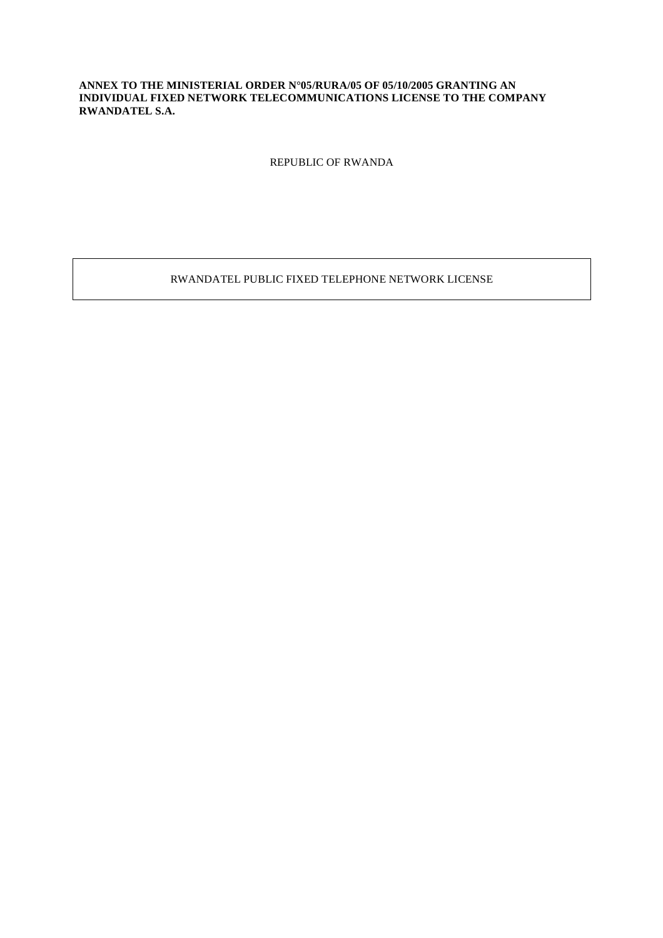# **ANNEX TO THE MINISTERIAL ORDER N°05/RURA/05 OF 05/10/2005 GRANTING AN INDIVIDUAL FIXED NETWORK TELECOMMUNICATIONS LICENSE TO THE COMPANY RWANDATEL S.A.**

REPUBLIC OF RWANDA

RWANDATEL PUBLIC FIXED TELEPHONE NETWORK LICENSE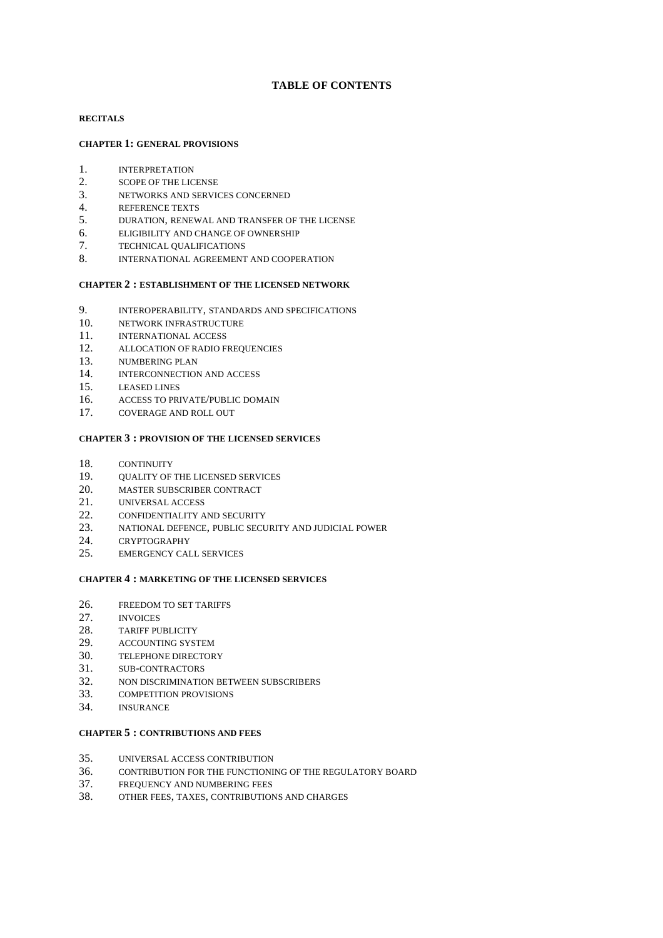# **TABLE OF CONTENTS**

### **RECITALS**

### **CHAPTER 1: GENERAL PROVISIONS**

- 1. INTERPRETATION
- 2. SCOPE OF THE LICENSE
- 3. NETWORKS AND SERVICES CONCERNED
- 4. REFERENCE TEXTS
- 5. DURATION, RENEWAL AND TRANSFER OF THE LICENSE
- 6. ELIGIBILITY AND CHANGE OF OWNERSHIP
- 7. TECHNICAL QUALIFICATIONS
- 8. INTERNATIONAL AGREEMENT AND COOPERATION

#### **CHAPTER 2 : ESTABLISHMENT OF THE LICENSED NETWORK**

- 9. INTEROPERABILITY, STANDARDS AND SPECIFICATIONS
- 10. NETWORK INFRASTRUCTURE
- 11. INTERNATIONAL ACCESS
- 12. ALLOCATION OF RADIO FREQUENCIES
- 13. NUMBERING PLAN
- 14. INTERCONNECTION AND ACCESS
- 15. LEASED LINES
- 16. ACCESS TO PRIVATE/PUBLIC DOMAIN
- 17. COVERAGE AND ROLL OUT

#### **CHAPTER 3 : PROVISION OF THE LICENSED SERVICES**

- 18. CONTINUITY
- 19. QUALITY OF THE LICENSED SERVICES
- 20. MASTER SUBSCRIBER CONTRACT
- 21. UNIVERSAL ACCESS
- 22. CONFIDENTIALITY AND SECURITY
- 23. NATIONAL DEFENCE, PUBLIC SECURITY AND JUDICIAL POWER
- 24. CRYPTOGRAPHY
- 25. EMERGENCY CALL SERVICES

### **CHAPTER 4 : MARKETING OF THE LICENSED SERVICES**

- 26. FREEDOM TO SET TARIFFS
- 27. INVOICES
- 28. TARIFF PUBLICITY
- 29. ACCOUNTING SYSTEM
- 30. TELEPHONE DIRECTORY
- 31. SUB-CONTRACTORS
- 32. NON DISCRIMINATION BETWEEN SUBSCRIBERS
- 33. COMPETITION PROVISIONS
- 34. INSURANCE

#### **CHAPTER 5 : CONTRIBUTIONS AND FEES**

- 35. UNIVERSAL ACCESS CONTRIBUTION
- 36. CONTRIBUTION FOR THE FUNCTIONING OF THE REGULATORY BOARD
- 37. FREQUENCY AND NUMBERING FEES
- 38. OTHER FEES, TAXES, CONTRIBUTIONS AND CHARGES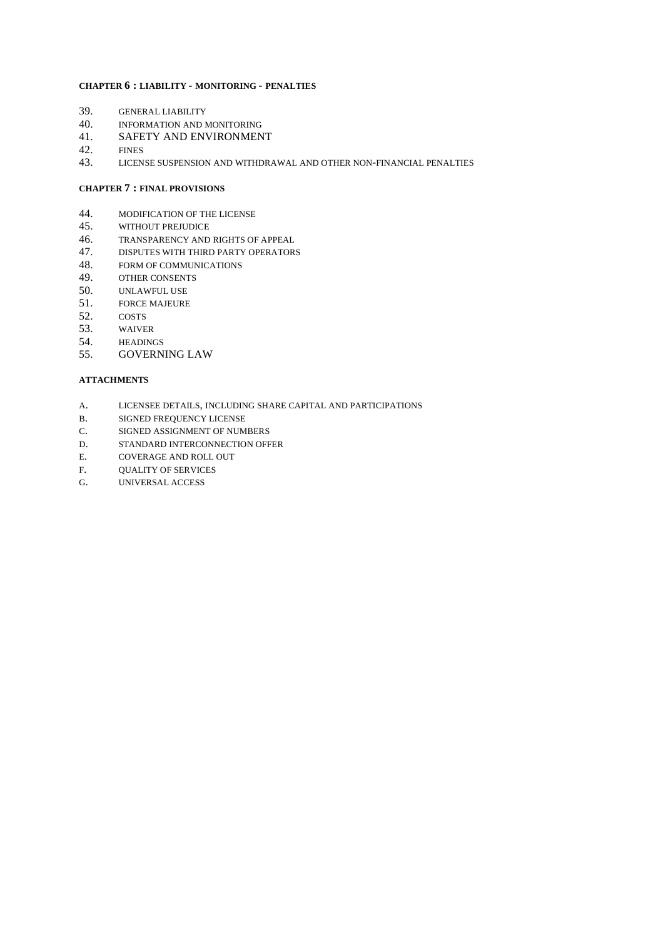#### **CHAPTER 6 : LIABILITY - MONITORING - PENALTIES**

- 39. GENERAL LIABILITY
- 40. INFORMATION AND MONITORING
- 41. SAFETY AND ENVIRONMENT
- 42. FINES
- 43. LICENSE SUSPENSION AND WITHDRAWAL AND OTHER NON-FINANCIAL PENALTIES

### **CHAPTER 7 : FINAL PROVISIONS**

- 44. MODIFICATION OF THE LICENSE<br>45. WITHOUT PREJUDICE
- 45. WITHOUT PREJUDICE
- 46. TRANSPARENCY AND RIGHTS OF APPEAL
- 47. DISPUTES WITH THIRD PARTY OPERATORS
- 48. FORM OF COMMUNICATIONS
- 49. OTHER CONSENTS
- 50. UNLAWFUL USE
- 51. FORCE MAJEURE
- 52. COSTS
- 53. WAIVER
- 54. HEADINGS
- 55. GOVERNING LAW

#### **ATTACHMENTS**

- A. LICENSEE DETAILS, INCLUDING SHARE CAPITAL AND PARTICIPATIONS
- B. SIGNED FREQUENCY LICENSE
- C. SIGNED ASSIGNMENT OF NUMBERS
- D. STANDARD INTERCONNECTION OFFER
- E. COVERAGE AND ROLL OUT
- F. OUALITY OF SERVICES
- G. UNIVERSAL ACCESS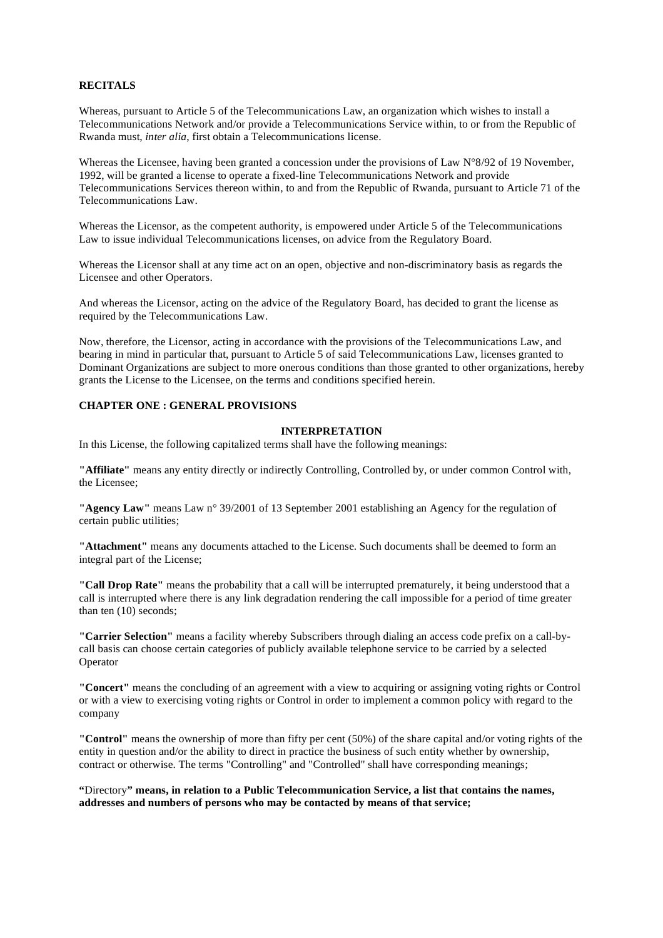## **RECITALS**

Whereas, pursuant to Article 5 of the Telecommunications Law, an organization which wishes to install a Telecommunications Network and/or provide a Telecommunications Service within, to or from the Republic of Rwanda must, *inter alia*, first obtain a Telecommunications license.

Whereas the Licensee, having been granted a concession under the provisions of Law  $N^{\circ}8/92$  of 19 November, 1992, will be granted a license to operate a fixed-line Telecommunications Network and provide Telecommunications Services thereon within, to and from the Republic of Rwanda, pursuant to Article 71 of the Telecommunications Law.

Whereas the Licensor, as the competent authority, is empowered under Article 5 of the Telecommunications Law to issue individual Telecommunications licenses, on advice from the Regulatory Board.

Whereas the Licensor shall at any time act on an open, objective and non-discriminatory basis as regards the Licensee and other Operators.

And whereas the Licensor, acting on the advice of the Regulatory Board, has decided to grant the license as required by the Telecommunications Law.

Now, therefore, the Licensor, acting in accordance with the provisions of the Telecommunications Law, and bearing in mind in particular that, pursuant to Article 5 of said Telecommunications Law, licenses granted to Dominant Organizations are subject to more onerous conditions than those granted to other organizations, hereby grants the License to the Licensee, on the terms and conditions specified herein.

# **CHAPTER ONE : GENERAL PROVISIONS**

### **INTERPRETATION**

In this License, the following capitalized terms shall have the following meanings:

**"Affiliate"** means any entity directly or indirectly Controlling, Controlled by, or under common Control with, the Licensee;

**"Agency Law"** means Law n° 39/2001 of 13 September 2001 establishing an Agency for the regulation of certain public utilities;

**"Attachment"** means any documents attached to the License. Such documents shall be deemed to form an integral part of the License;

**"Call Drop Rate"** means the probability that a call will be interrupted prematurely, it being understood that a call is interrupted where there is any link degradation rendering the call impossible for a period of time greater than ten (10) seconds;

**"Carrier Selection"** means a facility whereby Subscribers through dialing an access code prefix on a call-bycall basis can choose certain categories of publicly available telephone service to be carried by a selected Operator

**"Concert"** means the concluding of an agreement with a view to acquiring or assigning voting rights or Control or with a view to exercising voting rights or Control in order to implement a common policy with regard to the company

**"Control"** means the ownership of more than fifty per cent (50%) of the share capital and/or voting rights of the entity in question and/or the ability to direct in practice the business of such entity whether by ownership, contract or otherwise. The terms "Controlling" and "Controlled" shall have corresponding meanings;

**"**Directory**" means, in relation to a Public Telecommunication Service, a list that contains the names, addresses and numbers of persons who may be contacted by means of that service;**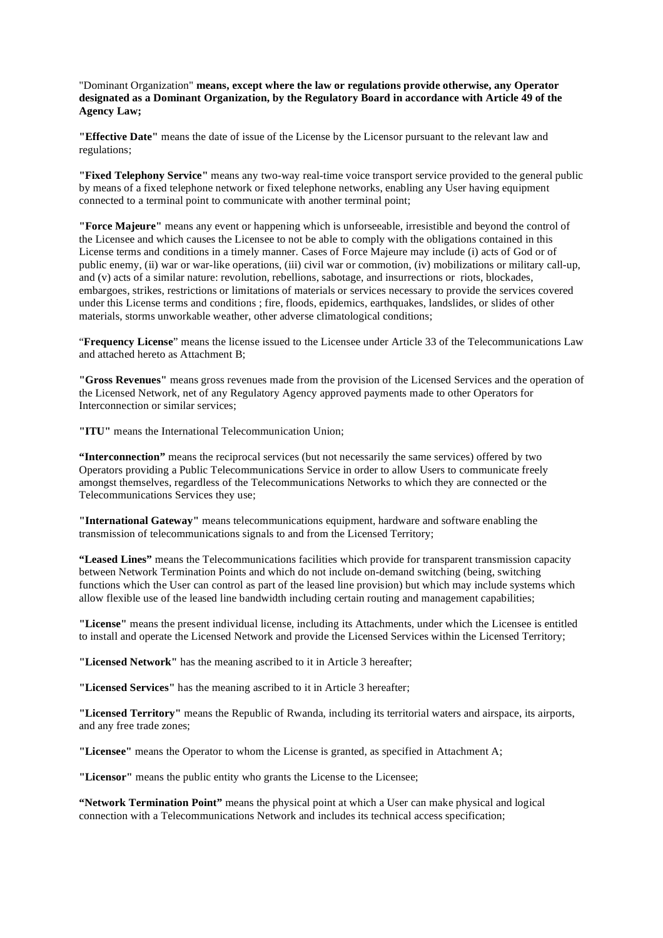"Dominant Organization" **means, except where the law or regulations provide otherwise, any Operator designated as a Dominant Organization, by the Regulatory Board in accordance with Article 49 of the Agency Law;** 

**"Effective Date"** means the date of issue of the License by the Licensor pursuant to the relevant law and regulations;

**"Fixed Telephony Service"** means any two-way real-time voice transport service provided to the general public by means of a fixed telephone network or fixed telephone networks, enabling any User having equipment connected to a terminal point to communicate with another terminal point;

**"Force Majeure"** means any event or happening which is unforseeable, irresistible and beyond the control of the Licensee and which causes the Licensee to not be able to comply with the obligations contained in this License terms and conditions in a timely manner. Cases of Force Majeure may include (i) acts of God or of public enemy, (ii) war or war-like operations, (iii) civil war or commotion, (iv) mobilizations or military call-up, and (v) acts of a similar nature: revolution, rebellions, sabotage, and insurrections or riots, blockades, embargoes, strikes, restrictions or limitations of materials or services necessary to provide the services covered under this License terms and conditions ; fire, floods, epidemics, earthquakes, landslides, or slides of other materials, storms unworkable weather, other adverse climatological conditions;

"**Frequency License**" means the license issued to the Licensee under Article 33 of the Telecommunications Law and attached hereto as Attachment B;

**"Gross Revenues"** means gross revenues made from the provision of the Licensed Services and the operation of the Licensed Network, net of any Regulatory Agency approved payments made to other Operators for Interconnection or similar services;

**"ITU"** means the International Telecommunication Union;

**"Interconnection"** means the reciprocal services (but not necessarily the same services) offered by two Operators providing a Public Telecommunications Service in order to allow Users to communicate freely amongst themselves, regardless of the Telecommunications Networks to which they are connected or the Telecommunications Services they use;

**"International Gateway"** means telecommunications equipment, hardware and software enabling the transmission of telecommunications signals to and from the Licensed Territory;

**"Leased Lines"** means the Telecommunications facilities which provide for transparent transmission capacity between Network Termination Points and which do not include on-demand switching (being, switching functions which the User can control as part of the leased line provision) but which may include systems which allow flexible use of the leased line bandwidth including certain routing and management capabilities;

**"License"** means the present individual license, including its Attachments, under which the Licensee is entitled to install and operate the Licensed Network and provide the Licensed Services within the Licensed Territory;

**"Licensed Network"** has the meaning ascribed to it in Article 3 hereafter;

**"Licensed Services"** has the meaning ascribed to it in Article 3 hereafter;

**"Licensed Territory"** means the Republic of Rwanda, including its territorial waters and airspace, its airports, and any free trade zones;

**"Licensee"** means the Operator to whom the License is granted, as specified in Attachment A;

"Licensor" means the public entity who grants the License to the Licensee;

**"Network Termination Point"** means the physical point at which a User can make physical and logical connection with a Telecommunications Network and includes its technical access specification;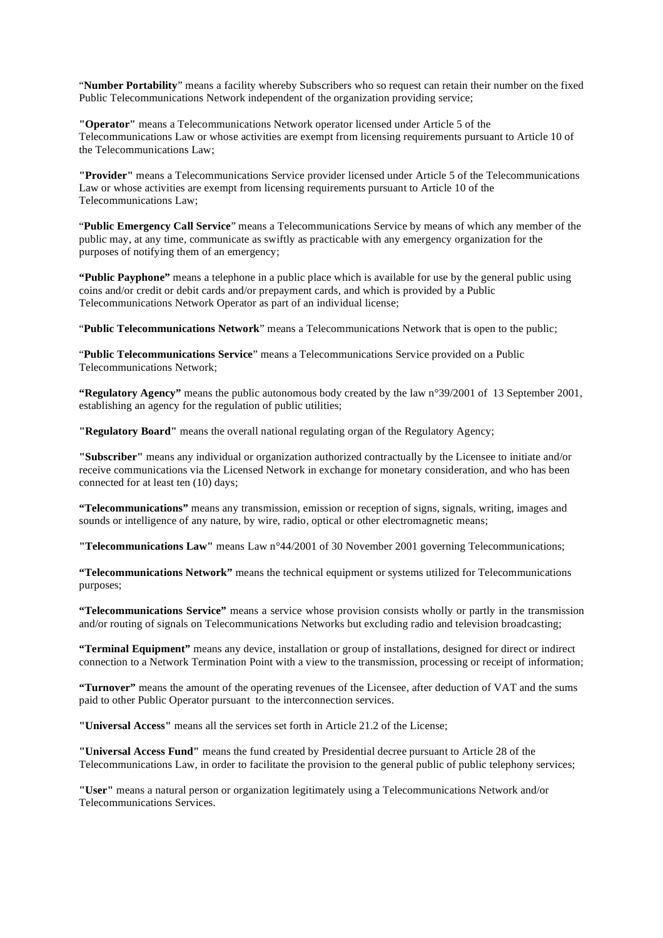"**Number Portability**" means a facility whereby Subscribers who so request can retain their number on the fixed Public Telecommunications Network independent of the organization providing service;

**"Operator"** means a Telecommunications Network operator licensed under Article 5 of the Telecommunications Law or whose activities are exempt from licensing requirements pursuant to Article 10 of the Telecommunications Law;

**"Provider"** means a Telecommunications Service provider licensed under Article 5 of the Telecommunications Law or whose activities are exempt from licensing requirements pursuant to Article 10 of the Telecommunications Law;

"**Public Emergency Call Service**" means a Telecommunications Service by means of which any member of the public may, at any time, communicate as swiftly as practicable with any emergency organization for the purposes of notifying them of an emergency;

**"Public Payphone"** means a telephone in a public place which is available for use by the general public using coins and/or credit or debit cards and/or prepayment cards, and which is provided by a Public Telecommunications Network Operator as part of an individual license;

"**Public Telecommunications Network**" means a Telecommunications Network that is open to the public;

"**Public Telecommunications Service**" means a Telecommunications Service provided on a Public Telecommunications Network;

**"Regulatory Agency"** means the public autonomous body created by the law n°39/2001 of 13 September 2001, establishing an agency for the regulation of public utilities;

**"Regulatory Board"** means the overall national regulating organ of the Regulatory Agency;

**"Subscriber"** means any individual or organization authorized contractually by the Licensee to initiate and/or receive communications via the Licensed Network in exchange for monetary consideration, and who has been connected for at least ten (10) days;

**"Telecommunications"** means any transmission, emission or reception of signs, signals, writing, images and sounds or intelligence of any nature, by wire, radio, optical or other electromagnetic means;

**"Telecommunications Law"** means Law n°44/2001 of 30 November 2001 governing Telecommunications;

**"Telecommunications Network"** means the technical equipment or systems utilized for Telecommunications purposes;

**"Telecommunications Service"** means a service whose provision consists wholly or partly in the transmission and/or routing of signals on Telecommunications Networks but excluding radio and television broadcasting;

**"Terminal Equipment"** means any device, installation or group of installations, designed for direct or indirect connection to a Network Termination Point with a view to the transmission, processing or receipt of information;

**"Turnover"** means the amount of the operating revenues of the Licensee, after deduction of VAT and the sums paid to other Public Operator pursuant to the interconnection services.

**"Universal Access"** means all the services set forth in Article 21.2 of the License;

**"Universal Access Fund"** means the fund created by Presidential decree pursuant to Article 28 of the Telecommunications Law, in order to facilitate the provision to the general public of public telephony services;

**"User"** means a natural person or organization legitimately using a Telecommunications Network and/or Telecommunications Services.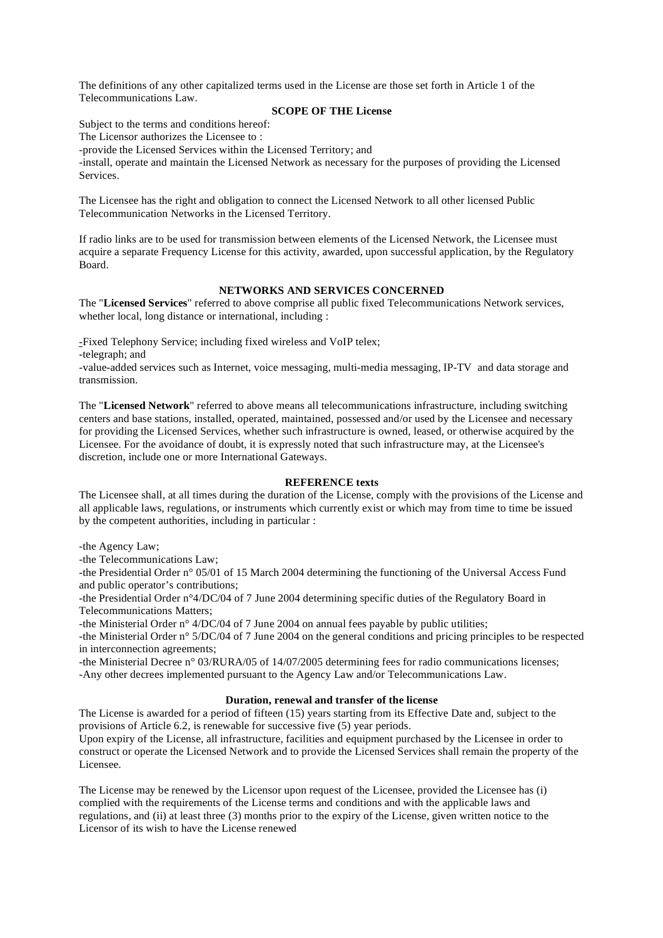The definitions of any other capitalized terms used in the License are those set forth in Article 1 of the Telecommunications Law.

### **SCOPE OF THE License**

Subject to the terms and conditions hereof:

The Licensor authorizes the Licensee to :

-provide the Licensed Services within the Licensed Territory; and -install, operate and maintain the Licensed Network as necessary for the purposes of providing the Licensed Services.

The Licensee has the right and obligation to connect the Licensed Network to all other licensed Public Telecommunication Networks in the Licensed Territory.

If radio links are to be used for transmission between elements of the Licensed Network, the Licensee must acquire a separate Frequency License for this activity, awarded, upon successful application, by the Regulatory Board.

# **NETWORKS AND SERVICES CONCERNED**

The "**Licensed Services**" referred to above comprise all public fixed Telecommunications Network services, whether local, long distance or international, including :

-Fixed Telephony Service; including fixed wireless and VoIP telex;

-telegraph; and

-value-added services such as Internet, voice messaging, multi-media messaging, IP-TV and data storage and transmission.

The "**Licensed Network**" referred to above means all telecommunications infrastructure, including switching centers and base stations, installed, operated, maintained, possessed and/or used by the Licensee and necessary for providing the Licensed Services, whether such infrastructure is owned, leased, or otherwise acquired by the Licensee. For the avoidance of doubt, it is expressly noted that such infrastructure may, at the Licensee's discretion, include one or more International Gateways.

# **REFERENCE texts**

The Licensee shall, at all times during the duration of the License, comply with the provisions of the License and all applicable laws, regulations, or instruments which currently exist or which may from time to time be issued by the competent authorities, including in particular :

-the Agency Law;

-the Telecommunications Law;

-the Presidential Order n° 05/01 of 15 March 2004 determining the functioning of the Universal Access Fund and public operator's contributions;

-the Presidential Order n°4/DC/04 of 7 June 2004 determining specific duties of the Regulatory Board in Telecommunications Matters;

-the Ministerial Order n° 4/DC/04 of 7 June 2004 on annual fees payable by public utilities;

-the Ministerial Order n° 5/DC/04 of 7 June 2004 on the general conditions and pricing principles to be respected in interconnection agreements;

-the Ministerial Decree n° 03/RURA/05 of 14/07/2005 determining fees for radio communications licenses; -Any other decrees implemented pursuant to the Agency Law and/or Telecommunications Law.

# **Duration, renewal and transfer of the license**

The License is awarded for a period of fifteen (15) years starting from its Effective Date and, subject to the provisions of Article 6.2, is renewable for successive five (5) year periods.

Upon expiry of the License, all infrastructure, facilities and equipment purchased by the Licensee in order to construct or operate the Licensed Network and to provide the Licensed Services shall remain the property of the Licensee.

The License may be renewed by the Licensor upon request of the Licensee, provided the Licensee has (i) complied with the requirements of the License terms and conditions and with the applicable laws and regulations, and (ii) at least three (3) months prior to the expiry of the License, given written notice to the Licensor of its wish to have the License renewed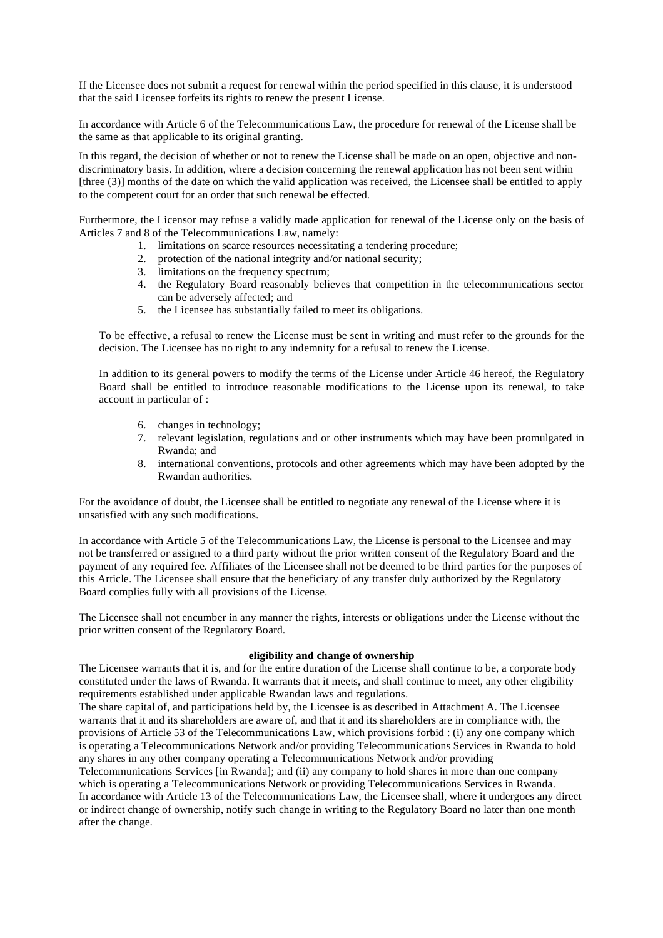If the Licensee does not submit a request for renewal within the period specified in this clause, it is understood that the said Licensee forfeits its rights to renew the present License.

In accordance with Article 6 of the Telecommunications Law, the procedure for renewal of the License shall be the same as that applicable to its original granting.

In this regard, the decision of whether or not to renew the License shall be made on an open, objective and nondiscriminatory basis. In addition, where a decision concerning the renewal application has not been sent within [three (3)] months of the date on which the valid application was received, the Licensee shall be entitled to apply to the competent court for an order that such renewal be effected.

Furthermore, the Licensor may refuse a validly made application for renewal of the License only on the basis of Articles 7 and 8 of the Telecommunications Law, namely:

- 1. limitations on scarce resources necessitating a tendering procedure;
- 2. protection of the national integrity and/or national security;
- 3. limitations on the frequency spectrum;
- 4. the Regulatory Board reasonably believes that competition in the telecommunications sector can be adversely affected; and
- 5. the Licensee has substantially failed to meet its obligations.

To be effective, a refusal to renew the License must be sent in writing and must refer to the grounds for the decision. The Licensee has no right to any indemnity for a refusal to renew the License.

In addition to its general powers to modify the terms of the License under Article 46 hereof, the Regulatory Board shall be entitled to introduce reasonable modifications to the License upon its renewal, to take account in particular of :

- 6. changes in technology;
- 7. relevant legislation, regulations and or other instruments which may have been promulgated in Rwanda; and
- 8. international conventions, protocols and other agreements which may have been adopted by the Rwandan authorities.

For the avoidance of doubt, the Licensee shall be entitled to negotiate any renewal of the License where it is unsatisfied with any such modifications.

In accordance with Article 5 of the Telecommunications Law, the License is personal to the Licensee and may not be transferred or assigned to a third party without the prior written consent of the Regulatory Board and the payment of any required fee. Affiliates of the Licensee shall not be deemed to be third parties for the purposes of this Article. The Licensee shall ensure that the beneficiary of any transfer duly authorized by the Regulatory Board complies fully with all provisions of the License.

The Licensee shall not encumber in any manner the rights, interests or obligations under the License without the prior written consent of the Regulatory Board.

#### **eligibility and change of ownership**

The Licensee warrants that it is, and for the entire duration of the License shall continue to be, a corporate body constituted under the laws of Rwanda. It warrants that it meets, and shall continue to meet, any other eligibility requirements established under applicable Rwandan laws and regulations.

The share capital of, and participations held by, the Licensee is as described in Attachment A. The Licensee warrants that it and its shareholders are aware of, and that it and its shareholders are in compliance with, the provisions of Article 53 of the Telecommunications Law, which provisions forbid : (i) any one company which is operating a Telecommunications Network and/or providing Telecommunications Services in Rwanda to hold any shares in any other company operating a Telecommunications Network and/or providing

Telecommunications Services [in Rwanda]; and (ii) any company to hold shares in more than one company which is operating a Telecommunications Network or providing Telecommunications Services in Rwanda. In accordance with Article 13 of the Telecommunications Law, the Licensee shall, where it undergoes any direct or indirect change of ownership, notify such change in writing to the Regulatory Board no later than one month after the change.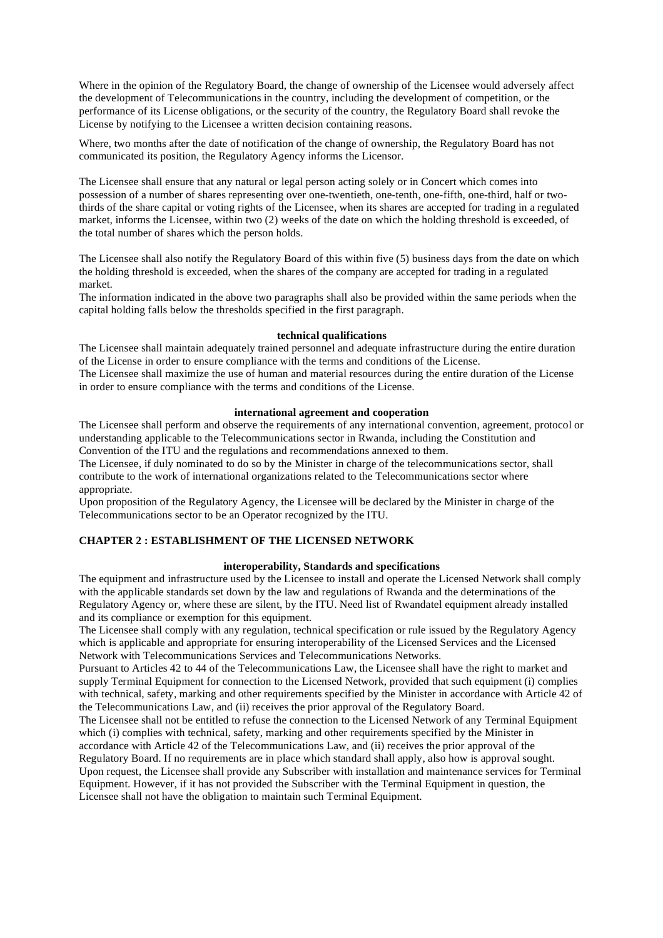Where in the opinion of the Regulatory Board, the change of ownership of the Licensee would adversely affect the development of Telecommunications in the country, including the development of competition, or the performance of its License obligations, or the security of the country, the Regulatory Board shall revoke the License by notifying to the Licensee a written decision containing reasons.

Where, two months after the date of notification of the change of ownership, the Regulatory Board has not communicated its position, the Regulatory Agency informs the Licensor.

The Licensee shall ensure that any natural or legal person acting solely or in Concert which comes into possession of a number of shares representing over one-twentieth, one-tenth, one-fifth, one-third, half or twothirds of the share capital or voting rights of the Licensee, when its shares are accepted for trading in a regulated market, informs the Licensee, within two (2) weeks of the date on which the holding threshold is exceeded, of the total number of shares which the person holds.

The Licensee shall also notify the Regulatory Board of this within five (5) business days from the date on which the holding threshold is exceeded, when the shares of the company are accepted for trading in a regulated market.

The information indicated in the above two paragraphs shall also be provided within the same periods when the capital holding falls below the thresholds specified in the first paragraph.

### **technical qualifications**

The Licensee shall maintain adequately trained personnel and adequate infrastructure during the entire duration of the License in order to ensure compliance with the terms and conditions of the License. The Licensee shall maximize the use of human and material resources during the entire duration of the License in order to ensure compliance with the terms and conditions of the License.

#### **international agreement and cooperation**

The Licensee shall perform and observe the requirements of any international convention, agreement, protocol or understanding applicable to the Telecommunications sector in Rwanda, including the Constitution and Convention of the ITU and the regulations and recommendations annexed to them.

The Licensee, if duly nominated to do so by the Minister in charge of the telecommunications sector, shall contribute to the work of international organizations related to the Telecommunications sector where appropriate.

Upon proposition of the Regulatory Agency, the Licensee will be declared by the Minister in charge of the Telecommunications sector to be an Operator recognized by the ITU.

### **CHAPTER 2 : ESTABLISHMENT OF THE LICENSED NETWORK**

# **interoperability, Standards and specifications**

The equipment and infrastructure used by the Licensee to install and operate the Licensed Network shall comply with the applicable standards set down by the law and regulations of Rwanda and the determinations of the Regulatory Agency or, where these are silent, by the ITU. Need list of Rwandatel equipment already installed and its compliance or exemption for this equipment.

The Licensee shall comply with any regulation, technical specification or rule issued by the Regulatory Agency which is applicable and appropriate for ensuring interoperability of the Licensed Services and the Licensed Network with Telecommunications Services and Telecommunications Networks.

Pursuant to Articles 42 to 44 of the Telecommunications Law, the Licensee shall have the right to market and supply Terminal Equipment for connection to the Licensed Network, provided that such equipment (i) complies with technical, safety, marking and other requirements specified by the Minister in accordance with Article 42 of the Telecommunications Law, and (ii) receives the prior approval of the Regulatory Board.

The Licensee shall not be entitled to refuse the connection to the Licensed Network of any Terminal Equipment which (i) complies with technical, safety, marking and other requirements specified by the Minister in accordance with Article 42 of the Telecommunications Law, and (ii) receives the prior approval of the Regulatory Board. If no requirements are in place which standard shall apply, also how is approval sought. Upon request, the Licensee shall provide any Subscriber with installation and maintenance services for Terminal Equipment. However, if it has not provided the Subscriber with the Terminal Equipment in question, the Licensee shall not have the obligation to maintain such Terminal Equipment.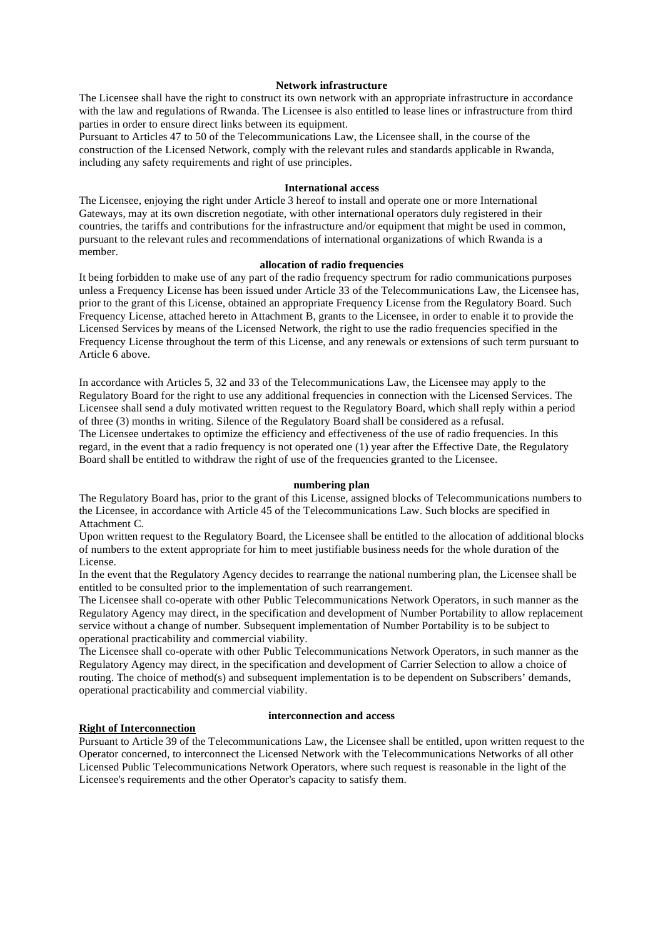### **Network infrastructure**

The Licensee shall have the right to construct its own network with an appropriate infrastructure in accordance with the law and regulations of Rwanda. The Licensee is also entitled to lease lines or infrastructure from third parties in order to ensure direct links between its equipment.

Pursuant to Articles 47 to 50 of the Telecommunications Law, the Licensee shall, in the course of the construction of the Licensed Network, comply with the relevant rules and standards applicable in Rwanda, including any safety requirements and right of use principles.

### **International access**

The Licensee, enjoying the right under Article 3 hereof to install and operate one or more International Gateways, may at its own discretion negotiate, with other international operators duly registered in their countries, the tariffs and contributions for the infrastructure and/or equipment that might be used in common, pursuant to the relevant rules and recommendations of international organizations of which Rwanda is a member.

#### **allocation of radio frequencies**

It being forbidden to make use of any part of the radio frequency spectrum for radio communications purposes unless a Frequency License has been issued under Article 33 of the Telecommunications Law, the Licensee has, prior to the grant of this License, obtained an appropriate Frequency License from the Regulatory Board. Such Frequency License, attached hereto in Attachment B, grants to the Licensee, in order to enable it to provide the Licensed Services by means of the Licensed Network, the right to use the radio frequencies specified in the Frequency License throughout the term of this License, and any renewals or extensions of such term pursuant to Article 6 above.

In accordance with Articles 5, 32 and 33 of the Telecommunications Law, the Licensee may apply to the Regulatory Board for the right to use any additional frequencies in connection with the Licensed Services. The Licensee shall send a duly motivated written request to the Regulatory Board, which shall reply within a period of three (3) months in writing. Silence of the Regulatory Board shall be considered as a refusal. The Licensee undertakes to optimize the efficiency and effectiveness of the use of radio frequencies. In this regard, in the event that a radio frequency is not operated one (1) year after the Effective Date, the Regulatory Board shall be entitled to withdraw the right of use of the frequencies granted to the Licensee.

#### **numbering plan**

The Regulatory Board has, prior to the grant of this License, assigned blocks of Telecommunications numbers to the Licensee, in accordance with Article 45 of the Telecommunications Law. Such blocks are specified in Attachment C.

Upon written request to the Regulatory Board, the Licensee shall be entitled to the allocation of additional blocks of numbers to the extent appropriate for him to meet justifiable business needs for the whole duration of the License.

In the event that the Regulatory Agency decides to rearrange the national numbering plan, the Licensee shall be entitled to be consulted prior to the implementation of such rearrangement.

The Licensee shall co-operate with other Public Telecommunications Network Operators, in such manner as the Regulatory Agency may direct, in the specification and development of Number Portability to allow replacement service without a change of number. Subsequent implementation of Number Portability is to be subject to operational practicability and commercial viability.

The Licensee shall co-operate with other Public Telecommunications Network Operators, in such manner as the Regulatory Agency may direct, in the specification and development of Carrier Selection to allow a choice of routing. The choice of method(s) and subsequent implementation is to be dependent on Subscribers' demands, operational practicability and commercial viability.

#### **Right of Interconnection**

#### **interconnection and access**

Pursuant to Article 39 of the Telecommunications Law, the Licensee shall be entitled, upon written request to the Operator concerned, to interconnect the Licensed Network with the Telecommunications Networks of all other Licensed Public Telecommunications Network Operators, where such request is reasonable in the light of the Licensee's requirements and the other Operator's capacity to satisfy them.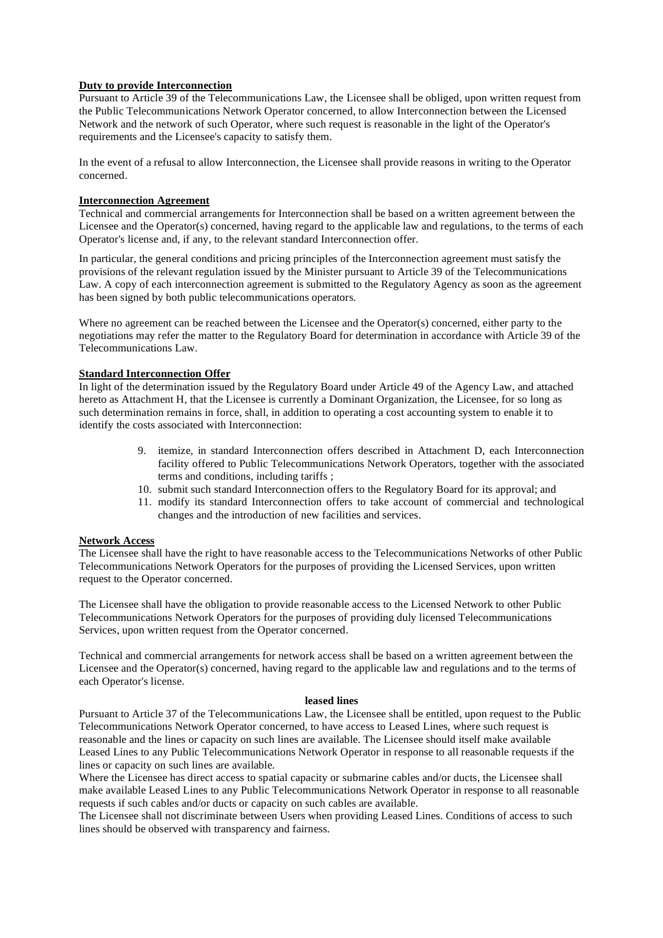# **Duty to provide Interconnection**

Pursuant to Article 39 of the Telecommunications Law, the Licensee shall be obliged, upon written request from the Public Telecommunications Network Operator concerned, to allow Interconnection between the Licensed Network and the network of such Operator, where such request is reasonable in the light of the Operator's requirements and the Licensee's capacity to satisfy them.

In the event of a refusal to allow Interconnection, the Licensee shall provide reasons in writing to the Operator concerned.

# **Interconnection Agreement**

Technical and commercial arrangements for Interconnection shall be based on a written agreement between the Licensee and the Operator(s) concerned, having regard to the applicable law and regulations, to the terms of each Operator's license and, if any, to the relevant standard Interconnection offer.

In particular, the general conditions and pricing principles of the Interconnection agreement must satisfy the provisions of the relevant regulation issued by the Minister pursuant to Article 39 of the Telecommunications Law. A copy of each interconnection agreement is submitted to the Regulatory Agency as soon as the agreement has been signed by both public telecommunications operators.

Where no agreement can be reached between the Licensee and the Operator(s) concerned, either party to the negotiations may refer the matter to the Regulatory Board for determination in accordance with Article 39 of the Telecommunications Law.

### **Standard Interconnection Offer**

In light of the determination issued by the Regulatory Board under Article 49 of the Agency Law, and attached hereto as Attachment H, that the Licensee is currently a Dominant Organization, the Licensee, for so long as such determination remains in force, shall, in addition to operating a cost accounting system to enable it to identify the costs associated with Interconnection:

- 9. itemize, in standard Interconnection offers described in Attachment D, each Interconnection facility offered to Public Telecommunications Network Operators, together with the associated terms and conditions, including tariffs ;
- 10. submit such standard Interconnection offers to the Regulatory Board for its approval; and
- 11. modify its standard Interconnection offers to take account of commercial and technological changes and the introduction of new facilities and services.

# **Network Access**

The Licensee shall have the right to have reasonable access to the Telecommunications Networks of other Public Telecommunications Network Operators for the purposes of providing the Licensed Services, upon written request to the Operator concerned.

The Licensee shall have the obligation to provide reasonable access to the Licensed Network to other Public Telecommunications Network Operators for the purposes of providing duly licensed Telecommunications Services, upon written request from the Operator concerned.

Technical and commercial arrangements for network access shall be based on a written agreement between the Licensee and the Operator(s) concerned, having regard to the applicable law and regulations and to the terms of each Operator's license.

# **leased lines**

Pursuant to Article 37 of the Telecommunications Law, the Licensee shall be entitled, upon request to the Public Telecommunications Network Operator concerned, to have access to Leased Lines, where such request is reasonable and the lines or capacity on such lines are available. The Licensee should itself make available Leased Lines to any Public Telecommunications Network Operator in response to all reasonable requests if the lines or capacity on such lines are available.

Where the Licensee has direct access to spatial capacity or submarine cables and/or ducts, the Licensee shall make available Leased Lines to any Public Telecommunications Network Operator in response to all reasonable requests if such cables and/or ducts or capacity on such cables are available.

The Licensee shall not discriminate between Users when providing Leased Lines. Conditions of access to such lines should be observed with transparency and fairness.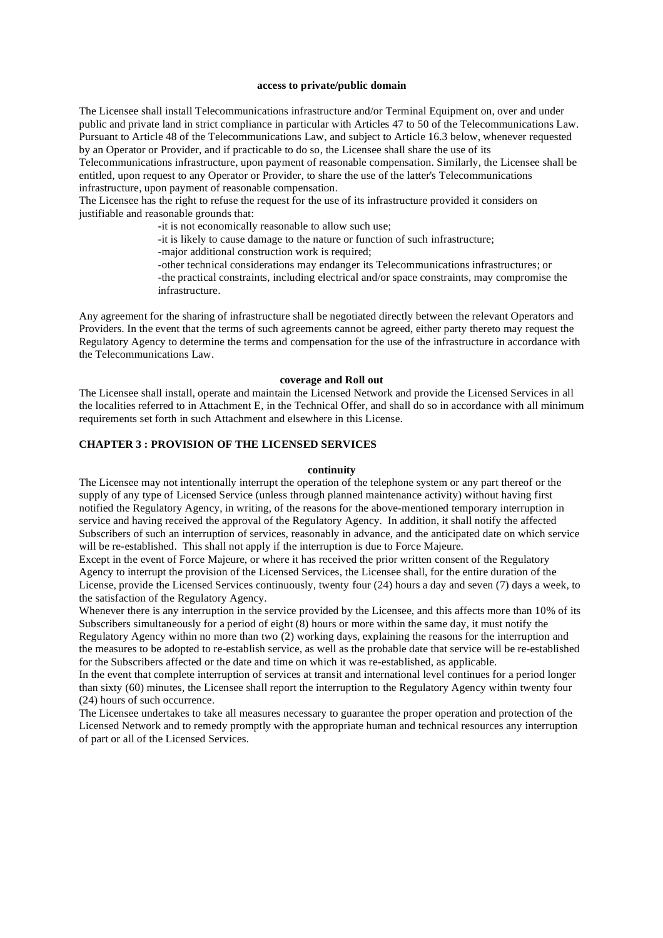#### **access to private/public domain**

The Licensee shall install Telecommunications infrastructure and/or Terminal Equipment on, over and under public and private land in strict compliance in particular with Articles 47 to 50 of the Telecommunications Law. Pursuant to Article 48 of the Telecommunications Law, and subject to Article 16.3 below, whenever requested by an Operator or Provider, and if practicable to do so, the Licensee shall share the use of its

Telecommunications infrastructure, upon payment of reasonable compensation. Similarly, the Licensee shall be entitled, upon request to any Operator or Provider, to share the use of the latter's Telecommunications infrastructure, upon payment of reasonable compensation.

The Licensee has the right to refuse the request for the use of its infrastructure provided it considers on justifiable and reasonable grounds that:

- -it is not economically reasonable to allow such use;
- -it is likely to cause damage to the nature or function of such infrastructure;
- -major additional construction work is required;

-other technical considerations may endanger its Telecommunications infrastructures; or -the practical constraints, including electrical and/or space constraints, may compromise the infrastructure.

Any agreement for the sharing of infrastructure shall be negotiated directly between the relevant Operators and Providers. In the event that the terms of such agreements cannot be agreed, either party thereto may request the Regulatory Agency to determine the terms and compensation for the use of the infrastructure in accordance with the Telecommunications Law.

#### **coverage and Roll out**

The Licensee shall install, operate and maintain the Licensed Network and provide the Licensed Services in all the localities referred to in Attachment E, in the Technical Offer, and shall do so in accordance with all minimum requirements set forth in such Attachment and elsewhere in this License.

## **CHAPTER 3 : PROVISION OF THE LICENSED SERVICES**

#### **continuity**

The Licensee may not intentionally interrupt the operation of the telephone system or any part thereof or the supply of any type of Licensed Service (unless through planned maintenance activity) without having first notified the Regulatory Agency, in writing, of the reasons for the above-mentioned temporary interruption in service and having received the approval of the Regulatory Agency. In addition, it shall notify the affected Subscribers of such an interruption of services, reasonably in advance, and the anticipated date on which service will be re-established. This shall not apply if the interruption is due to Force Majeure.

Except in the event of Force Majeure, or where it has received the prior written consent of the Regulatory Agency to interrupt the provision of the Licensed Services, the Licensee shall, for the entire duration of the License, provide the Licensed Services continuously, twenty four (24) hours a day and seven (7) days a week, to the satisfaction of the Regulatory Agency.

Whenever there is any interruption in the service provided by the Licensee, and this affects more than 10% of its Subscribers simultaneously for a period of eight (8) hours or more within the same day, it must notify the Regulatory Agency within no more than two (2) working days, explaining the reasons for the interruption and the measures to be adopted to re-establish service, as well as the probable date that service will be re-established for the Subscribers affected or the date and time on which it was re-established, as applicable.

In the event that complete interruption of services at transit and international level continues for a period longer than sixty (60) minutes, the Licensee shall report the interruption to the Regulatory Agency within twenty four (24) hours of such occurrence.

The Licensee undertakes to take all measures necessary to guarantee the proper operation and protection of the Licensed Network and to remedy promptly with the appropriate human and technical resources any interruption of part or all of the Licensed Services.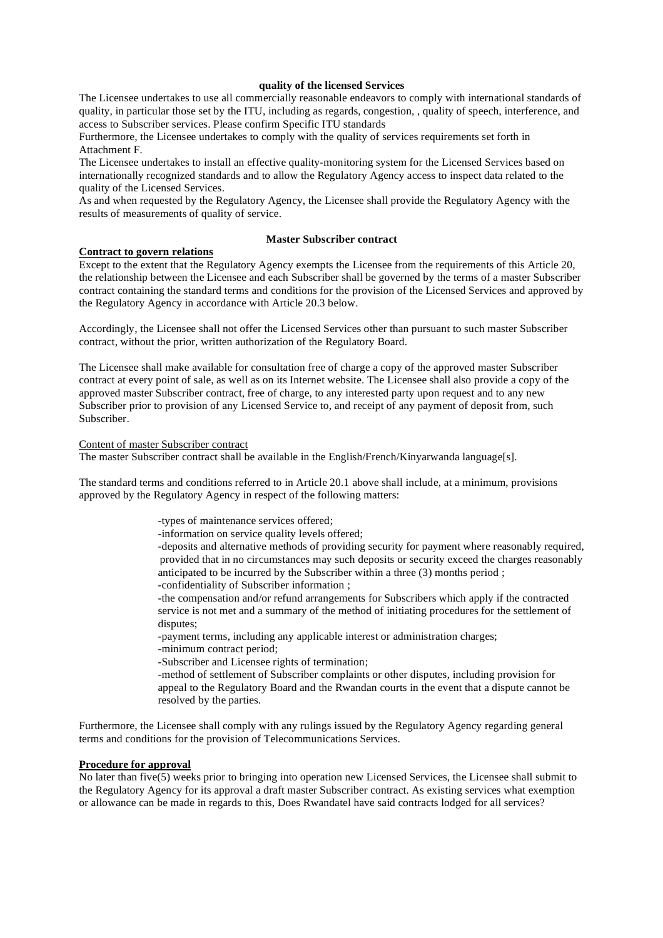### **quality of the licensed Services**

The Licensee undertakes to use all commercially reasonable endeavors to comply with international standards of quality, in particular those set by the ITU, including as regards, congestion, , quality of speech, interference, and access to Subscriber services. Please confirm Specific ITU standards

Furthermore, the Licensee undertakes to comply with the quality of services requirements set forth in Attachment F.

The Licensee undertakes to install an effective quality-monitoring system for the Licensed Services based on internationally recognized standards and to allow the Regulatory Agency access to inspect data related to the quality of the Licensed Services.

As and when requested by the Regulatory Agency, the Licensee shall provide the Regulatory Agency with the results of measurements of quality of service.

### **Master Subscriber contract**

#### **Contract to govern relations**

Except to the extent that the Regulatory Agency exempts the Licensee from the requirements of this Article 20, the relationship between the Licensee and each Subscriber shall be governed by the terms of a master Subscriber contract containing the standard terms and conditions for the provision of the Licensed Services and approved by the Regulatory Agency in accordance with Article 20.3 below.

Accordingly, the Licensee shall not offer the Licensed Services other than pursuant to such master Subscriber contract, without the prior, written authorization of the Regulatory Board.

The Licensee shall make available for consultation free of charge a copy of the approved master Subscriber contract at every point of sale, as well as on its Internet website. The Licensee shall also provide a copy of the approved master Subscriber contract, free of charge, to any interested party upon request and to any new Subscriber prior to provision of any Licensed Service to, and receipt of any payment of deposit from, such Subscriber.

### Content of master Subscriber contract

The master Subscriber contract shall be available in the English/French/Kinyarwanda language[s].

The standard terms and conditions referred to in Article 20.1 above shall include, at a minimum, provisions approved by the Regulatory Agency in respect of the following matters:

- -types of maintenance services offered;
- -information on service quality levels offered;

-deposits and alternative methods of providing security for payment where reasonably required, provided that in no circumstances may such deposits or security exceed the charges reasonably anticipated to be incurred by the Subscriber within a three (3) months period ; -confidentiality of Subscriber information ;

-the compensation and/or refund arrangements for Subscribers which apply if the contracted service is not met and a summary of the method of initiating procedures for the settlement of disputes;

-payment terms, including any applicable interest or administration charges;

- -minimum contract period;
- -Subscriber and Licensee rights of termination;

-method of settlement of Subscriber complaints or other disputes, including provision for appeal to the Regulatory Board and the Rwandan courts in the event that a dispute cannot be resolved by the parties.

Furthermore, the Licensee shall comply with any rulings issued by the Regulatory Agency regarding general terms and conditions for the provision of Telecommunications Services.

### **Procedure for approval**

No later than five(5) weeks prior to bringing into operation new Licensed Services, the Licensee shall submit to the Regulatory Agency for its approval a draft master Subscriber contract. As existing services what exemption or allowance can be made in regards to this, Does Rwandatel have said contracts lodged for all services?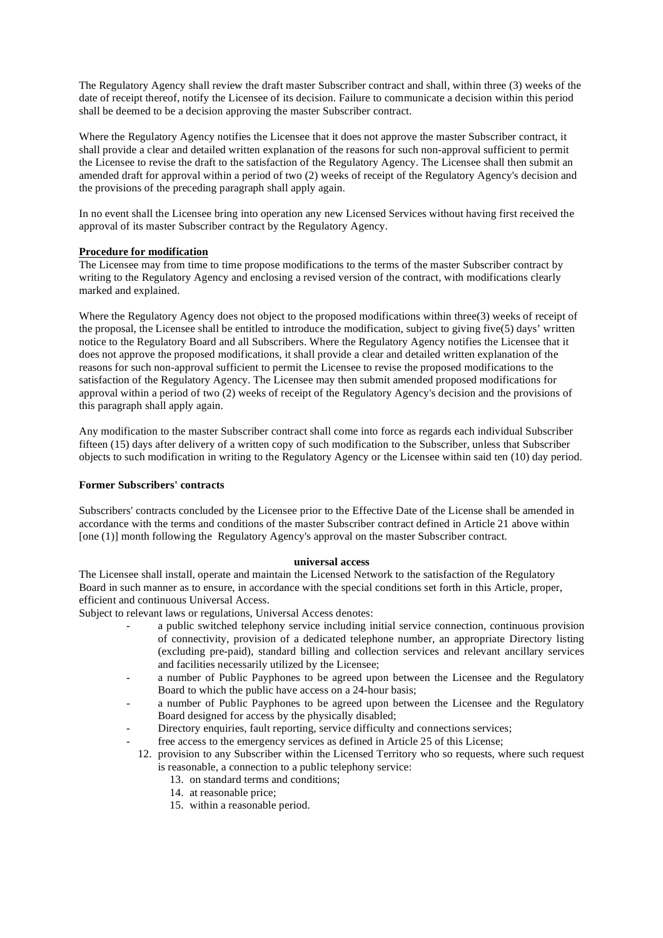The Regulatory Agency shall review the draft master Subscriber contract and shall, within three (3) weeks of the date of receipt thereof, notify the Licensee of its decision. Failure to communicate a decision within this period shall be deemed to be a decision approving the master Subscriber contract.

Where the Regulatory Agency notifies the Licensee that it does not approve the master Subscriber contract, it shall provide a clear and detailed written explanation of the reasons for such non-approval sufficient to permit the Licensee to revise the draft to the satisfaction of the Regulatory Agency. The Licensee shall then submit an amended draft for approval within a period of two (2) weeks of receipt of the Regulatory Agency's decision and the provisions of the preceding paragraph shall apply again.

In no event shall the Licensee bring into operation any new Licensed Services without having first received the approval of its master Subscriber contract by the Regulatory Agency.

### **Procedure for modification**

The Licensee may from time to time propose modifications to the terms of the master Subscriber contract by writing to the Regulatory Agency and enclosing a revised version of the contract, with modifications clearly marked and explained.

Where the Regulatory Agency does not object to the proposed modifications within three(3) weeks of receipt of the proposal, the Licensee shall be entitled to introduce the modification, subject to giving five(5) days' written notice to the Regulatory Board and all Subscribers. Where the Regulatory Agency notifies the Licensee that it does not approve the proposed modifications, it shall provide a clear and detailed written explanation of the reasons for such non-approval sufficient to permit the Licensee to revise the proposed modifications to the satisfaction of the Regulatory Agency. The Licensee may then submit amended proposed modifications for approval within a period of two (2) weeks of receipt of the Regulatory Agency's decision and the provisions of this paragraph shall apply again.

Any modification to the master Subscriber contract shall come into force as regards each individual Subscriber fifteen (15) days after delivery of a written copy of such modification to the Subscriber, unless that Subscriber objects to such modification in writing to the Regulatory Agency or the Licensee within said ten (10) day period.

### **Former Subscribers' contracts**

Subscribers' contracts concluded by the Licensee prior to the Effective Date of the License shall be amended in accordance with the terms and conditions of the master Subscriber contract defined in Article 21 above within [one (1)] month following the Regulatory Agency's approval on the master Subscriber contract.

#### **universal access**

The Licensee shall install, operate and maintain the Licensed Network to the satisfaction of the Regulatory Board in such manner as to ensure, in accordance with the special conditions set forth in this Article, proper, efficient and continuous Universal Access.

Subject to relevant laws or regulations, Universal Access denotes:

- a public switched telephony service including initial service connection, continuous provision of connectivity, provision of a dedicated telephone number, an appropriate Directory listing (excluding pre-paid), standard billing and collection services and relevant ancillary services and facilities necessarily utilized by the Licensee;
- a number of Public Payphones to be agreed upon between the Licensee and the Regulatory Board to which the public have access on a 24-hour basis;
- a number of Public Payphones to be agreed upon between the Licensee and the Regulatory Board designed for access by the physically disabled;
- Directory enquiries, fault reporting, service difficulty and connections services;
- free access to the emergency services as defined in Article 25 of this License;
- 12. provision to any Subscriber within the Licensed Territory who so requests, where such request is reasonable, a connection to a public telephony service:
	- 13. on standard terms and conditions;
	- 14. at reasonable price;
	- 15. within a reasonable period.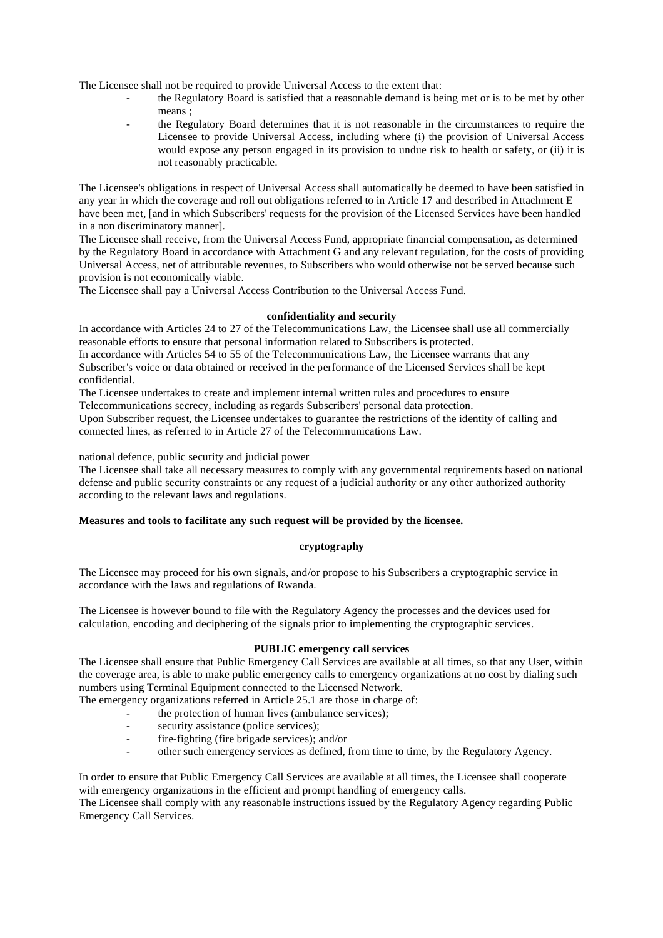The Licensee shall not be required to provide Universal Access to the extent that:

- the Regulatory Board is satisfied that a reasonable demand is being met or is to be met by other means :
- the Regulatory Board determines that it is not reasonable in the circumstances to require the Licensee to provide Universal Access, including where (i) the provision of Universal Access would expose any person engaged in its provision to undue risk to health or safety, or (ii) it is not reasonably practicable.

The Licensee's obligations in respect of Universal Access shall automatically be deemed to have been satisfied in any year in which the coverage and roll out obligations referred to in Article 17 and described in Attachment E have been met, [and in which Subscribers' requests for the provision of the Licensed Services have been handled in a non discriminatory manner].

The Licensee shall receive, from the Universal Access Fund, appropriate financial compensation, as determined by the Regulatory Board in accordance with Attachment G and any relevant regulation, for the costs of providing Universal Access, net of attributable revenues, to Subscribers who would otherwise not be served because such provision is not economically viable.

The Licensee shall pay a Universal Access Contribution to the Universal Access Fund.

# **confidentiality and security**

In accordance with Articles 24 to 27 of the Telecommunications Law, the Licensee shall use all commercially reasonable efforts to ensure that personal information related to Subscribers is protected.

In accordance with Articles 54 to 55 of the Telecommunications Law, the Licensee warrants that any Subscriber's voice or data obtained or received in the performance of the Licensed Services shall be kept confidential.

The Licensee undertakes to create and implement internal written rules and procedures to ensure Telecommunications secrecy, including as regards Subscribers' personal data protection.

Upon Subscriber request, the Licensee undertakes to guarantee the restrictions of the identity of calling and connected lines, as referred to in Article 27 of the Telecommunications Law.

national defence, public security and judicial power

The Licensee shall take all necessary measures to comply with any governmental requirements based on national defense and public security constraints or any request of a judicial authority or any other authorized authority according to the relevant laws and regulations.

# **Measures and tools to facilitate any such request will be provided by the licensee.**

### **cryptography**

The Licensee may proceed for his own signals, and/or propose to his Subscribers a cryptographic service in accordance with the laws and regulations of Rwanda.

The Licensee is however bound to file with the Regulatory Agency the processes and the devices used for calculation, encoding and deciphering of the signals prior to implementing the cryptographic services.

#### **PUBLIC emergency call services**

The Licensee shall ensure that Public Emergency Call Services are available at all times, so that any User, within the coverage area, is able to make public emergency calls to emergency organizations at no cost by dialing such numbers using Terminal Equipment connected to the Licensed Network.

The emergency organizations referred in Article 25.1 are those in charge of:

the protection of human lives (ambulance services);

- security assistance (police services);
- fire-fighting (fire brigade services); and/or
- other such emergency services as defined, from time to time, by the Regulatory Agency.

In order to ensure that Public Emergency Call Services are available at all times, the Licensee shall cooperate with emergency organizations in the efficient and prompt handling of emergency calls.

The Licensee shall comply with any reasonable instructions issued by the Regulatory Agency regarding Public Emergency Call Services.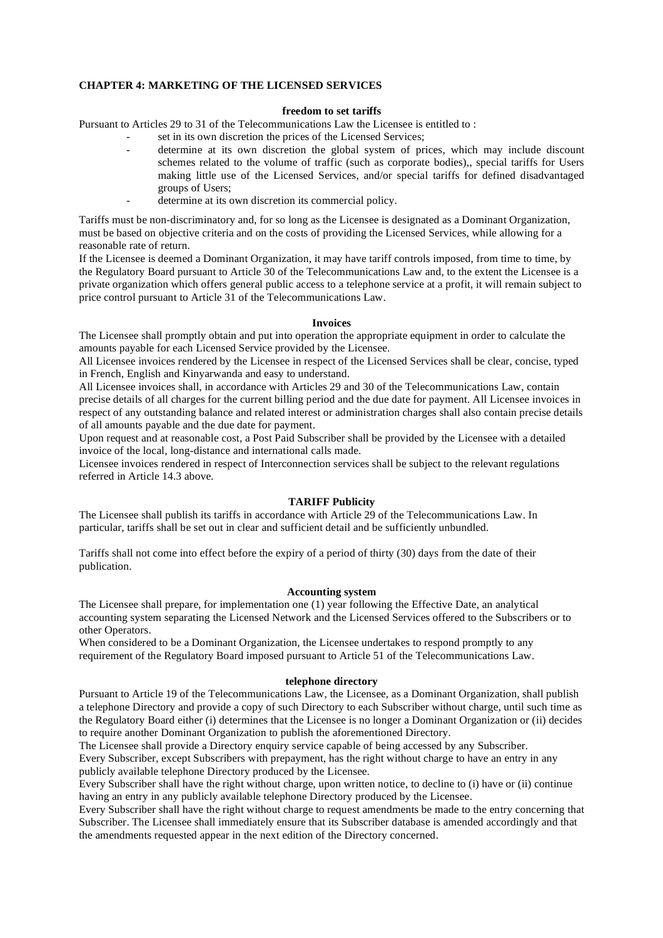### **CHAPTER 4: MARKETING OF THE LICENSED SERVICES**

### **freedom to set tariffs**

Pursuant to Articles 29 to 31 of the Telecommunications Law the Licensee is entitled to :

- set in its own discretion the prices of the Licensed Services;
- determine at its own discretion the global system of prices, which may include discount schemes related to the volume of traffic (such as corporate bodies),, special tariffs for Users making little use of the Licensed Services, and/or special tariffs for defined disadvantaged groups of Users;
- determine at its own discretion its commercial policy.

Tariffs must be non-discriminatory and, for so long as the Licensee is designated as a Dominant Organization, must be based on objective criteria and on the costs of providing the Licensed Services, while allowing for a reasonable rate of return.

If the Licensee is deemed a Dominant Organization, it may have tariff controls imposed, from time to time, by the Regulatory Board pursuant to Article 30 of the Telecommunications Law and, to the extent the Licensee is a private organization which offers general public access to a telephone service at a profit, it will remain subject to price control pursuant to Article 31 of the Telecommunications Law.

### **Invoices**

The Licensee shall promptly obtain and put into operation the appropriate equipment in order to calculate the amounts payable for each Licensed Service provided by the Licensee.

All Licensee invoices rendered by the Licensee in respect of the Licensed Services shall be clear, concise, typed in French, English and Kinyarwanda and easy to understand.

All Licensee invoices shall, in accordance with Articles 29 and 30 of the Telecommunications Law, contain precise details of all charges for the current billing period and the due date for payment. All Licensee invoices in respect of any outstanding balance and related interest or administration charges shall also contain precise details of all amounts payable and the due date for payment.

Upon request and at reasonable cost, a Post Paid Subscriber shall be provided by the Licensee with a detailed invoice of the local, long-distance and international calls made.

Licensee invoices rendered in respect of Interconnection services shall be subject to the relevant regulations referred in Article 14.3 above.

# **TARIFF Publicity**

The Licensee shall publish its tariffs in accordance with Article 29 of the Telecommunications Law. In particular, tariffs shall be set out in clear and sufficient detail and be sufficiently unbundled.

Tariffs shall not come into effect before the expiry of a period of thirty (30) days from the date of their publication.

# **Accounting system**

The Licensee shall prepare, for implementation one (1) year following the Effective Date, an analytical accounting system separating the Licensed Network and the Licensed Services offered to the Subscribers or to other Operators.

When considered to be a Dominant Organization, the Licensee undertakes to respond promptly to any requirement of the Regulatory Board imposed pursuant to Article 51 of the Telecommunications Law.

#### **telephone directory**

Pursuant to Article 19 of the Telecommunications Law, the Licensee, as a Dominant Organization, shall publish a telephone Directory and provide a copy of such Directory to each Subscriber without charge, until such time as the Regulatory Board either (i) determines that the Licensee is no longer a Dominant Organization or (ii) decides to require another Dominant Organization to publish the aforementioned Directory.

The Licensee shall provide a Directory enquiry service capable of being accessed by any Subscriber. Every Subscriber, except Subscribers with prepayment, has the right without charge to have an entry in any publicly available telephone Directory produced by the Licensee.

Every Subscriber shall have the right without charge, upon written notice, to decline to (i) have or (ii) continue having an entry in any publicly available telephone Directory produced by the Licensee.

Every Subscriber shall have the right without charge to request amendments be made to the entry concerning that Subscriber. The Licensee shall immediately ensure that its Subscriber database is amended accordingly and that the amendments requested appear in the next edition of the Directory concerned.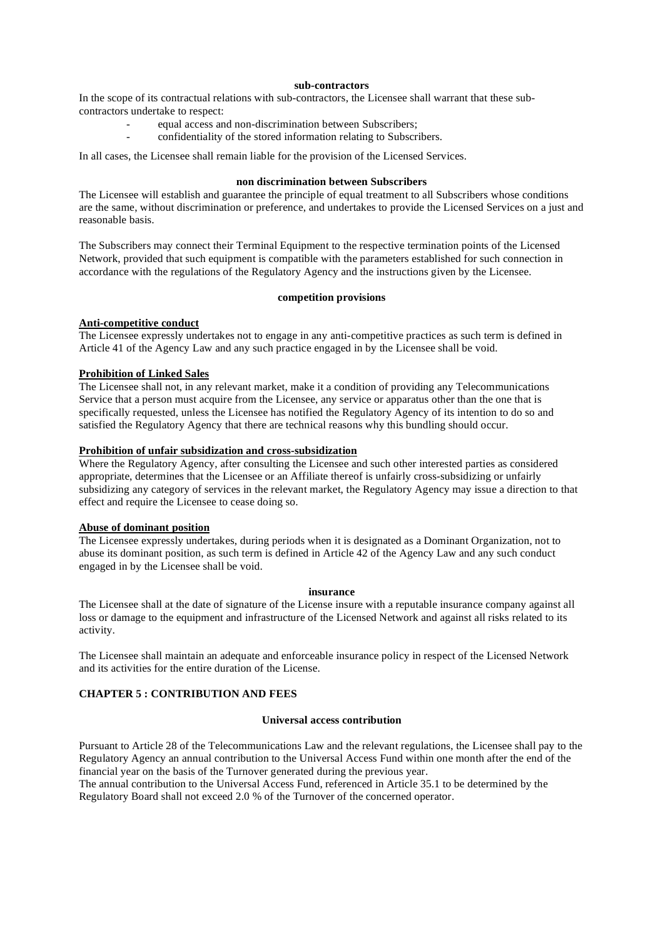### **sub-contractors**

In the scope of its contractual relations with sub-contractors, the Licensee shall warrant that these subcontractors undertake to respect:

- equal access and non-discrimination between Subscribers;
- confidentiality of the stored information relating to Subscribers.

In all cases, the Licensee shall remain liable for the provision of the Licensed Services.

### **non discrimination between Subscribers**

The Licensee will establish and guarantee the principle of equal treatment to all Subscribers whose conditions are the same, without discrimination or preference, and undertakes to provide the Licensed Services on a just and reasonable basis.

The Subscribers may connect their Terminal Equipment to the respective termination points of the Licensed Network, provided that such equipment is compatible with the parameters established for such connection in accordance with the regulations of the Regulatory Agency and the instructions given by the Licensee.

#### **competition provisions**

### **Anti-competitive conduct**

The Licensee expressly undertakes not to engage in any anti-competitive practices as such term is defined in Article 41 of the Agency Law and any such practice engaged in by the Licensee shall be void.

### **Prohibition of Linked Sales**

The Licensee shall not, in any relevant market, make it a condition of providing any Telecommunications Service that a person must acquire from the Licensee, any service or apparatus other than the one that is specifically requested, unless the Licensee has notified the Regulatory Agency of its intention to do so and satisfied the Regulatory Agency that there are technical reasons why this bundling should occur.

# **Prohibition of unfair subsidization and cross-subsidization**

Where the Regulatory Agency, after consulting the Licensee and such other interested parties as considered appropriate, determines that the Licensee or an Affiliate thereof is unfairly cross-subsidizing or unfairly subsidizing any category of services in the relevant market, the Regulatory Agency may issue a direction to that effect and require the Licensee to cease doing so.

#### **Abuse of dominant position**

The Licensee expressly undertakes, during periods when it is designated as a Dominant Organization, not to abuse its dominant position, as such term is defined in Article 42 of the Agency Law and any such conduct engaged in by the Licensee shall be void.

# **insurance**

The Licensee shall at the date of signature of the License insure with a reputable insurance company against all loss or damage to the equipment and infrastructure of the Licensed Network and against all risks related to its activity.

The Licensee shall maintain an adequate and enforceable insurance policy in respect of the Licensed Network and its activities for the entire duration of the License.

# **CHAPTER 5 : CONTRIBUTION AND FEES**

# **Universal access contribution**

Pursuant to Article 28 of the Telecommunications Law and the relevant regulations, the Licensee shall pay to the Regulatory Agency an annual contribution to the Universal Access Fund within one month after the end of the financial year on the basis of the Turnover generated during the previous year.

The annual contribution to the Universal Access Fund, referenced in Article 35.1 to be determined by the Regulatory Board shall not exceed 2.0 % of the Turnover of the concerned operator.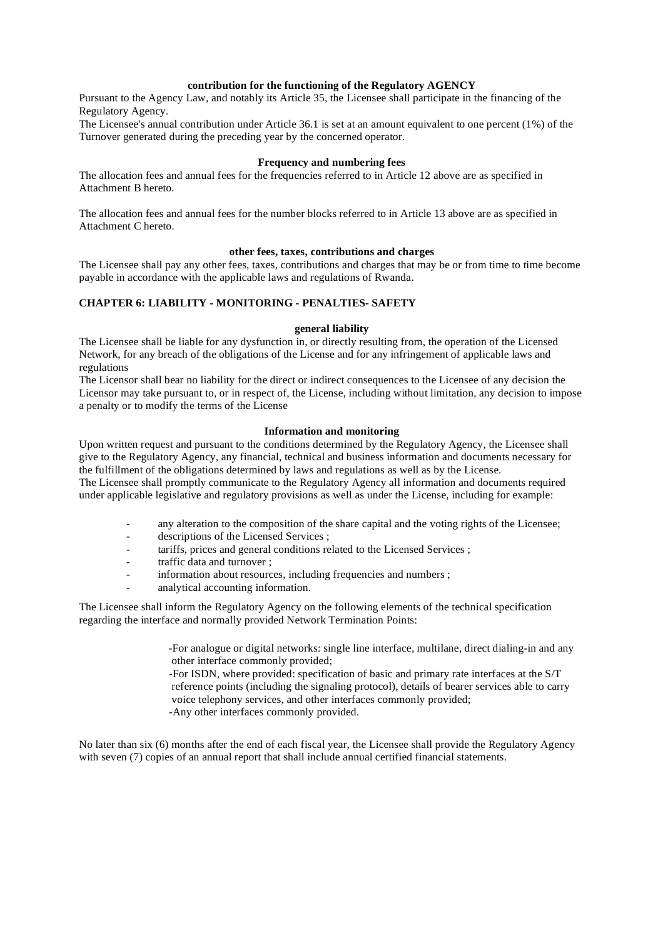# **contribution for the functioning of the Regulatory AGENCY**

Pursuant to the Agency Law, and notably its Article 35, the Licensee shall participate in the financing of the Regulatory Agency.

The Licensee's annual contribution under Article 36.1 is set at an amount equivalent to one percent (1%) of the Turnover generated during the preceding year by the concerned operator.

#### **Frequency and numbering fees**

The allocation fees and annual fees for the frequencies referred to in Article 12 above are as specified in Attachment B hereto.

The allocation fees and annual fees for the number blocks referred to in Article 13 above are as specified in Attachment C hereto.

## **other fees, taxes, contributions and charges**

The Licensee shall pay any other fees, taxes, contributions and charges that may be or from time to time become payable in accordance with the applicable laws and regulations of Rwanda.

### **CHAPTER 6: LIABILITY - MONITORING - PENALTIES- SAFETY**

#### **general liability**

The Licensee shall be liable for any dysfunction in, or directly resulting from, the operation of the Licensed Network, for any breach of the obligations of the License and for any infringement of applicable laws and regulations

The Licensor shall bear no liability for the direct or indirect consequences to the Licensee of any decision the Licensor may take pursuant to, or in respect of, the License, including without limitation, any decision to impose a penalty or to modify the terms of the License

### **Information and monitoring**

Upon written request and pursuant to the conditions determined by the Regulatory Agency, the Licensee shall give to the Regulatory Agency, any financial, technical and business information and documents necessary for the fulfillment of the obligations determined by laws and regulations as well as by the License. The Licensee shall promptly communicate to the Regulatory Agency all information and documents required under applicable legislative and regulatory provisions as well as under the License, including for example:

- any alteration to the composition of the share capital and the voting rights of the Licensee;
- descriptions of the Licensed Services ;
- tariffs, prices and general conditions related to the Licensed Services ;
- traffic data and turnover :
- information about resources, including frequencies and numbers;
- analytical accounting information.

The Licensee shall inform the Regulatory Agency on the following elements of the technical specification regarding the interface and normally provided Network Termination Points:

> -For analogue or digital networks: single line interface, multilane, direct dialing-in and any other interface commonly provided;

> -For ISDN, where provided: specification of basic and primary rate interfaces at the S/T reference points (including the signaling protocol), details of bearer services able to carry voice telephony services, and other interfaces commonly provided;

-Any other interfaces commonly provided.

No later than six (6) months after the end of each fiscal year, the Licensee shall provide the Regulatory Agency with seven (7) copies of an annual report that shall include annual certified financial statements.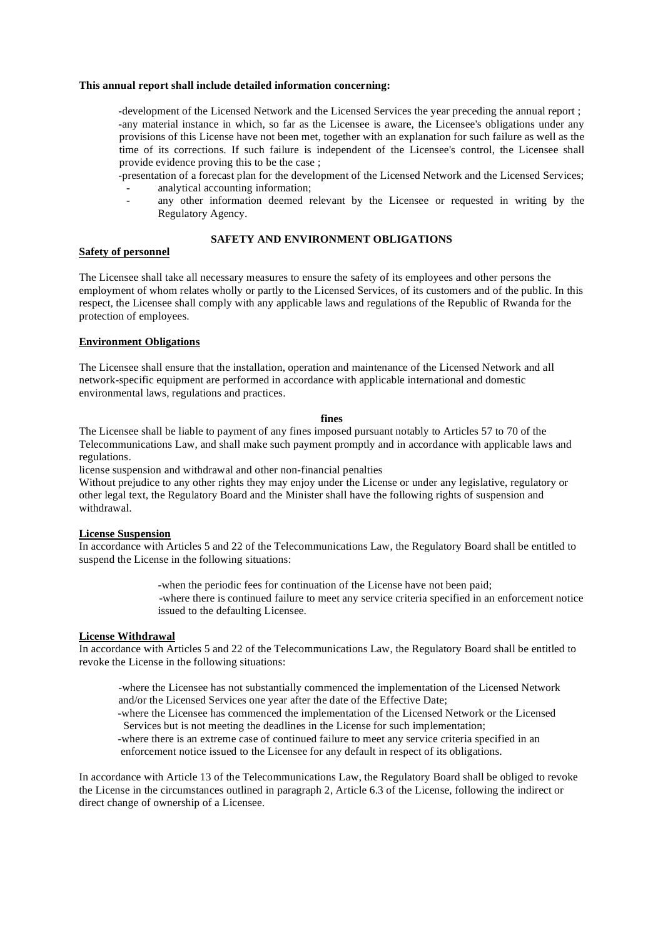#### **This annual report shall include detailed information concerning:**

-development of the Licensed Network and the Licensed Services the year preceding the annual report ; -any material instance in which, so far as the Licensee is aware, the Licensee's obligations under any provisions of this License have not been met, together with an explanation for such failure as well as the time of its corrections. If such failure is independent of the Licensee's control, the Licensee shall provide evidence proving this to be the case ;

- -presentation of a forecast plan for the development of the Licensed Network and the Licensed Services; analytical accounting information;
	- any other information deemed relevant by the Licensee or requested in writing by the Regulatory Agency.

# **SAFETY AND ENVIRONMENT OBLIGATIONS**

# **Safety of personnel**

The Licensee shall take all necessary measures to ensure the safety of its employees and other persons the employment of whom relates wholly or partly to the Licensed Services, of its customers and of the public. In this respect, the Licensee shall comply with any applicable laws and regulations of the Republic of Rwanda for the protection of employees.

#### **Environment Obligations**

The Licensee shall ensure that the installation, operation and maintenance of the Licensed Network and all network-specific equipment are performed in accordance with applicable international and domestic environmental laws, regulations and practices.

#### **fines**

The Licensee shall be liable to payment of any fines imposed pursuant notably to Articles 57 to 70 of the Telecommunications Law, and shall make such payment promptly and in accordance with applicable laws and regulations.

license suspension and withdrawal and other non-financial penalties

Without prejudice to any other rights they may enjoy under the License or under any legislative, regulatory or other legal text, the Regulatory Board and the Minister shall have the following rights of suspension and withdrawal.

#### **License Suspension**

In accordance with Articles 5 and 22 of the Telecommunications Law, the Regulatory Board shall be entitled to suspend the License in the following situations:

> -when the periodic fees for continuation of the License have not been paid; -where there is continued failure to meet any service criteria specified in an enforcement notice issued to the defaulting Licensee.

#### **License Withdrawal**

In accordance with Articles 5 and 22 of the Telecommunications Law, the Regulatory Board shall be entitled to revoke the License in the following situations:

-where the Licensee has not substantially commenced the implementation of the Licensed Network and/or the Licensed Services one year after the date of the Effective Date;

 -where the Licensee has commenced the implementation of the Licensed Network or the Licensed Services but is not meeting the deadlines in the License for such implementation;

 -where there is an extreme case of continued failure to meet any service criteria specified in an enforcement notice issued to the Licensee for any default in respect of its obligations.

In accordance with Article 13 of the Telecommunications Law, the Regulatory Board shall be obliged to revoke the License in the circumstances outlined in paragraph 2, Article 6.3 of the License, following the indirect or direct change of ownership of a Licensee.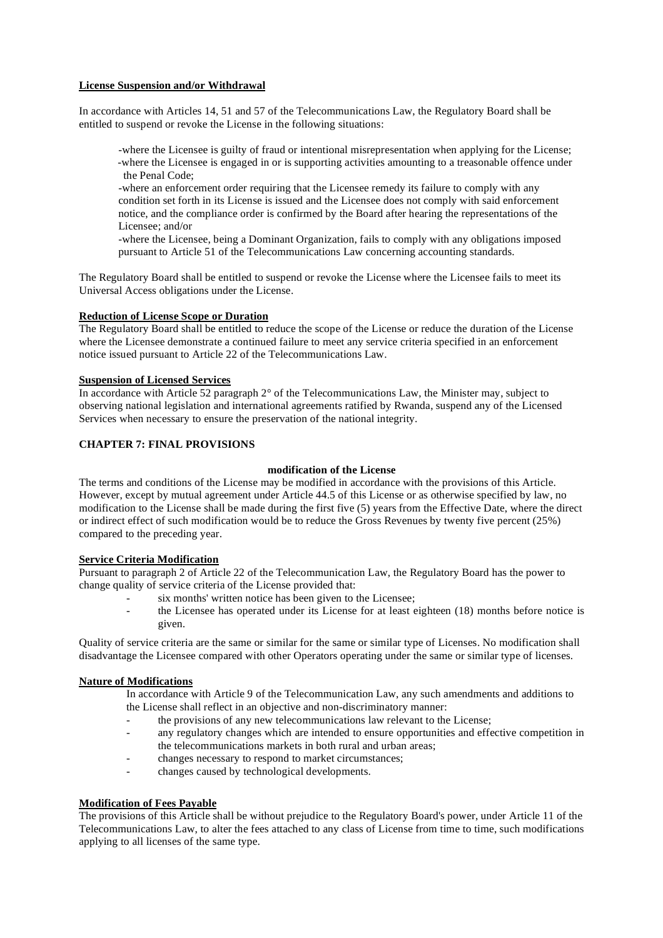# **License Suspension and/or Withdrawal**

In accordance with Articles 14, 51 and 57 of the Telecommunications Law, the Regulatory Board shall be entitled to suspend or revoke the License in the following situations:

-where the Licensee is guilty of fraud or intentional misrepresentation when applying for the License; -where the Licensee is engaged in or is supporting activities amounting to a treasonable offence under the Penal Code;

-where an enforcement order requiring that the Licensee remedy its failure to comply with any condition set forth in its License is issued and the Licensee does not comply with said enforcement notice, and the compliance order is confirmed by the Board after hearing the representations of the Licensee; and/or

-where the Licensee, being a Dominant Organization, fails to comply with any obligations imposed pursuant to Article 51 of the Telecommunications Law concerning accounting standards.

The Regulatory Board shall be entitled to suspend or revoke the License where the Licensee fails to meet its Universal Access obligations under the License.

## **Reduction of License Scope or Duration**

The Regulatory Board shall be entitled to reduce the scope of the License or reduce the duration of the License where the Licensee demonstrate a continued failure to meet any service criteria specified in an enforcement notice issued pursuant to Article 22 of the Telecommunications Law.

### **Suspension of Licensed Services**

In accordance with Article 52 paragraph 2° of the Telecommunications Law, the Minister may, subject to observing national legislation and international agreements ratified by Rwanda, suspend any of the Licensed Services when necessary to ensure the preservation of the national integrity.

# **CHAPTER 7: FINAL PROVISIONS**

# **modification of the License**

The terms and conditions of the License may be modified in accordance with the provisions of this Article. However, except by mutual agreement under Article 44.5 of this License or as otherwise specified by law, no modification to the License shall be made during the first five (5) years from the Effective Date, where the direct or indirect effect of such modification would be to reduce the Gross Revenues by twenty five percent (25%) compared to the preceding year.

# **Service Criteria Modification**

Pursuant to paragraph 2 of Article 22 of the Telecommunication Law, the Regulatory Board has the power to change quality of service criteria of the License provided that:

- six months' written notice has been given to the Licensee;
- the Licensee has operated under its License for at least eighteen (18) months before notice is given.

Quality of service criteria are the same or similar for the same or similar type of Licenses. No modification shall disadvantage the Licensee compared with other Operators operating under the same or similar type of licenses.

# **Nature of Modifications**

In accordance with Article 9 of the Telecommunication Law, any such amendments and additions to the License shall reflect in an objective and non-discriminatory manner:

- the provisions of any new telecommunications law relevant to the License;
- any regulatory changes which are intended to ensure opportunities and effective competition in the telecommunications markets in both rural and urban areas;
- changes necessary to respond to market circumstances;
- changes caused by technological developments.

# **Modification of Fees Payable**

The provisions of this Article shall be without prejudice to the Regulatory Board's power, under Article 11 of the Telecommunications Law, to alter the fees attached to any class of License from time to time, such modifications applying to all licenses of the same type.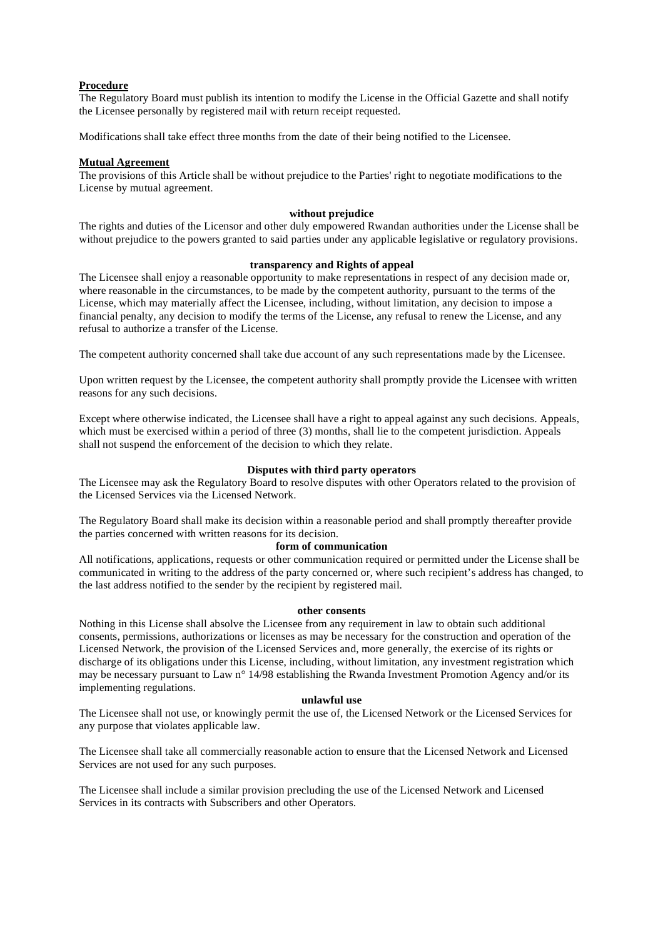### **Procedure**

The Regulatory Board must publish its intention to modify the License in the Official Gazette and shall notify the Licensee personally by registered mail with return receipt requested.

Modifications shall take effect three months from the date of their being notified to the Licensee.

### **Mutual Agreement**

The provisions of this Article shall be without prejudice to the Parties' right to negotiate modifications to the License by mutual agreement.

### **without prejudice**

The rights and duties of the Licensor and other duly empowered Rwandan authorities under the License shall be without prejudice to the powers granted to said parties under any applicable legislative or regulatory provisions.

## **transparency and Rights of appeal**

The Licensee shall enjoy a reasonable opportunity to make representations in respect of any decision made or, where reasonable in the circumstances, to be made by the competent authority, pursuant to the terms of the License, which may materially affect the Licensee, including, without limitation, any decision to impose a financial penalty, any decision to modify the terms of the License, any refusal to renew the License, and any refusal to authorize a transfer of the License.

The competent authority concerned shall take due account of any such representations made by the Licensee.

Upon written request by the Licensee, the competent authority shall promptly provide the Licensee with written reasons for any such decisions.

Except where otherwise indicated, the Licensee shall have a right to appeal against any such decisions. Appeals, which must be exercised within a period of three (3) months, shall lie to the competent jurisdiction. Appeals shall not suspend the enforcement of the decision to which they relate.

# **Disputes with third party operators**

The Licensee may ask the Regulatory Board to resolve disputes with other Operators related to the provision of the Licensed Services via the Licensed Network.

The Regulatory Board shall make its decision within a reasonable period and shall promptly thereafter provide the parties concerned with written reasons for its decision.

# **form of communication**

All notifications, applications, requests or other communication required or permitted under the License shall be communicated in writing to the address of the party concerned or, where such recipient's address has changed, to the last address notified to the sender by the recipient by registered mail.

#### **other consents**

Nothing in this License shall absolve the Licensee from any requirement in law to obtain such additional consents, permissions, authorizations or licenses as may be necessary for the construction and operation of the Licensed Network, the provision of the Licensed Services and, more generally, the exercise of its rights or discharge of its obligations under this License, including, without limitation, any investment registration which may be necessary pursuant to Law n° 14/98 establishing the Rwanda Investment Promotion Agency and/or its implementing regulations.

#### **unlawful use**

The Licensee shall not use, or knowingly permit the use of, the Licensed Network or the Licensed Services for any purpose that violates applicable law.

The Licensee shall take all commercially reasonable action to ensure that the Licensed Network and Licensed Services are not used for any such purposes.

The Licensee shall include a similar provision precluding the use of the Licensed Network and Licensed Services in its contracts with Subscribers and other Operators.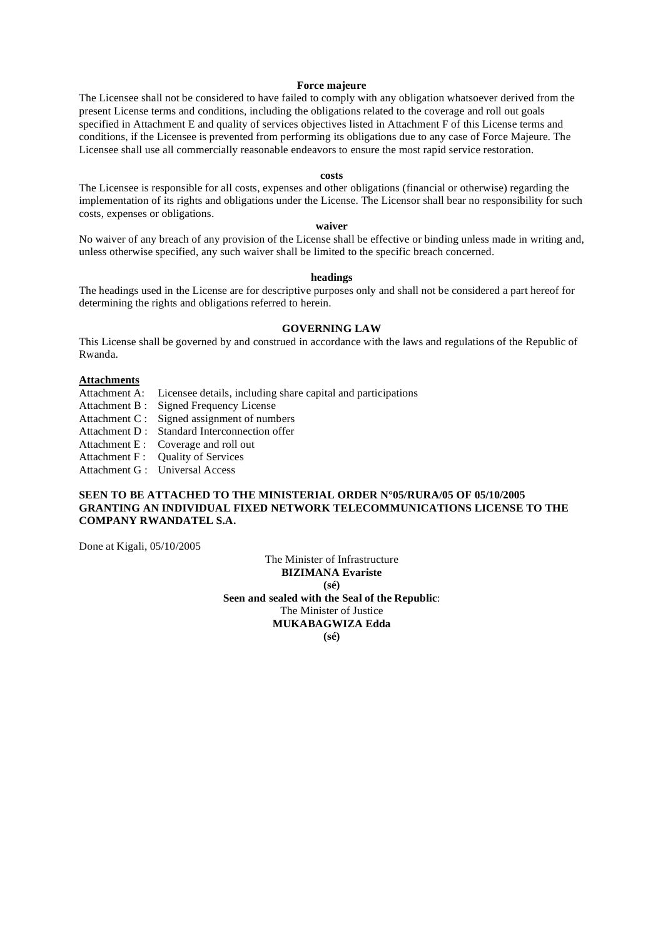#### **Force majeure**

The Licensee shall not be considered to have failed to comply with any obligation whatsoever derived from the present License terms and conditions, including the obligations related to the coverage and roll out goals specified in Attachment E and quality of services objectives listed in Attachment F of this License terms and conditions, if the Licensee is prevented from performing its obligations due to any case of Force Majeure. The Licensee shall use all commercially reasonable endeavors to ensure the most rapid service restoration.

#### **costs**

The Licensee is responsible for all costs, expenses and other obligations (financial or otherwise) regarding the implementation of its rights and obligations under the License. The Licensor shall bear no responsibility for such costs, expenses or obligations.

# **waiver**

No waiver of any breach of any provision of the License shall be effective or binding unless made in writing and, unless otherwise specified, any such waiver shall be limited to the specific breach concerned.

#### **headings**

The headings used in the License are for descriptive purposes only and shall not be considered a part hereof for determining the rights and obligations referred to herein.

#### **GOVERNING LAW**

This License shall be governed by and construed in accordance with the laws and regulations of the Republic of Rwanda.

#### **Attachments**

- Attachment A: Licensee details, including share capital and participations
- Attachment B : Signed Frequency License
- Attachment C : Signed assignment of numbers
- Attachment D : Standard Interconnection offer
- Attachment E : Coverage and roll out
- Attachment F : Quality of Services
- Attachment G : Universal Access

# **SEEN TO BE ATTACHED TO THE MINISTERIAL ORDER N°05/RURA/05 OF 05/10/2005 GRANTING AN INDIVIDUAL FIXED NETWORK TELECOMMUNICATIONS LICENSE TO THE COMPANY RWANDATEL S.A.**

Done at Kigali, 05/10/2005

The Minister of Infrastructure **BIZIMANA Evariste (sé) Seen and sealed with the Seal of the Republic**: The Minister of Justice **MUKABAGWIZA Edda (sé)**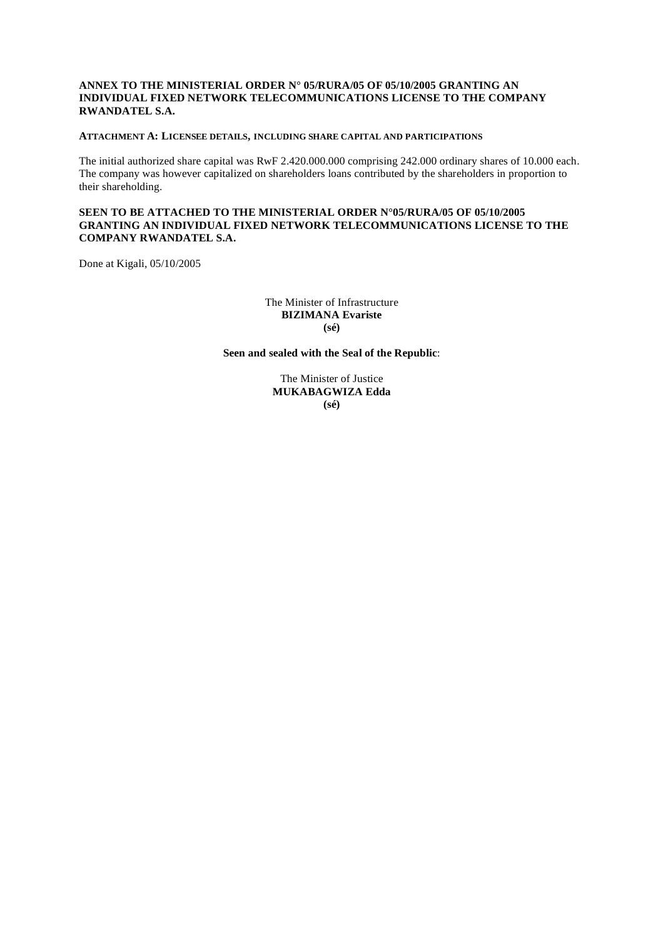# **ANNEX TO THE MINISTERIAL ORDER N° 05/RURA/05 OF 05/10/2005 GRANTING AN INDIVIDUAL FIXED NETWORK TELECOMMUNICATIONS LICENSE TO THE COMPANY RWANDATEL S.A.**

### **ATTACHMENT A: LICENSEE DETAILS, INCLUDING SHARE CAPITAL AND PARTICIPATIONS**

The initial authorized share capital was RwF 2.420.000.000 comprising 242.000 ordinary shares of 10.000 each. The company was however capitalized on shareholders loans contributed by the shareholders in proportion to their shareholding.

## **SEEN TO BE ATTACHED TO THE MINISTERIAL ORDER N°05/RURA/05 OF 05/10/2005 GRANTING AN INDIVIDUAL FIXED NETWORK TELECOMMUNICATIONS LICENSE TO THE COMPANY RWANDATEL S.A.**

Done at Kigali, 05/10/2005

The Minister of Infrastructure **BIZIMANA Evariste (sé)** 

**Seen and sealed with the Seal of the Republic**:

The Minister of Justice **MUKABAGWIZA Edda (sé)**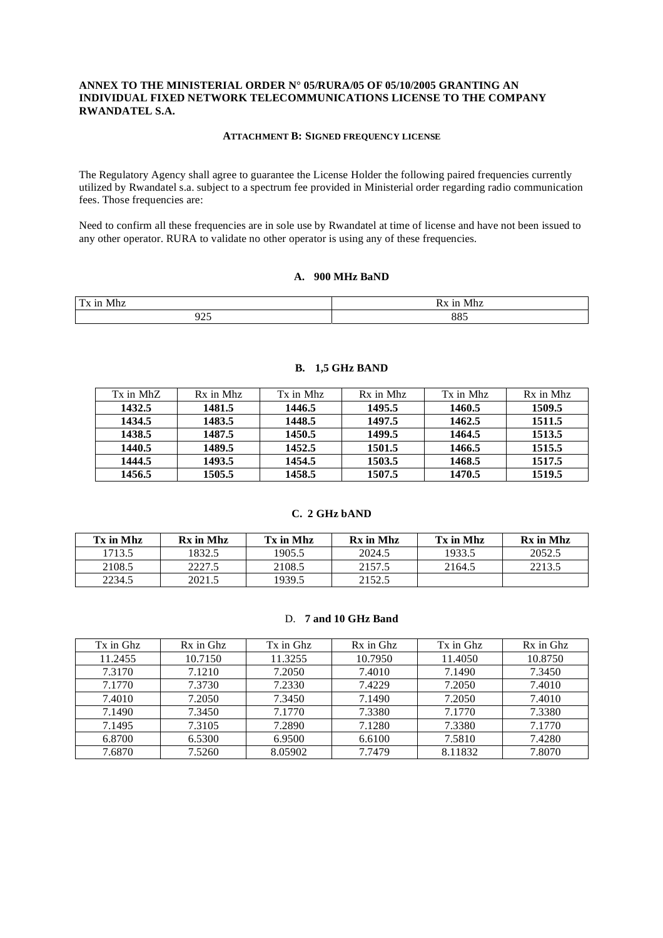# **ANNEX TO THE MINISTERIAL ORDER N° 05/RURA/05 OF 05/10/2005 GRANTING AN INDIVIDUAL FIXED NETWORK TELECOMMUNICATIONS LICENSE TO THE COMPANY RWANDATEL S.A.**

#### **ATTACHMENT B: SIGNED FREQUENCY LICENSE**

The Regulatory Agency shall agree to guarantee the License Holder the following paired frequencies currently utilized by Rwandatel s.a. subject to a spectrum fee provided in Ministerial order regarding radio communication fees. Those frequencies are:

Need to confirm all these frequencies are in sole use by Rwandatel at time of license and have not been issued to any other operator. RURA to validate no other operator is using any of these frequencies.

# **A. 900 MHz BaND**

| T <sub>x</sub><br>11<br>Mhz<br> | 1 N<br>Mhz<br>RХ |
|---------------------------------|------------------|
| ີ                               | 00 <sup>2</sup>  |
| ה ה                             | 88.              |

| Tx in MhZ | Rx in Mhz | Tx in Mhz | Rx in Mhz | Tx in Mhz | Rx in Mhz |
|-----------|-----------|-----------|-----------|-----------|-----------|
| 1432.5    | 1481.5    | 1446.5    | 1495.5    | 1460.5    | 1509.5    |
| 1434.5    | 1483.5    | 1448.5    | 1497.5    | 1462.5    | 1511.5    |
| 1438.5    | 1487.5    | 1450.5    | 1499.5    | 1464.5    | 1513.5    |
| 1440.5    | 1489.5    | 1452.5    | 1501.5    | 1466.5    | 1515.5    |
| 1444.5    | 1493.5    | 1454.5    | 1503.5    | 1468.5    | 1517.5    |
| 1456.5    | 1505.5    | 1458.5    | 1507.5    | 1470.5    | 1519.5    |

#### **B. 1,5 GHz BAND**

# **C. 2 GHz bAND**

| Tx in Mhz | Rx in Mhz | Tx in Mhz | Rx in Mhz | Tx in Mhz | Rx in Mhz |
|-----------|-----------|-----------|-----------|-----------|-----------|
| 1713.5    | 1832.5    | 1905.5    | 2024.5    | 1933.5    | 2052.5    |
| 2108.5    | 2227.5    | 2108.5    | 2157.5    | 2164.5    | 2213.5    |
| 2234.5    | 2021.5    | 1939.5    | 2152.5    |           |           |

### D. **7 and 10 GHz Band**

| Tx in Ghz | Rx in Ghz | Tx in Ghz | Rx in Ghz | Tx in Ghz | Rx in Ghz |
|-----------|-----------|-----------|-----------|-----------|-----------|
| 11.2455   | 10.7150   | 11.3255   | 10.7950   | 11.4050   | 10.8750   |
| 7.3170    | 7.1210    | 7.2050    | 7.4010    | 7.1490    | 7.3450    |
| 7.1770    | 7.3730    | 7.2330    | 7.4229    | 7.2050    | 7.4010    |
| 7.4010    | 7.2050    | 7.3450    | 7.1490    | 7.2050    | 7.4010    |
| 7.1490    | 7.3450    | 7.1770    | 7.3380    | 7.1770    | 7.3380    |
| 7.1495    | 7.3105    | 7.2890    | 7.1280    | 7.3380    | 7.1770    |
| 6.8700    | 6.5300    | 6.9500    | 6.6100    | 7.5810    | 7.4280    |
| 7.6870    | 7.5260    | 8.05902   | 7.7479    | 8.11832   | 7.8070    |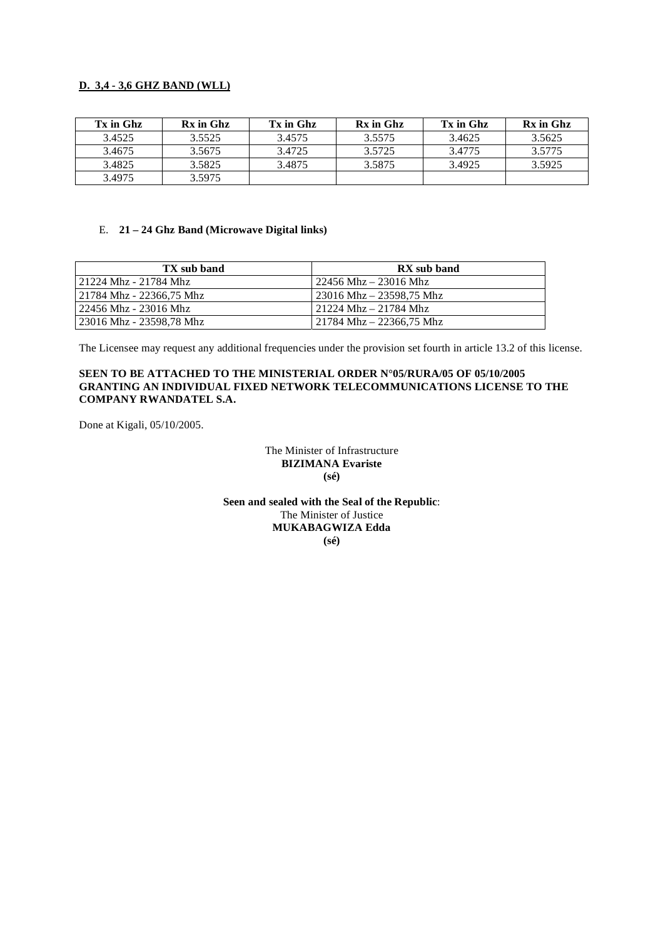# **D. 3,4 - 3,6 GHZ BAND (WLL)**

| Tx in Ghz | Rx in Ghz | Tx in Ghz | Rx in Ghz | Tx in Ghz | Rx in Ghz |
|-----------|-----------|-----------|-----------|-----------|-----------|
| 3.4525    | 3.5525    | 3.4575    | 3.5575    | 3.4625    | 3.5625    |
| 3.4675    | 3.5675    | 3.4725    | 3.5725    | 3.4775    | 3.5775    |
| 3.4825    | 3.5825    | 3.4875    | 3.5875    | 3.4925    | 3.5925    |
| 3.4975    | 3.5975    |           |           |           |           |

# E. **21 – 24 Ghz Band (Microwave Digital links)**

| TX sub band              | RX sub band                                   |
|--------------------------|-----------------------------------------------|
| 21224 Mhz - 21784 Mhz    | $\frac{22456 \text{ Mhz}}{23016 \text{ Mhz}}$ |
| 21784 Mhz - 22366,75 Mhz | 23016 Mhz – 23598,75 Mhz                      |
| 22456 Mhz - 23016 Mhz    | 21224 Mhz – 21784 Mhz                         |
| 23016 Mhz - 23598,78 Mhz | $21784$ Mhz – 22366,75 Mhz                    |

The Licensee may request any additional frequencies under the provision set fourth in article 13.2 of this license.

# **SEEN TO BE ATTACHED TO THE MINISTERIAL ORDER N°05/RURA/05 OF 05/10/2005 GRANTING AN INDIVIDUAL FIXED NETWORK TELECOMMUNICATIONS LICENSE TO THE COMPANY RWANDATEL S.A.**

Done at Kigali, 05/10/2005.

The Minister of Infrastructure **BIZIMANA Evariste (sé)** 

**Seen and sealed with the Seal of the Republic**: The Minister of Justice **MUKABAGWIZA Edda (sé)**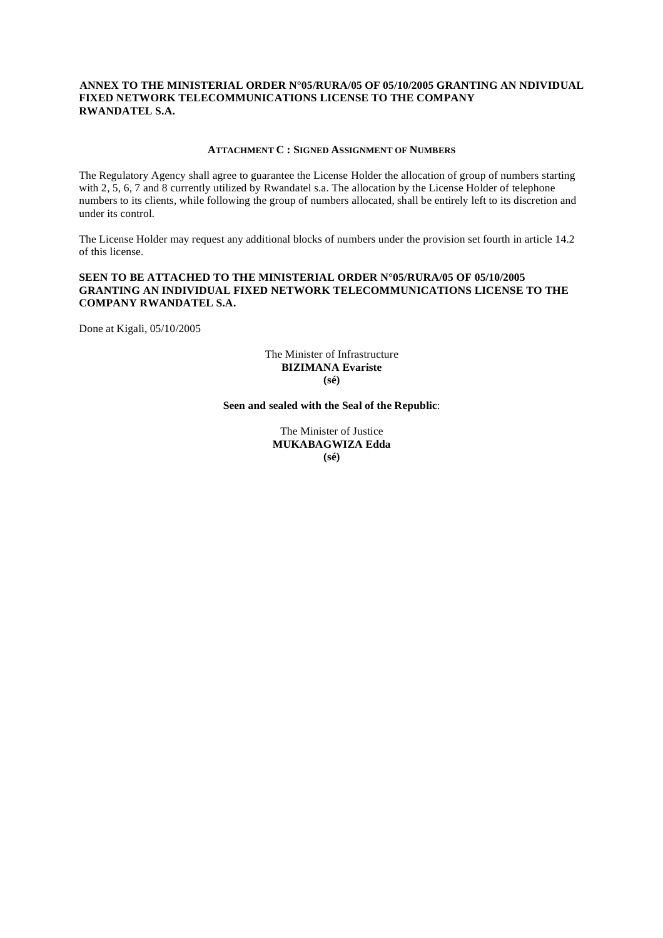## **ANNEX TO THE MINISTERIAL ORDER N°05/RURA/05 OF 05/10/2005 GRANTING AN NDIVIDUAL FIXED NETWORK TELECOMMUNICATIONS LICENSE TO THE COMPANY RWANDATEL S.A.**

### **ATTACHMENT C : SIGNED ASSIGNMENT OF NUMBERS**

The Regulatory Agency shall agree to guarantee the License Holder the allocation of group of numbers starting with 2, 5, 6, 7 and 8 currently utilized by Rwandatel s.a. The allocation by the License Holder of telephone numbers to its clients, while following the group of numbers allocated, shall be entirely left to its discretion and under its control.

The License Holder may request any additional blocks of numbers under the provision set fourth in article 14.2 of this license.

# **SEEN TO BE ATTACHED TO THE MINISTERIAL ORDER N°05/RURA/05 OF 05/10/2005 GRANTING AN INDIVIDUAL FIXED NETWORK TELECOMMUNICATIONS LICENSE TO THE COMPANY RWANDATEL S.A.**

Done at Kigali, 05/10/2005

### The Minister of Infrastructure **BIZIMANA Evariste (sé)**

### **Seen and sealed with the Seal of the Republic**:

The Minister of Justice **MUKABAGWIZA Edda (sé)**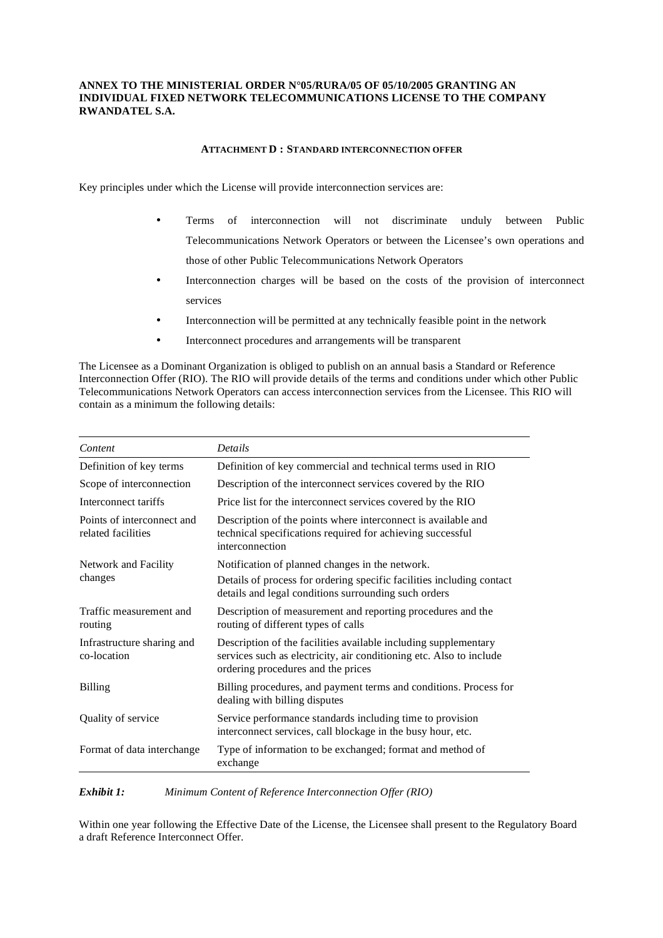# **ANNEX TO THE MINISTERIAL ORDER N°05/RURA/05 OF 05/10/2005 GRANTING AN INDIVIDUAL FIXED NETWORK TELECOMMUNICATIONS LICENSE TO THE COMPANY RWANDATEL S.A.**

### **ATTACHMENT D : STANDARD INTERCONNECTION OFFER**

Key principles under which the License will provide interconnection services are:

- Terms of interconnection will not discriminate unduly between Public Telecommunications Network Operators or between the Licensee's own operations and those of other Public Telecommunications Network Operators
- Interconnection charges will be based on the costs of the provision of interconnect services
- Interconnection will be permitted at any technically feasible point in the network
- Interconnect procedures and arrangements will be transparent

The Licensee as a Dominant Organization is obliged to publish on an annual basis a Standard or Reference Interconnection Offer (RIO). The RIO will provide details of the terms and conditions under which other Public Telecommunications Network Operators can access interconnection services from the Licensee. This RIO will contain as a minimum the following details:

| Content                                          | Details                                                                                                                                                                      |
|--------------------------------------------------|------------------------------------------------------------------------------------------------------------------------------------------------------------------------------|
| Definition of key terms                          | Definition of key commercial and technical terms used in RIO                                                                                                                 |
| Scope of interconnection                         | Description of the interconnect services covered by the RIO                                                                                                                  |
| Interconnect tariffs                             | Price list for the interconnect services covered by the RIO                                                                                                                  |
| Points of interconnect and<br>related facilities | Description of the points where interconnect is available and<br>technical specifications required for achieving successful<br>interconnection                               |
| Network and Facility                             | Notification of planned changes in the network.                                                                                                                              |
| changes                                          | Details of process for ordering specific facilities including contact<br>details and legal conditions surrounding such orders                                                |
| Traffic measurement and<br>routing               | Description of measurement and reporting procedures and the<br>routing of different types of calls                                                                           |
| Infrastructure sharing and<br>co-location        | Description of the facilities available including supplementary<br>services such as electricity, air conditioning etc. Also to include<br>ordering procedures and the prices |
| <b>Billing</b>                                   | Billing procedures, and payment terms and conditions. Process for<br>dealing with billing disputes                                                                           |
| Quality of service                               | Service performance standards including time to provision<br>interconnect services, call blockage in the busy hour, etc.                                                     |
| Format of data interchange                       | Type of information to be exchanged; format and method of<br>exchange                                                                                                        |

*Exhibit 1: Minimum Content of Reference Interconnection Offer (RIO)* 

Within one year following the Effective Date of the License, the Licensee shall present to the Regulatory Board a draft Reference Interconnect Offer.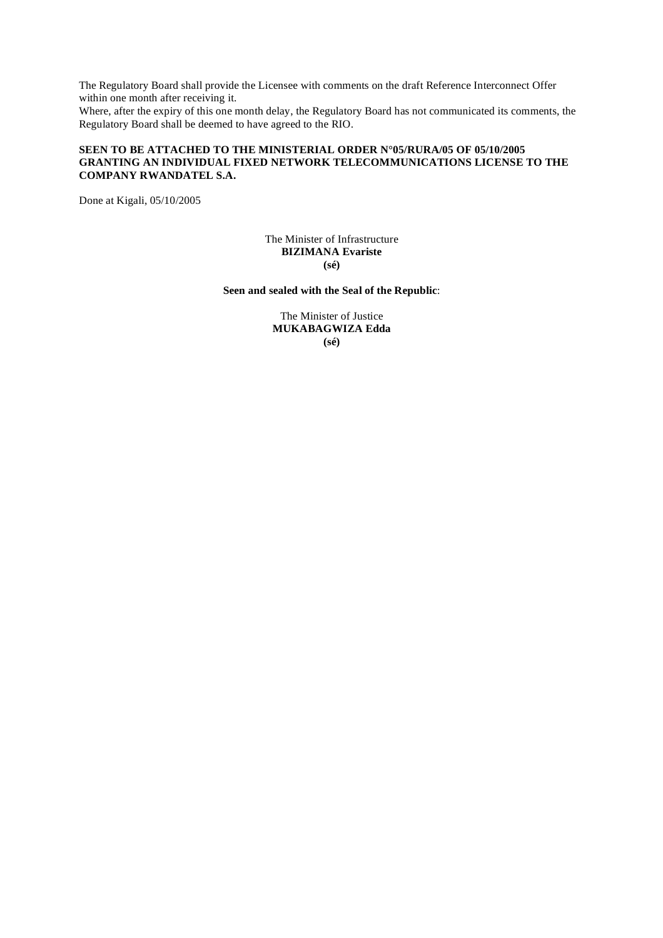The Regulatory Board shall provide the Licensee with comments on the draft Reference Interconnect Offer within one month after receiving it.

Where, after the expiry of this one month delay, the Regulatory Board has not communicated its comments, the Regulatory Board shall be deemed to have agreed to the RIO.

# **SEEN TO BE ATTACHED TO THE MINISTERIAL ORDER N°05/RURA/05 OF 05/10/2005 GRANTING AN INDIVIDUAL FIXED NETWORK TELECOMMUNICATIONS LICENSE TO THE COMPANY RWANDATEL S.A.**

Done at Kigali, 05/10/2005

The Minister of Infrastructure **BIZIMANA Evariste (sé)** 

**Seen and sealed with the Seal of the Republic**:

The Minister of Justice **MUKABAGWIZA Edda (sé)**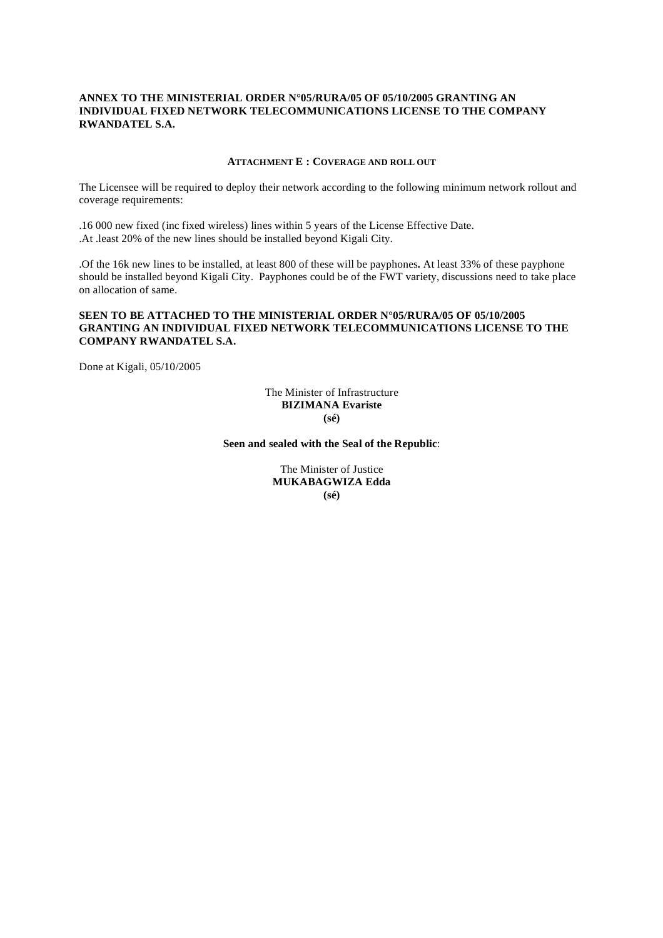# **ANNEX TO THE MINISTERIAL ORDER N°05/RURA/05 OF 05/10/2005 GRANTING AN INDIVIDUAL FIXED NETWORK TELECOMMUNICATIONS LICENSE TO THE COMPANY RWANDATEL S.A.**

#### **ATTACHMENT E : COVERAGE AND ROLL OUT**

The Licensee will be required to deploy their network according to the following minimum network rollout and coverage requirements:

.16 000 new fixed (inc fixed wireless) lines within 5 years of the License Effective Date. .At .least 20% of the new lines should be installed beyond Kigali City.

.Of the 16k new lines to be installed, at least 800 of these will be payphones**.** At least 33% of these payphone should be installed beyond Kigali City. Payphones could be of the FWT variety, discussions need to take place on allocation of same.

# **SEEN TO BE ATTACHED TO THE MINISTERIAL ORDER N°05/RURA/05 OF 05/10/2005 GRANTING AN INDIVIDUAL FIXED NETWORK TELECOMMUNICATIONS LICENSE TO THE COMPANY RWANDATEL S.A.**

Done at Kigali, 05/10/2005

The Minister of Infrastructure **BIZIMANA Evariste (sé)** 

**Seen and sealed with the Seal of the Republic**:

The Minister of Justice **MUKABAGWIZA Edda (sé)**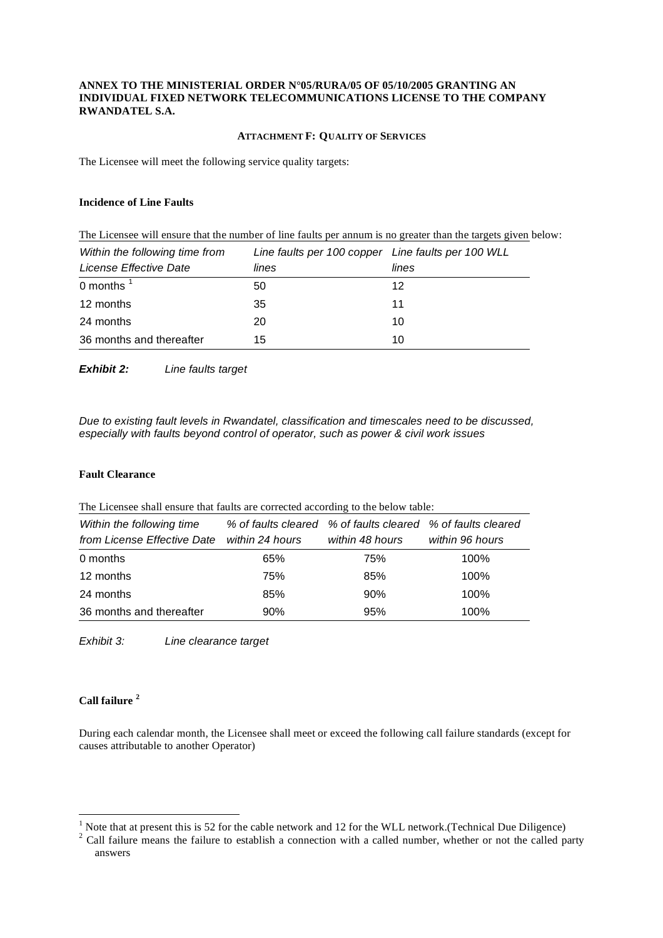## **ANNEX TO THE MINISTERIAL ORDER N°05/RURA/05 OF 05/10/2005 GRANTING AN INDIVIDUAL FIXED NETWORK TELECOMMUNICATIONS LICENSE TO THE COMPANY RWANDATEL S.A.**

### **ATTACHMENT F: QUALITY OF SERVICES**

The Licensee will meet the following service quality targets:

## **Incidence of Line Faults**

The Licensee will ensure that the number of line faults per annum is no greater than the targets given below: *Within the following time from License Effective Date Line faults per 100 copper Line faults per 100 WLL lines lines*  0 months  $<sup>1</sup>$ </sup>  $50$  and  $12$ 12 months 35 35 11 24 months 20 20 10

*Exhibit 2: Line faults target* 

*Due to existing fault levels in Rwandatel, classification and timescales need to be discussed, especially with faults beyond control of operator, such as power & civil work issues*

# **Fault Clearance**

The Licensee shall ensure that faults are corrected according to the below table:

36 months and thereafter 15 10

| Within the following time<br>from License Effective Date | within 24 hours | % of faults cleared % of faults cleared % of faults cleared<br>within 48 hours | within 96 hours |
|----------------------------------------------------------|-----------------|--------------------------------------------------------------------------------|-----------------|
| 0 months                                                 | 65%             | 75%                                                                            | 100%            |
| 12 months                                                | 75%             | 85%                                                                            | 100%            |
| 24 months                                                | 85%             | 90%                                                                            | 100%            |
| 36 months and thereafter                                 | 90%             | 95%                                                                            | 100%            |

*Exhibit 3: Line clearance target* 

# **Call failure <sup>2</sup>**

 $\overline{a}$ 

During each calendar month, the Licensee shall meet or exceed the following call failure standards (except for causes attributable to another Operator)

 $<sup>1</sup>$  Note that at present this is 52 for the cable network and 12 for the WLL network.(Technical Due Diligence)</sup>

<sup>&</sup>lt;sup>2</sup> Call failure means the failure to establish a connection with a called number, whether or not the called party answers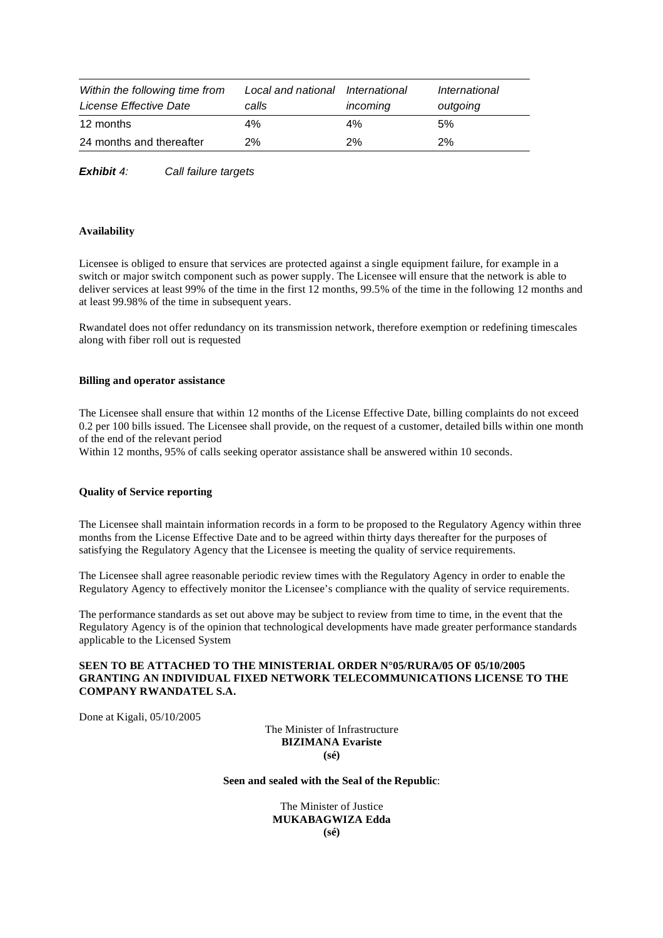| Within the following time from<br>License Effective Date | Local and national<br>calls | International<br>incoming | International<br>outgoing |
|----------------------------------------------------------|-----------------------------|---------------------------|---------------------------|
| 12 months                                                | 4%                          | 4%                        | 5%                        |
| 24 months and thereafter                                 | 2%                          | $2\%$                     | 2%                        |

*Exhibit 4: Call failure targets* 

### **Availability**

Licensee is obliged to ensure that services are protected against a single equipment failure, for example in a switch or major switch component such as power supply. The Licensee will ensure that the network is able to deliver services at least 99% of the time in the first 12 months, 99.5% of the time in the following 12 months and at least 99.98% of the time in subsequent years.

Rwandatel does not offer redundancy on its transmission network, therefore exemption or redefining timescales along with fiber roll out is requested

#### **Billing and operator assistance**

The Licensee shall ensure that within 12 months of the License Effective Date, billing complaints do not exceed 0.2 per 100 bills issued. The Licensee shall provide, on the request of a customer, detailed bills within one month of the end of the relevant period

Within 12 months, 95% of calls seeking operator assistance shall be answered within 10 seconds.

### **Quality of Service reporting**

The Licensee shall maintain information records in a form to be proposed to the Regulatory Agency within three months from the License Effective Date and to be agreed within thirty days thereafter for the purposes of satisfying the Regulatory Agency that the Licensee is meeting the quality of service requirements.

The Licensee shall agree reasonable periodic review times with the Regulatory Agency in order to enable the Regulatory Agency to effectively monitor the Licensee's compliance with the quality of service requirements.

The performance standards as set out above may be subject to review from time to time, in the event that the Regulatory Agency is of the opinion that technological developments have made greater performance standards applicable to the Licensed System

# **SEEN TO BE ATTACHED TO THE MINISTERIAL ORDER N°05/RURA/05 OF 05/10/2005 GRANTING AN INDIVIDUAL FIXED NETWORK TELECOMMUNICATIONS LICENSE TO THE COMPANY RWANDATEL S.A.**

Done at Kigali, 05/10/2005

The Minister of Infrastructure **BIZIMANA Evariste (sé)** 

**Seen and sealed with the Seal of the Republic**:

The Minister of Justice **MUKABAGWIZA Edda (sé)**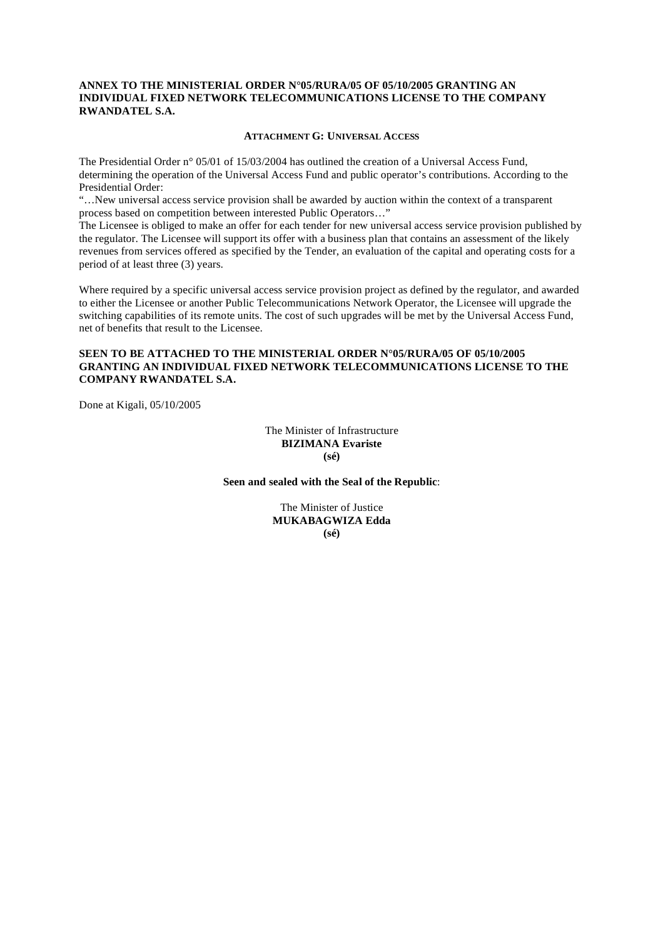## **ANNEX TO THE MINISTERIAL ORDER N°05/RURA/05 OF 05/10/2005 GRANTING AN INDIVIDUAL FIXED NETWORK TELECOMMUNICATIONS LICENSE TO THE COMPANY RWANDATEL S.A.**

### **ATTACHMENT G: UNIVERSAL ACCESS**

The Presidential Order n° 05/01 of 15/03/2004 has outlined the creation of a Universal Access Fund, determining the operation of the Universal Access Fund and public operator's contributions. According to the Presidential Order:

"…New universal access service provision shall be awarded by auction within the context of a transparent process based on competition between interested Public Operators…"

The Licensee is obliged to make an offer for each tender for new universal access service provision published by the regulator. The Licensee will support its offer with a business plan that contains an assessment of the likely revenues from services offered as specified by the Tender, an evaluation of the capital and operating costs for a period of at least three (3) years.

Where required by a specific universal access service provision project as defined by the regulator, and awarded to either the Licensee or another Public Telecommunications Network Operator, the Licensee will upgrade the switching capabilities of its remote units. The cost of such upgrades will be met by the Universal Access Fund, net of benefits that result to the Licensee.

# **SEEN TO BE ATTACHED TO THE MINISTERIAL ORDER N°05/RURA/05 OF 05/10/2005 GRANTING AN INDIVIDUAL FIXED NETWORK TELECOMMUNICATIONS LICENSE TO THE COMPANY RWANDATEL S.A.**

Done at Kigali, 05/10/2005

The Minister of Infrastructure **BIZIMANA Evariste (sé)** 

### **Seen and sealed with the Seal of the Republic**:

The Minister of Justice **MUKABAGWIZA Edda (sé)**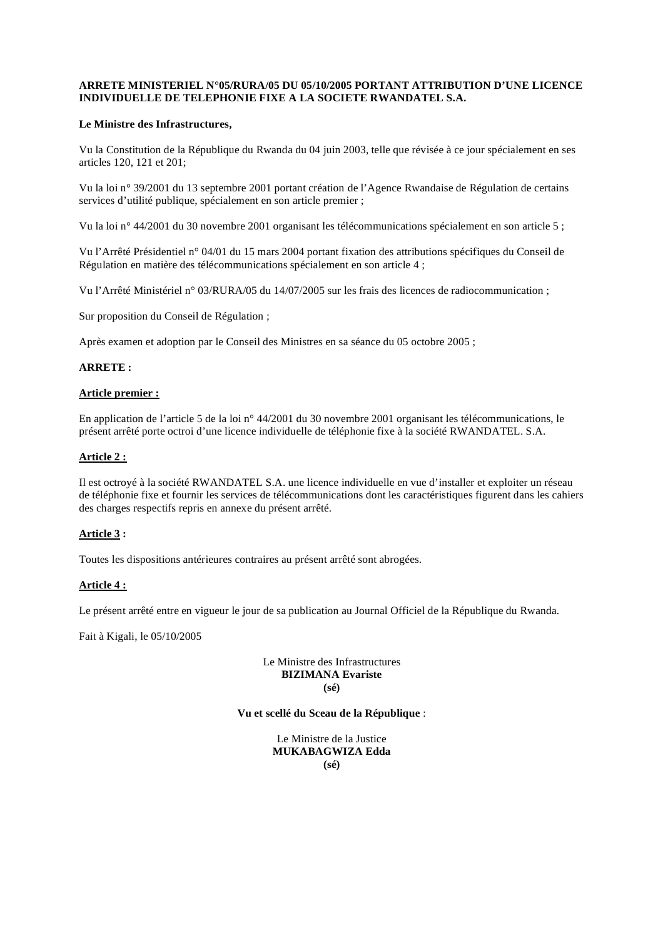# **ARRETE MINISTERIEL N°05/RURA/05 DU 05/10/2005 PORTANT ATTRIBUTION D'UNE LICENCE INDIVIDUELLE DE TELEPHONIE FIXE A LA SOCIETE RWANDATEL S.A.**

# **Le Ministre des Infrastructures,**

Vu la Constitution de la République du Rwanda du 04 juin 2003, telle que révisée à ce jour spécialement en ses articles 120, 121 et 201;

Vu la loi n° 39/2001 du 13 septembre 2001 portant création de l'Agence Rwandaise de Régulation de certains services d'utilité publique, spécialement en son article premier ;

Vu la loi n° 44/2001 du 30 novembre 2001 organisant les télécommunications spécialement en son article 5 ;

Vu l'Arrêté Présidentiel n° 04/01 du 15 mars 2004 portant fixation des attributions spécifiques du Conseil de Régulation en matière des télécommunications spécialement en son article 4 ;

Vu l'Arrêté Ministériel n° 03/RURA/05 du 14/07/2005 sur les frais des licences de radiocommunication ;

Sur proposition du Conseil de Régulation ;

Après examen et adoption par le Conseil des Ministres en sa séance du 05 octobre 2005 ;

# **ARRETE :**

### **Article premier :**

En application de l'article 5 de la loi n° 44/2001 du 30 novembre 2001 organisant les télécommunications, le présent arrêté porte octroi d'une licence individuelle de téléphonie fixe à la société RWANDATEL. S.A.

### **Article 2 :**

Il est octroyé à la société RWANDATEL S.A. une licence individuelle en vue d'installer et exploiter un réseau de téléphonie fixe et fournir les services de télécommunications dont les caractéristiques figurent dans les cahiers des charges respectifs repris en annexe du présent arrêté.

# **Article 3 :**

Toutes les dispositions antérieures contraires au présent arrêté sont abrogées.

#### **Article 4 :**

Le présent arrêté entre en vigueur le jour de sa publication au Journal Officiel de la République du Rwanda.

Fait à Kigali, le 05/10/2005

#### Le Ministre des Infrastructures **BIZIMANA Evariste (sé)**

# **Vu et scellé du Sceau de la République** :

Le Ministre de la Justice **MUKABAGWIZA Edda (sé)**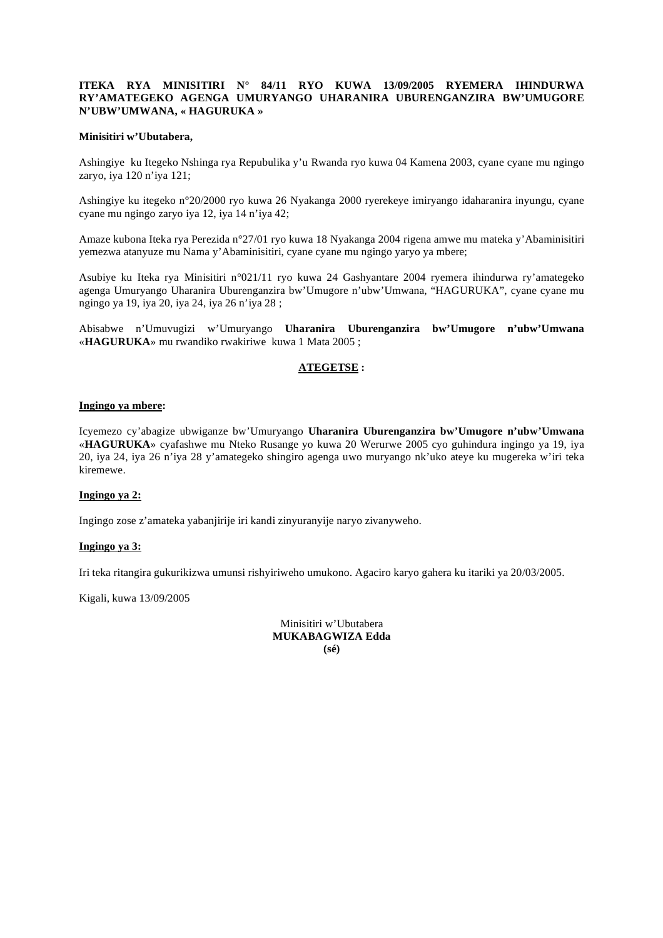### **ITEKA RYA MINISITIRI N° 84/11 RYO KUWA 13/09/2005 RYEMERA IHINDURWA RY'AMATEGEKO AGENGA UMURYANGO UHARANIRA UBURENGANZIRA BW'UMUGORE N'UBW'UMWANA, « HAGURUKA »**

#### **Minisitiri w'Ubutabera,**

Ashingiye ku Itegeko Nshinga rya Repubulika y'u Rwanda ryo kuwa 04 Kamena 2003, cyane cyane mu ngingo zaryo, iya 120 n'iya 121;

Ashingiye ku itegeko n°20/2000 ryo kuwa 26 Nyakanga 2000 ryerekeye imiryango idaharanira inyungu, cyane cyane mu ngingo zaryo iya 12, iya 14 n'iya 42;

Amaze kubona Iteka rya Perezida n°27/01 ryo kuwa 18 Nyakanga 2004 rigena amwe mu mateka y'Abaminisitiri yemezwa atanyuze mu Nama y'Abaminisitiri, cyane cyane mu ngingo yaryo ya mbere;

Asubiye ku Iteka rya Minisitiri n°021/11 ryo kuwa 24 Gashyantare 2004 ryemera ihindurwa ry'amategeko agenga Umuryango Uharanira Uburenganzira bw'Umugore n'ubw'Umwana, "HAGURUKA", cyane cyane mu ngingo ya 19, iya 20, iya 24, iya 26 n'iya 28 ;

Abisabwe n'Umuvugizi w'Umuryango **Uharanira Uburenganzira bw'Umugore n'ubw'Umwana**  «**HAGURUKA**» mu rwandiko rwakiriwe kuwa 1 Mata 2005 ;

# **ATEGETSE :**

#### **Ingingo ya mbere:**

Icyemezo cy'abagize ubwiganze bw'Umuryango **Uharanira Uburenganzira bw'Umugore n'ubw'Umwana**  «**HAGURUKA**» cyafashwe mu Nteko Rusange yo kuwa 20 Werurwe 2005 cyo guhindura ingingo ya 19, iya 20, iya 24, iya 26 n'iya 28 y'amategeko shingiro agenga uwo muryango nk'uko ateye ku mugereka w'iri teka kiremewe.

#### **Ingingo ya 2:**

Ingingo zose z'amateka yabanjirije iri kandi zinyuranyije naryo zivanyweho.

#### **Ingingo ya 3:**

Iri teka ritangira gukurikizwa umunsi rishyiriweho umukono. Agaciro karyo gahera ku itariki ya 20/03/2005.

Kigali, kuwa 13/09/2005

Minisitiri w'Ubutabera **MUKABAGWIZA Edda (sé)**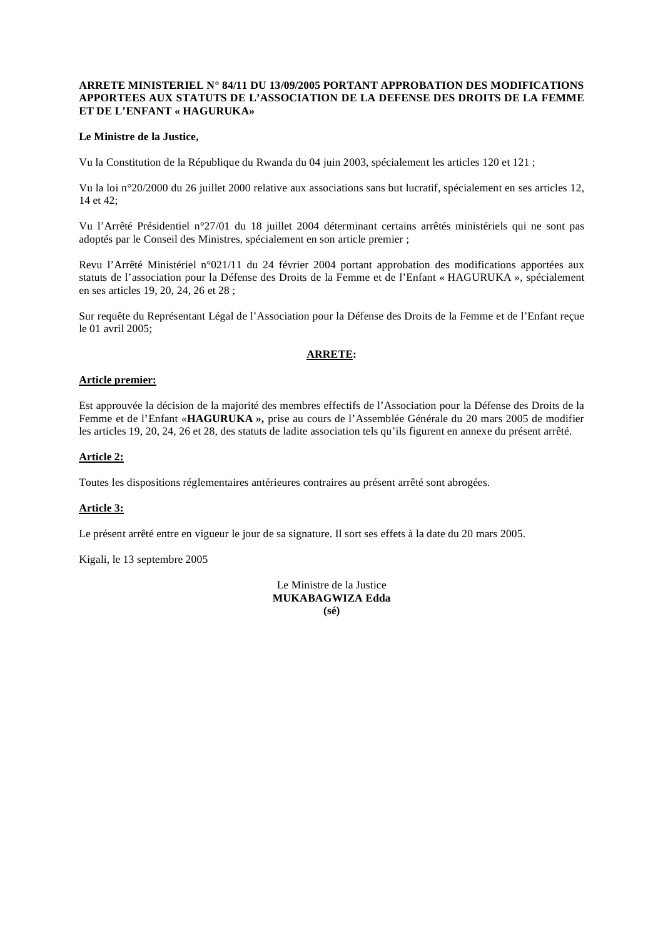### **ARRETE MINISTERIEL N° 84/11 DU 13/09/2005 PORTANT APPROBATION DES MODIFICATIONS APPORTEES AUX STATUTS DE L'ASSOCIATION DE LA DEFENSE DES DROITS DE LA FEMME ET DE L'ENFANT « HAGURUKA»**

### **Le Ministre de la Justice,**

Vu la Constitution de la République du Rwanda du 04 juin 2003, spécialement les articles 120 et 121 ;

Vu la loi n°20/2000 du 26 juillet 2000 relative aux associations sans but lucratif, spécialement en ses articles 12, 14 et 42;

Vu l'Arrêté Présidentiel n°27/01 du 18 juillet 2004 déterminant certains arrêtés ministériels qui ne sont pas adoptés par le Conseil des Ministres, spécialement en son article premier ;

Revu l'Arrêté Ministériel n°021/11 du 24 février 2004 portant approbation des modifications apportées aux statuts de l'association pour la Défense des Droits de la Femme et de l'Enfant « HAGURUKA », spécialement en ses articles 19, 20, 24, 26 et 28 ;

Sur requête du Représentant Légal de l'Association pour la Défense des Droits de la Femme et de l'Enfant reçue le 01 avril 2005;

# **ARRETE:**

#### **Article premier:**

Est approuvée la décision de la majorité des membres effectifs de l'Association pour la Défense des Droits de la Femme et de l'Enfant «**HAGURUKA »,** prise au cours de l'Assemblée Générale du 20 mars 2005 de modifier les articles 19, 20, 24, 26 et 28, des statuts de ladite association tels qu'ils figurent en annexe du présent arrêté.

### **Article 2:**

Toutes les dispositions réglementaires antérieures contraires au présent arrêté sont abrogées.

#### **Article 3:**

Le présent arrêté entre en vigueur le jour de sa signature. Il sort ses effets à la date du 20 mars 2005.

Kigali, le 13 septembre 2005

Le Ministre de la Justice **MUKABAGWIZA Edda (sé)**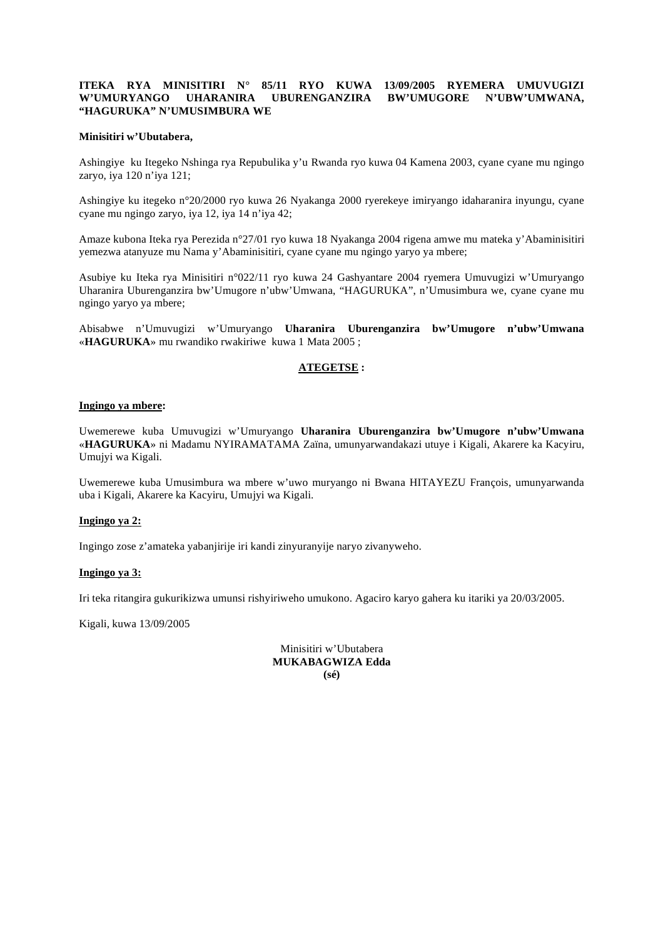#### **ITEKA RYA MINISITIRI N° 85/11 RYO KUWA 13/09/2005 RYEMERA UMUVUGIZI**  UBURENGANZIRA BW'UMUGORE N'UBW'UMWANA, **"HAGURUKA" N'UMUSIMBURA WE**

#### **Minisitiri w'Ubutabera,**

Ashingiye ku Itegeko Nshinga rya Repubulika y'u Rwanda ryo kuwa 04 Kamena 2003, cyane cyane mu ngingo zaryo, iya 120 n'iya 121;

Ashingiye ku itegeko n°20/2000 ryo kuwa 26 Nyakanga 2000 ryerekeye imiryango idaharanira inyungu, cyane cyane mu ngingo zaryo, iya 12, iya 14 n'iya 42;

Amaze kubona Iteka rya Perezida n°27/01 ryo kuwa 18 Nyakanga 2004 rigena amwe mu mateka y'Abaminisitiri yemezwa atanyuze mu Nama y'Abaminisitiri, cyane cyane mu ngingo yaryo ya mbere;

Asubiye ku Iteka rya Minisitiri n°022/11 ryo kuwa 24 Gashyantare 2004 ryemera Umuvugizi w'Umuryango Uharanira Uburenganzira bw'Umugore n'ubw'Umwana, "HAGURUKA", n'Umusimbura we, cyane cyane mu ngingo yaryo ya mbere;

Abisabwe n'Umuvugizi w'Umuryango **Uharanira Uburenganzira bw'Umugore n'ubw'Umwana**  «**HAGURUKA**» mu rwandiko rwakiriwe kuwa 1 Mata 2005 ;

#### **ATEGETSE :**

#### **Ingingo ya mbere:**

Uwemerewe kuba Umuvugizi w'Umuryango **Uharanira Uburenganzira bw'Umugore n'ubw'Umwana**  «**HAGURUKA**» ni Madamu NYIRAMATAMA Zaïna, umunyarwandakazi utuye i Kigali, Akarere ka Kacyiru, Umujyi wa Kigali.

Uwemerewe kuba Umusimbura wa mbere w'uwo muryango ni Bwana HITAYEZU François, umunyarwanda uba i Kigali, Akarere ka Kacyiru, Umujyi wa Kigali.

#### **Ingingo ya 2:**

Ingingo zose z'amateka yabanjirije iri kandi zinyuranyije naryo zivanyweho.

#### **Ingingo ya 3:**

Iri teka ritangira gukurikizwa umunsi rishyiriweho umukono. Agaciro karyo gahera ku itariki ya 20/03/2005.

Kigali, kuwa 13/09/2005

Minisitiri w'Ubutabera **MUKABAGWIZA Edda (sé)**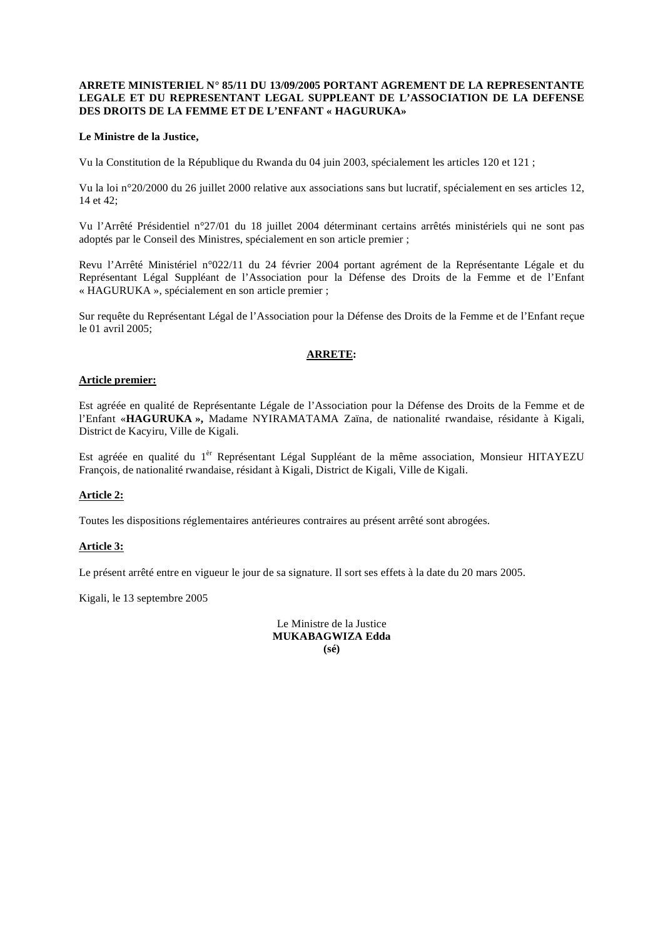#### **ARRETE MINISTERIEL N° 85/11 DU 13/09/2005 PORTANT AGREMENT DE LA REPRESENTANTE LEGALE ET DU REPRESENTANT LEGAL SUPPLEANT DE L'ASSOCIATION DE LA DEFENSE DES DROITS DE LA FEMME ET DE L'ENFANT « HAGURUKA»**

### **Le Ministre de la Justice,**

Vu la Constitution de la République du Rwanda du 04 juin 2003, spécialement les articles 120 et 121 ;

Vu la loi n°20/2000 du 26 juillet 2000 relative aux associations sans but lucratif, spécialement en ses articles 12, 14 et 42;

Vu l'Arrêté Présidentiel n°27/01 du 18 juillet 2004 déterminant certains arrêtés ministériels qui ne sont pas adoptés par le Conseil des Ministres, spécialement en son article premier ;

Revu l'Arrêté Ministériel n°022/11 du 24 février 2004 portant agrément de la Représentante Légale et du Représentant Légal Suppléant de l'Association pour la Défense des Droits de la Femme et de l'Enfant « HAGURUKA », spécialement en son article premier ;

Sur requête du Représentant Légal de l'Association pour la Défense des Droits de la Femme et de l'Enfant reçue le 01 avril 2005;

# **ARRETE:**

#### **Article premier:**

Est agréée en qualité de Représentante Légale de l'Association pour la Défense des Droits de la Femme et de l'Enfant «**HAGURUKA »,** Madame NYIRAMATAMA Zaïna, de nationalité rwandaise, résidante à Kigali, District de Kacyiru, Ville de Kigali.

Est agréée en qualité du 1<sup>èr</sup> Représentant Légal Suppléant de la même association, Monsieur HITAYEZU François, de nationalité rwandaise, résidant à Kigali, District de Kigali, Ville de Kigali.

# **Article 2:**

Toutes les dispositions réglementaires antérieures contraires au présent arrêté sont abrogées.

#### **Article 3:**

Le présent arrêté entre en vigueur le jour de sa signature. Il sort ses effets à la date du 20 mars 2005.

Kigali, le 13 septembre 2005

Le Ministre de la Justice **MUKABAGWIZA Edda (sé)**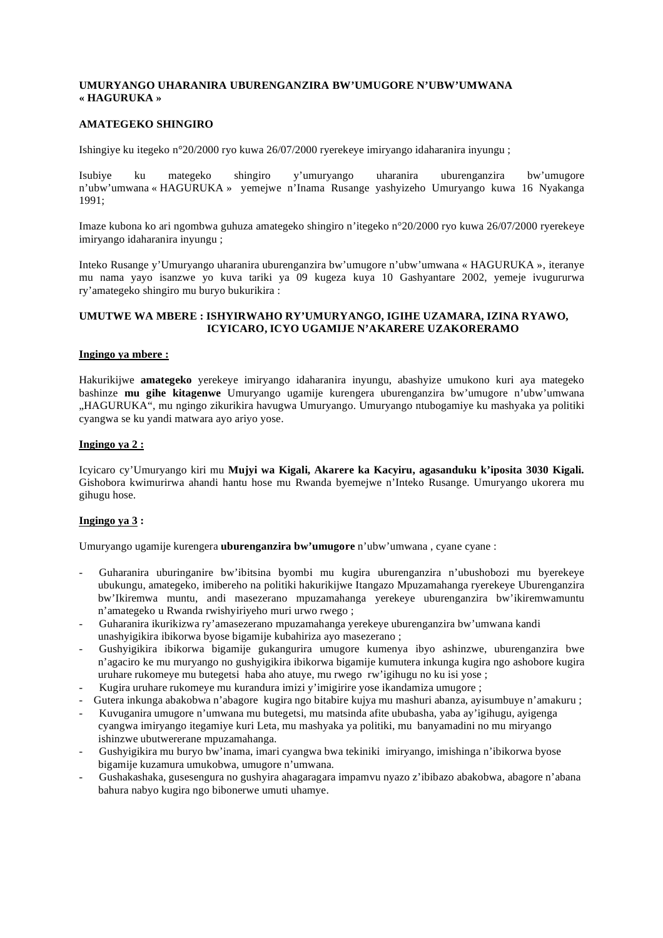# **UMURYANGO UHARANIRA UBURENGANZIRA BW'UMUGORE N'UBW'UMWANA « HAGURUKA »**

### **AMATEGEKO SHINGIRO**

Ishingiye ku itegeko n°20/2000 ryo kuwa 26/07/2000 ryerekeye imiryango idaharanira inyungu ;

Isubiye ku mategeko shingiro y'umuryango uharanira uburenganzira bw'umugore n'ubw'umwana « HAGURUKA » yemejwe n'Inama Rusange yashyizeho Umuryango kuwa 16 Nyakanga 1991;

Imaze kubona ko ari ngombwa guhuza amategeko shingiro n'itegeko n°20/2000 ryo kuwa 26/07/2000 ryerekeye imiryango idaharanira inyungu ;

Inteko Rusange y'Umuryango uharanira uburenganzira bw'umugore n'ubw'umwana « HAGURUKA », iteranye mu nama yayo isanzwe yo kuva tariki ya 09 kugeza kuya 10 Gashyantare 2002, yemeje ivugururwa ry'amategeko shingiro mu buryo bukurikira :

### **UMUTWE WA MBERE : ISHYIRWAHO RY'UMURYANGO, IGIHE UZAMARA, IZINA RYAWO, ICYICARO, ICYO UGAMIJE N'AKARERE UZAKORERAMO**

#### **Ingingo ya mbere :**

Hakurikijwe **amategeko** yerekeye imiryango idaharanira inyungu, abashyize umukono kuri aya mategeko bashinze **mu gihe kitagenwe** Umuryango ugamije kurengera uburenganzira bw'umugore n'ubw'umwana "HAGURUKA", mu ngingo zikurikira havugwa Umuryango. Umuryango ntubogamiye ku mashyaka ya politiki cyangwa se ku yandi matwara ayo ariyo yose.

### **Ingingo ya 2 :**

Icyicaro cy'Umuryango kiri mu **Mujyi wa Kigali, Akarere ka Kacyiru, agasanduku k'iposita 3030 Kigali.**  Gishobora kwimurirwa ahandi hantu hose mu Rwanda byemejwe n'Inteko Rusange. Umuryango ukorera mu gihugu hose.

# **Ingingo ya 3 :**

Umuryango ugamije kurengera **uburenganzira bw'umugore** n'ubw'umwana , cyane cyane :

- Guharanira uburinganire bw'ibitsina byombi mu kugira uburenganzira n'ubushobozi mu byerekeye ubukungu, amategeko, imibereho na politiki hakurikijwe Itangazo Mpuzamahanga ryerekeye Uburenganzira bw'Ikiremwa muntu, andi masezerano mpuzamahanga yerekeye uburenganzira bw'ikiremwamuntu n'amategeko u Rwanda rwishyiriyeho muri urwo rwego ;
- Guharanira ikurikizwa ry'amasezerano mpuzamahanga yerekeye uburenganzira bw'umwana kandi unashyigikira ibikorwa byose bigamije kubahiriza ayo masezerano ;
- Gushyigikira ibikorwa bigamije gukangurira umugore kumenya ibyo ashinzwe, uburenganzira bwe n'agaciro ke mu muryango no gushyigikira ibikorwa bigamije kumutera inkunga kugira ngo ashobore kugira uruhare rukomeye mu butegetsi haba aho atuye, mu rwego rw'igihugu no ku isi yose ;
- Kugira uruhare rukomeye mu kurandura imizi y'imigirire yose ikandamiza umugore ;
- Gutera inkunga abakobwa n'abagore kugira ngo bitabire kujya mu mashuri abanza, ayisumbuye n'amakuru ;
- Kuvuganira umugore n'umwana mu butegetsi, mu matsinda afite ububasha, yaba ay'igihugu, ayigenga cyangwa imiryango itegamiye kuri Leta, mu mashyaka ya politiki, mu banyamadini no mu miryango ishinzwe ubutwererane mpuzamahanga.
- Gushyigikira mu buryo bw'inama, imari cyangwa bwa tekiniki imiryango, imishinga n'ibikorwa byose bigamije kuzamura umukobwa, umugore n'umwana.
- Gushakashaka, gusesengura no gushyira ahagaragara impamvu nyazo z'ibibazo abakobwa, abagore n'abana bahura nabyo kugira ngo bibonerwe umuti uhamye.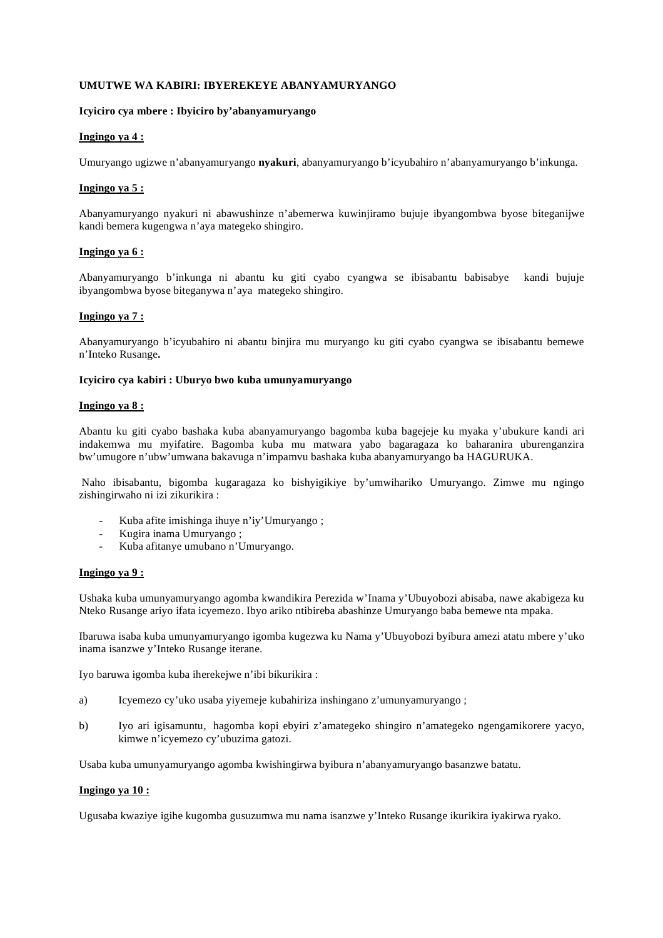### **UMUTWE WA KABIRI: IBYEREKEYE ABANYAMURYANGO**

# **Icyiciro cya mbere : Ibyiciro by'abanyamuryango**

#### **Ingingo ya 4 :**

Umuryango ugizwe n'abanyamuryango **nyakuri**, abanyamuryango b'icyubahiro n'abanyamuryango b'inkunga.

### **Ingingo ya 5 :**

Abanyamuryango nyakuri ni abawushinze n'abemerwa kuwinjiramo bujuje ibyangombwa byose biteganijwe kandi bemera kugengwa n'aya mategeko shingiro.

#### **Ingingo ya 6 :**

Abanyamuryango b'inkunga ni abantu ku giti cyabo cyangwa se ibisabantu babisabye kandi bujuje ibyangombwa byose biteganywa n'aya mategeko shingiro.

# **Ingingo ya 7 :**

Abanyamuryango b'icyubahiro ni abantu binjira mu muryango ku giti cyabo cyangwa se ibisabantu bemewe n'Inteko Rusange**.**

### **Icyiciro cya kabiri : Uburyo bwo kuba umunyamuryango**

#### **Ingingo ya 8 :**

Abantu ku giti cyabo bashaka kuba abanyamuryango bagomba kuba bagejeje ku myaka y'ubukure kandi ari indakemwa mu myifatire. Bagomba kuba mu matwara yabo bagaragaza ko baharanira uburenganzira bw'umugore n'ubw'umwana bakavuga n'impamvu bashaka kuba abanyamuryango ba HAGURUKA.

 Naho ibisabantu, bigomba kugaragaza ko bishyigikiye by'umwihariko Umuryango. Zimwe mu ngingo zishingirwaho ni izi zikurikira :

- Kuba afite imishinga ihuye n'iy'Umuryango ;
- Kugira inama Umuryango ;
- Kuba afitanye umubano n'Umuryango.

#### **Ingingo ya 9 :**

Ushaka kuba umunyamuryango agomba kwandikira Perezida w'Inama y'Ubuyobozi abisaba, nawe akabigeza ku Nteko Rusange ariyo ifata icyemezo. Ibyo ariko ntibireba abashinze Umuryango baba bemewe nta mpaka.

Ibaruwa isaba kuba umunyamuryango igomba kugezwa ku Nama y'Ubuyobozi byibura amezi atatu mbere y'uko inama isanzwe y'Inteko Rusange iterane.

Iyo baruwa igomba kuba iherekejwe n'ibi bikurikira :

- a) Icyemezo cy'uko usaba yiyemeje kubahiriza inshingano z'umunyamuryango ;
- b) Iyo ari igisamuntu, hagomba kopi ebyiri z'amategeko shingiro n'amategeko ngengamikorere yacyo, kimwe n'icyemezo cy'ubuzima gatozi.

Usaba kuba umunyamuryango agomba kwishingirwa byibura n'abanyamuryango basanzwe batatu.

#### **Ingingo ya 10 :**

Ugusaba kwaziye igihe kugomba gusuzumwa mu nama isanzwe y'Inteko Rusange ikurikira iyakirwa ryako.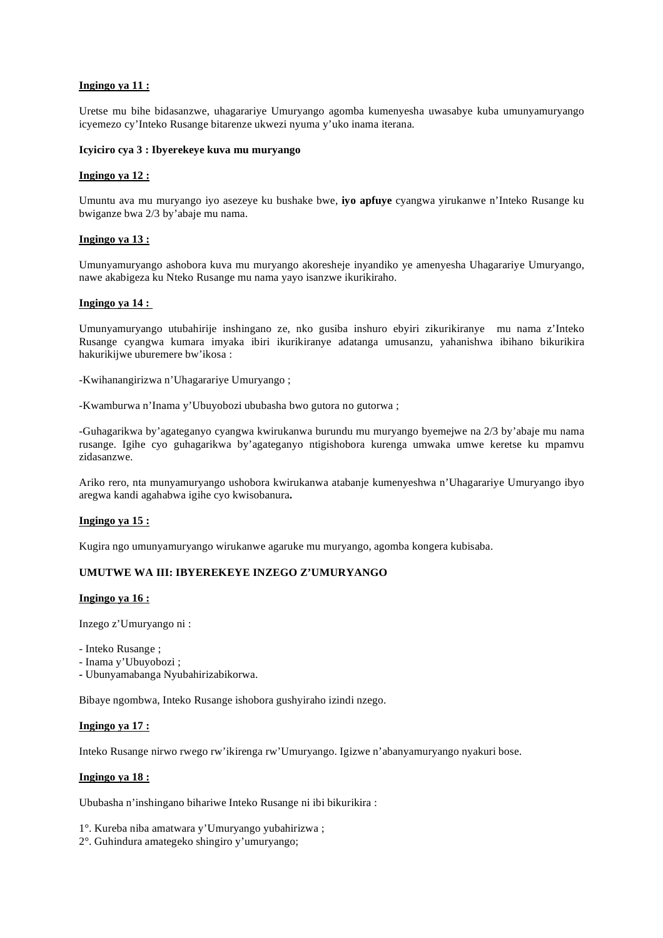# **Ingingo ya 11 :**

Uretse mu bihe bidasanzwe, uhagarariye Umuryango agomba kumenyesha uwasabye kuba umunyamuryango icyemezo cy'Inteko Rusange bitarenze ukwezi nyuma y'uko inama iterana.

#### **Icyiciro cya 3 : Ibyerekeye kuva mu muryango**

#### **Ingingo ya 12 :**

Umuntu ava mu muryango iyo asezeye ku bushake bwe, **iyo apfuye** cyangwa yirukanwe n'Inteko Rusange ku bwiganze bwa 2/3 by'abaje mu nama.

### **Ingingo ya 13 :**

Umunyamuryango ashobora kuva mu muryango akoresheje inyandiko ye amenyesha Uhagarariye Umuryango, nawe akabigeza ku Nteko Rusange mu nama yayo isanzwe ikurikiraho.

# **Ingingo ya 14 :**

Umunyamuryango utubahirije inshingano ze, nko gusiba inshuro ebyiri zikurikiranye mu nama z'Inteko Rusange cyangwa kumara imyaka ibiri ikurikiranye adatanga umusanzu, yahanishwa ibihano bikurikira hakurikijwe uburemere bw'ikosa :

-Kwihanangirizwa n'Uhagarariye Umuryango ;

-Kwamburwa n'Inama y'Ubuyobozi ububasha bwo gutora no gutorwa ;

-Guhagarikwa by'agateganyo cyangwa kwirukanwa burundu mu muryango byemejwe na 2/3 by'abaje mu nama rusange. Igihe cyo guhagarikwa by'agateganyo ntigishobora kurenga umwaka umwe keretse ku mpamvu zidasanzwe.

Ariko rero, nta munyamuryango ushobora kwirukanwa atabanje kumenyeshwa n'Uhagarariye Umuryango ibyo aregwa kandi agahabwa igihe cyo kwisobanura**.** 

#### **Ingingo ya 15 :**

Kugira ngo umunyamuryango wirukanwe agaruke mu muryango, agomba kongera kubisaba.

### **UMUTWE WA III: IBYEREKEYE INZEGO Z'UMURYANGO**

#### **Ingingo ya 16 :**

Inzego z'Umuryango ni :

- Inteko Rusange ;
- Inama y'Ubuyobozi ;
- Ubunyamabanga Nyubahirizabikorwa.

Bibaye ngombwa, Inteko Rusange ishobora gushyiraho izindi nzego.

#### **Ingingo ya 17 :**

Inteko Rusange nirwo rwego rw'ikirenga rw'Umuryango. Igizwe n'abanyamuryango nyakuri bose.

#### **Ingingo ya 18 :**

Ububasha n'inshingano bihariwe Inteko Rusange ni ibi bikurikira :

- 1°. Kureba niba amatwara y'Umuryango yubahirizwa ;
- 2°. Guhindura amategeko shingiro y'umuryango;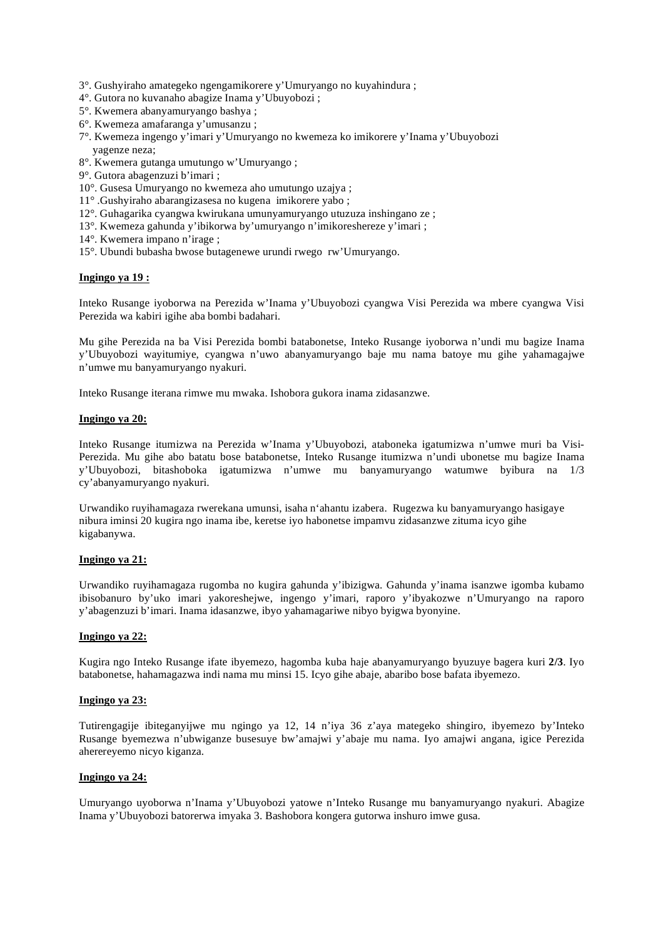- 3°. Gushyiraho amategeko ngengamikorere y'Umuryango no kuyahindura ;
- 4°. Gutora no kuvanaho abagize Inama y'Ubuyobozi ;
- 5°. Kwemera abanyamuryango bashya ;
- 6°. Kwemeza amafaranga y'umusanzu ;
- 7°. Kwemeza ingengo y'imari y'Umuryango no kwemeza ko imikorere y'Inama y'Ubuyobozi yagenze neza;
- 8°. Kwemera gutanga umutungo w'Umuryango ;
- 9°. Gutora abagenzuzi b'imari ;
- 10°. Gusesa Umuryango no kwemeza aho umutungo uzajya ;
- 11° .Gushyiraho abarangizasesa no kugena imikorere yabo ;
- 12°. Guhagarika cyangwa kwirukana umunyamuryango utuzuza inshingano ze ;
- 13°. Kwemeza gahunda y'ibikorwa by'umuryango n'imikoreshereze y'imari ;
- 14°. Kwemera impano n'irage ;
- 15°. Ubundi bubasha bwose butagenewe urundi rwego rw'Umuryango.

#### **Ingingo ya 19 :**

Inteko Rusange iyoborwa na Perezida w'Inama y'Ubuyobozi cyangwa Visi Perezida wa mbere cyangwa Visi Perezida wa kabiri igihe aba bombi badahari.

Mu gihe Perezida na ba Visi Perezida bombi batabonetse, Inteko Rusange iyoborwa n'undi mu bagize Inama y'Ubuyobozi wayitumiye, cyangwa n'uwo abanyamuryango baje mu nama batoye mu gihe yahamagajwe n'umwe mu banyamuryango nyakuri.

Inteko Rusange iterana rimwe mu mwaka. Ishobora gukora inama zidasanzwe.

#### **Ingingo ya 20:**

Inteko Rusange itumizwa na Perezida w'Inama y'Ubuyobozi, ataboneka igatumizwa n'umwe muri ba Visi-Perezida. Mu gihe abo batatu bose batabonetse, Inteko Rusange itumizwa n'undi ubonetse mu bagize Inama y'Ubuyobozi, bitashoboka igatumizwa n'umwe mu banyamuryango watumwe byibura na 1/3 cy'abanyamuryango nyakuri.

Urwandiko ruyihamagaza rwerekana umunsi, isaha n'ahantu izabera. Rugezwa ku banyamuryango hasigaye nibura iminsi 20 kugira ngo inama ibe, keretse iyo habonetse impamvu zidasanzwe zituma icyo gihe kigabanywa.

# **Ingingo ya 21:**

Urwandiko ruyihamagaza rugomba no kugira gahunda y'ibizigwa. Gahunda y'inama isanzwe igomba kubamo ibisobanuro by'uko imari yakoreshejwe, ingengo y'imari, raporo y'ibyakozwe n'Umuryango na raporo y'abagenzuzi b'imari. Inama idasanzwe, ibyo yahamagariwe nibyo byigwa byonyine.

#### **Ingingo ya 22:**

Kugira ngo Inteko Rusange ifate ibyemezo, hagomba kuba haje abanyamuryango byuzuye bagera kuri **2/3**. Iyo batabonetse, hahamagazwa indi nama mu minsi 15. Icyo gihe abaje, abaribo bose bafata ibyemezo.

#### **Ingingo ya 23:**

Tutirengagije ibiteganyijwe mu ngingo ya 12, 14 n'iya 36 z'aya mategeko shingiro, ibyemezo by'Inteko Rusange byemezwa n'ubwiganze busesuye bw'amajwi y'abaje mu nama. Iyo amajwi angana, igice Perezida aherereyemo nicyo kiganza.

#### **Ingingo ya 24:**

Umuryango uyoborwa n'Inama y'Ubuyobozi yatowe n'Inteko Rusange mu banyamuryango nyakuri. Abagize Inama y'Ubuyobozi batorerwa imyaka 3. Bashobora kongera gutorwa inshuro imwe gusa.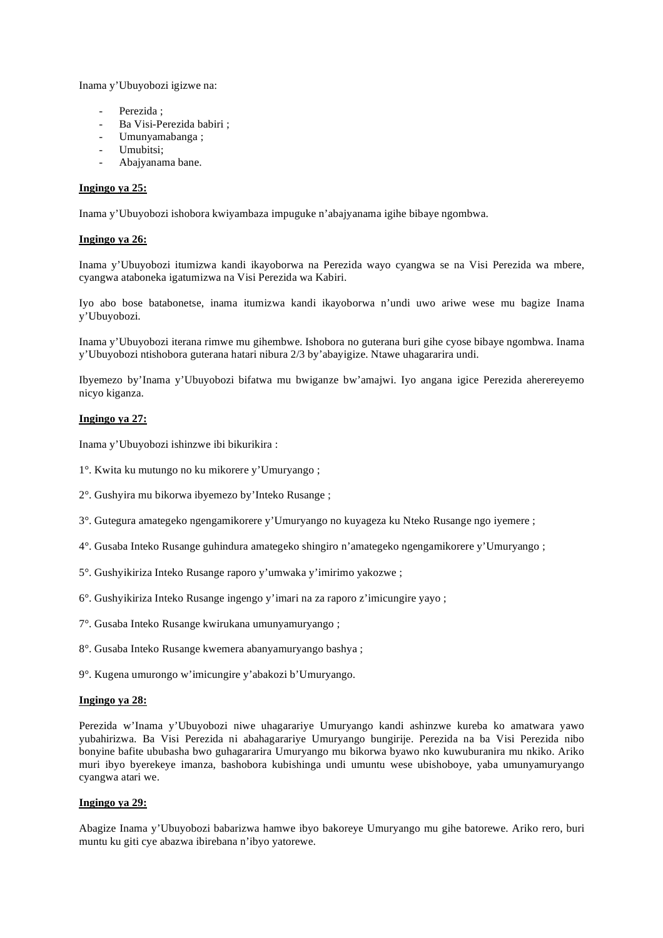Inama y'Ubuyobozi igizwe na:

- Perezida :
- Ba Visi-Perezida babiri ;
- Umunyamabanga ;
- Umubitsi:
- Abajyanama bane.

### **Ingingo ya 25:**

Inama y'Ubuyobozi ishobora kwiyambaza impuguke n'abajyanama igihe bibaye ngombwa.

# **Ingingo ya 26:**

Inama y'Ubuyobozi itumizwa kandi ikayoborwa na Perezida wayo cyangwa se na Visi Perezida wa mbere, cyangwa ataboneka igatumizwa na Visi Perezida wa Kabiri.

Iyo abo bose batabonetse, inama itumizwa kandi ikayoborwa n'undi uwo ariwe wese mu bagize Inama y'Ubuyobozi.

Inama y'Ubuyobozi iterana rimwe mu gihembwe. Ishobora no guterana buri gihe cyose bibaye ngombwa. Inama y'Ubuyobozi ntishobora guterana hatari nibura 2/3 by'abayigize. Ntawe uhagararira undi.

Ibyemezo by'Inama y'Ubuyobozi bifatwa mu bwiganze bw'amajwi. Iyo angana igice Perezida aherereyemo nicyo kiganza.

# **Ingingo ya 27:**

Inama y'Ubuyobozi ishinzwe ibi bikurikira :

- 1°. Kwita ku mutungo no ku mikorere y'Umuryango ;
- 2°. Gushyira mu bikorwa ibyemezo by'Inteko Rusange ;
- 3°. Gutegura amategeko ngengamikorere y'Umuryango no kuyageza ku Nteko Rusange ngo iyemere ;
- 4°. Gusaba Inteko Rusange guhindura amategeko shingiro n'amategeko ngengamikorere y'Umuryango ;
- 5°. Gushyikiriza Inteko Rusange raporo y'umwaka y'imirimo yakozwe ;
- 6°. Gushyikiriza Inteko Rusange ingengo y'imari na za raporo z'imicungire yayo ;
- 7°. Gusaba Inteko Rusange kwirukana umunyamuryango ;
- 8°. Gusaba Inteko Rusange kwemera abanyamuryango bashya ;
- 9°. Kugena umurongo w'imicungire y'abakozi b'Umuryango.

#### **Ingingo ya 28:**

Perezida w'Inama y'Ubuyobozi niwe uhagarariye Umuryango kandi ashinzwe kureba ko amatwara yawo yubahirizwa. Ba Visi Perezida ni abahagarariye Umuryango bungirije. Perezida na ba Visi Perezida nibo bonyine bafite ububasha bwo guhagararira Umuryango mu bikorwa byawo nko kuwuburanira mu nkiko. Ariko muri ibyo byerekeye imanza, bashobora kubishinga undi umuntu wese ubishoboye, yaba umunyamuryango cyangwa atari we.

#### **Ingingo ya 29:**

Abagize Inama y'Ubuyobozi babarizwa hamwe ibyo bakoreye Umuryango mu gihe batorewe. Ariko rero, buri muntu ku giti cye abazwa ibirebana n'ibyo yatorewe.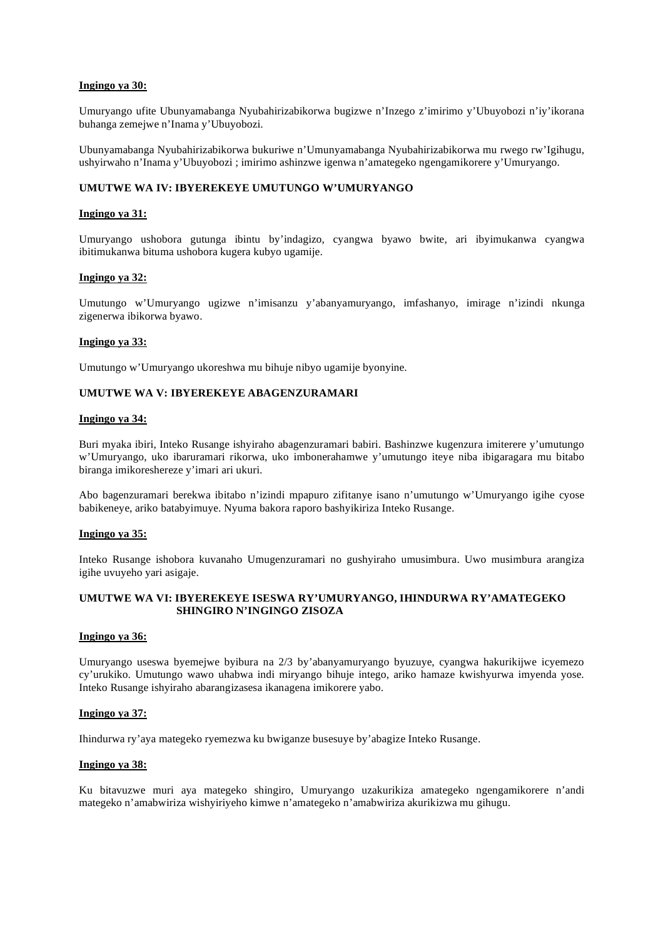# **Ingingo ya 30:**

Umuryango ufite Ubunyamabanga Nyubahirizabikorwa bugizwe n'Inzego z'imirimo y'Ubuyobozi n'iy'ikorana buhanga zemejwe n'Inama y'Ubuyobozi.

Ubunyamabanga Nyubahirizabikorwa bukuriwe n'Umunyamabanga Nyubahirizabikorwa mu rwego rw'Igihugu, ushyirwaho n'Inama y'Ubuyobozi ; imirimo ashinzwe igenwa n'amategeko ngengamikorere y'Umuryango.

# **UMUTWE WA IV: IBYEREKEYE UMUTUNGO W'UMURYANGO**

### **Ingingo ya 31:**

Umuryango ushobora gutunga ibintu by'indagizo, cyangwa byawo bwite, ari ibyimukanwa cyangwa ibitimukanwa bituma ushobora kugera kubyo ugamije.

#### **Ingingo ya 32:**

Umutungo w'Umuryango ugizwe n'imisanzu y'abanyamuryango, imfashanyo, imirage n'izindi nkunga zigenerwa ibikorwa byawo.

#### **Ingingo ya 33:**

Umutungo w'Umuryango ukoreshwa mu bihuje nibyo ugamije byonyine.

# **UMUTWE WA V: IBYEREKEYE ABAGENZURAMARI**

#### **Ingingo ya 34:**

Buri myaka ibiri, Inteko Rusange ishyiraho abagenzuramari babiri. Bashinzwe kugenzura imiterere y'umutungo w'Umuryango, uko ibaruramari rikorwa, uko imbonerahamwe y'umutungo iteye niba ibigaragara mu bitabo biranga imikoreshereze y'imari ari ukuri.

Abo bagenzuramari berekwa ibitabo n'izindi mpapuro zifitanye isano n'umutungo w'Umuryango igihe cyose babikeneye, ariko batabyimuye. Nyuma bakora raporo bashyikiriza Inteko Rusange.

### **Ingingo ya 35:**

Inteko Rusange ishobora kuvanaho Umugenzuramari no gushyiraho umusimbura. Uwo musimbura arangiza igihe uvuyeho yari asigaje.

# **UMUTWE WA VI: IBYEREKEYE ISESWA RY'UMURYANGO, IHINDURWA RY'AMATEGEKO SHINGIRO N'INGINGO ZISOZA**

#### **Ingingo ya 36:**

Umuryango useswa byemejwe byibura na 2/3 by'abanyamuryango byuzuye, cyangwa hakurikijwe icyemezo cy'urukiko. Umutungo wawo uhabwa indi miryango bihuje intego, ariko hamaze kwishyurwa imyenda yose. Inteko Rusange ishyiraho abarangizasesa ikanagena imikorere yabo.

#### **Ingingo ya 37:**

Ihindurwa ry'aya mategeko ryemezwa ku bwiganze busesuye by'abagize Inteko Rusange.

#### **Ingingo ya 38:**

Ku bitavuzwe muri aya mategeko shingiro, Umuryango uzakurikiza amategeko ngengamikorere n'andi mategeko n'amabwiriza wishyiriyeho kimwe n'amategeko n'amabwiriza akurikizwa mu gihugu.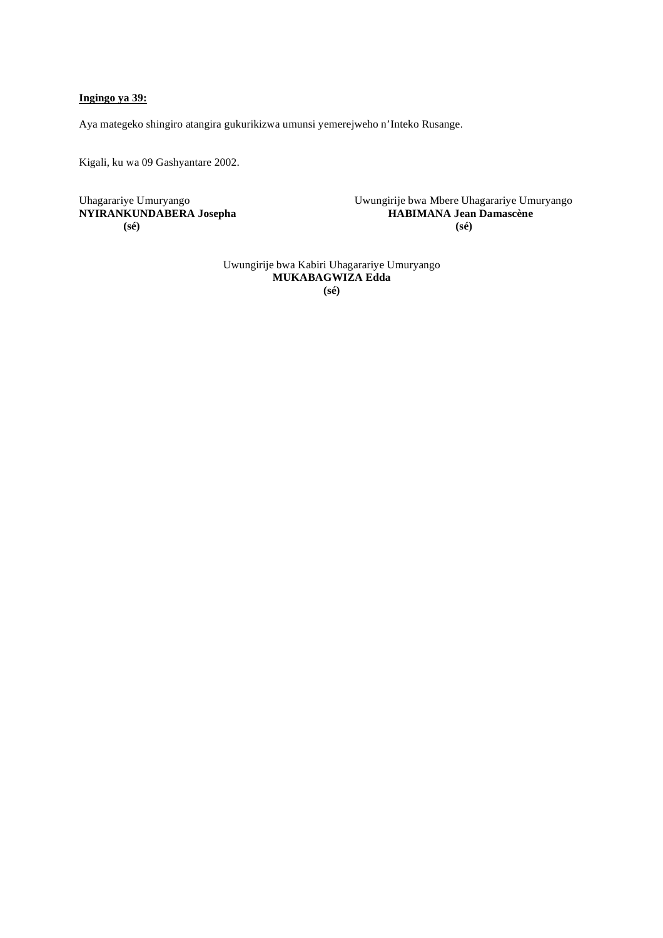# **Ingingo ya 39:**

Aya mategeko shingiro atangira gukurikizwa umunsi yemerejweho n'Inteko Rusange.

Kigali, ku wa 09 Gashyantare 2002.

 **(sé) (sé)** 

Uhagarariye Umuryango Uwungirije bwa Mbere Uhagarariye Umuryango **NYIRANKUNDABERA Josepha HABIMANA Jean Damascène**

> Uwungirije bwa Kabiri Uhagarariye Umuryango **MUKABAGWIZA Edda (sé)**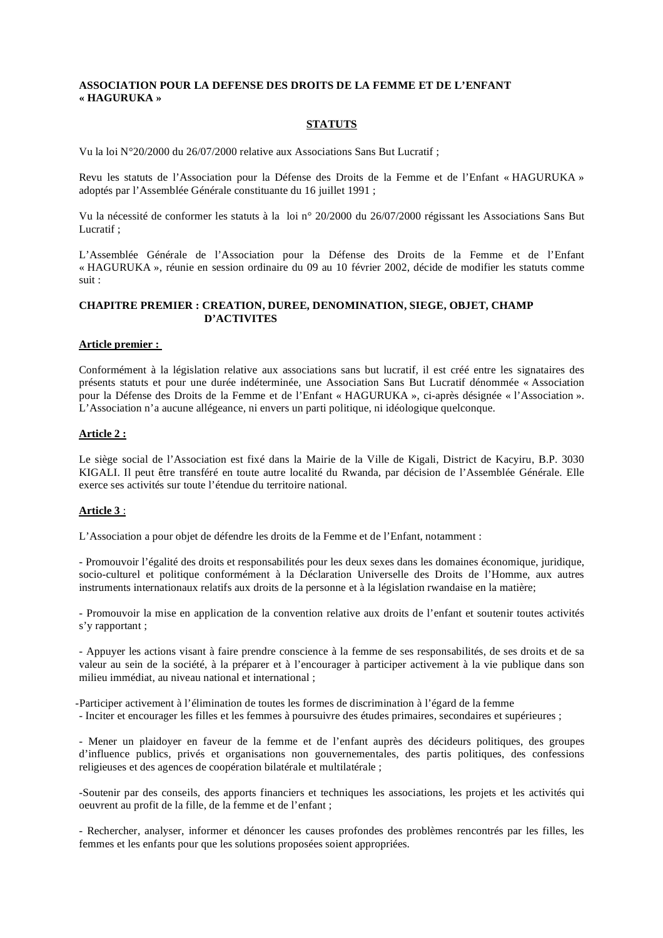# **ASSOCIATION POUR LA DEFENSE DES DROITS DE LA FEMME ET DE L'ENFANT « HAGURUKA »**

# **STATUTS**

Vu la loi N°20/2000 du 26/07/2000 relative aux Associations Sans But Lucratif ;

Revu les statuts de l'Association pour la Défense des Droits de la Femme et de l'Enfant « HAGURUKA » adoptés par l'Assemblée Générale constituante du 16 juillet 1991 ;

Vu la nécessité de conformer les statuts à la loi n° 20/2000 du 26/07/2000 régissant les Associations Sans But Lucratif ;

L'Assemblée Générale de l'Association pour la Défense des Droits de la Femme et de l'Enfant « HAGURUKA », réunie en session ordinaire du 09 au 10 février 2002, décide de modifier les statuts comme suit :

# **CHAPITRE PREMIER : CREATION, DUREE, DENOMINATION, SIEGE, OBJET, CHAMP D'ACTIVITES**

#### **Article premier :**

Conformément à la législation relative aux associations sans but lucratif, il est créé entre les signataires des présents statuts et pour une durée indéterminée, une Association Sans But Lucratif dénommée « Association pour la Défense des Droits de la Femme et de l'Enfant « HAGURUKA », ci-après désignée « l'Association ». L'Association n'a aucune allégeance, ni envers un parti politique, ni idéologique quelconque.

#### **Article 2 :**

Le siège social de l'Association est fixé dans la Mairie de la Ville de Kigali, District de Kacyiru, B.P. 3030 KIGALI. Il peut être transféré en toute autre localité du Rwanda, par décision de l'Assemblée Générale. Elle exerce ses activités sur toute l'étendue du territoire national.

#### **Article 3** :

L'Association a pour objet de défendre les droits de la Femme et de l'Enfant, notamment :

- Promouvoir l'égalité des droits et responsabilités pour les deux sexes dans les domaines économique, juridique, socio-culturel et politique conformément à la Déclaration Universelle des Droits de l'Homme, aux autres instruments internationaux relatifs aux droits de la personne et à la législation rwandaise en la matière;

- Promouvoir la mise en application de la convention relative aux droits de l'enfant et soutenir toutes activités s'y rapportant ;

- Appuyer les actions visant à faire prendre conscience à la femme de ses responsabilités, de ses droits et de sa valeur au sein de la société, à la préparer et à l'encourager à participer activement à la vie publique dans son milieu immédiat, au niveau national et international ;

-Participer activement à l'élimination de toutes les formes de discrimination à l'égard de la femme

- Inciter et encourager les filles et les femmes à poursuivre des études primaires, secondaires et supérieures ;

- Mener un plaidoyer en faveur de la femme et de l'enfant auprès des décideurs politiques, des groupes d'influence publics, privés et organisations non gouvernementales, des partis politiques, des confessions religieuses et des agences de coopération bilatérale et multilatérale ;

-Soutenir par des conseils, des apports financiers et techniques les associations, les projets et les activités qui oeuvrent au profit de la fille, de la femme et de l'enfant ;

- Rechercher, analyser, informer et dénoncer les causes profondes des problèmes rencontrés par les filles, les femmes et les enfants pour que les solutions proposées soient appropriées.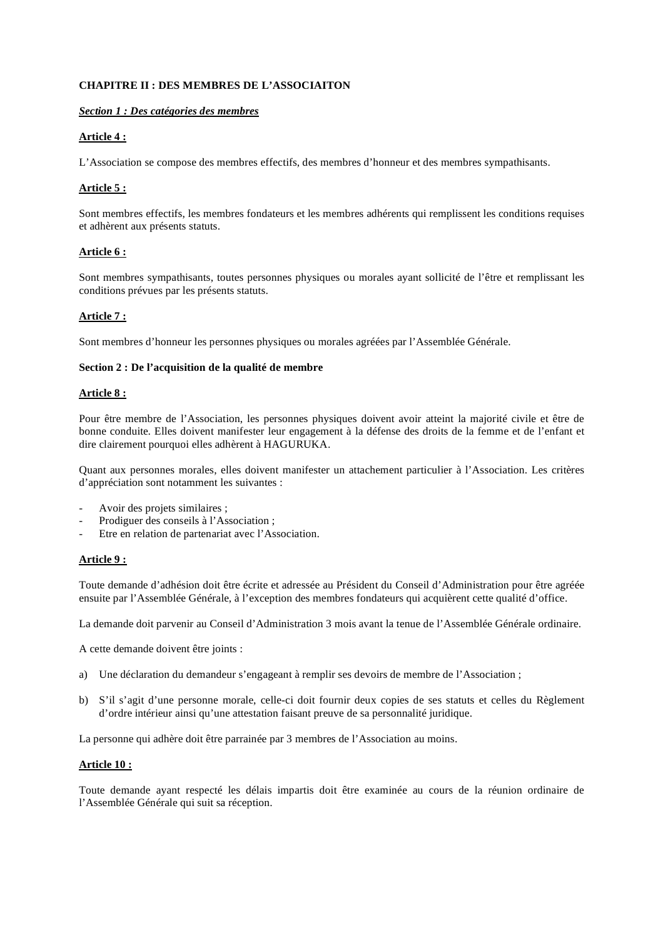# **CHAPITRE II : DES MEMBRES DE L'ASSOCIAITON**

# *Section 1 : Des catégories des membres*

# **Article 4 :**

L'Association se compose des membres effectifs, des membres d'honneur et des membres sympathisants.

# **Article 5 :**

Sont membres effectifs, les membres fondateurs et les membres adhérents qui remplissent les conditions requises et adhèrent aux présents statuts.

# **Article 6 :**

Sont membres sympathisants, toutes personnes physiques ou morales ayant sollicité de l'être et remplissant les conditions prévues par les présents statuts.

# **Article 7 :**

Sont membres d'honneur les personnes physiques ou morales agréées par l'Assemblée Générale.

# **Section 2 : De l'acquisition de la qualité de membre**

# **Article 8 :**

Pour être membre de l'Association, les personnes physiques doivent avoir atteint la majorité civile et être de bonne conduite. Elles doivent manifester leur engagement à la défense des droits de la femme et de l'enfant et dire clairement pourquoi elles adhèrent à HAGURUKA.

Quant aux personnes morales, elles doivent manifester un attachement particulier à l'Association. Les critères d'appréciation sont notamment les suivantes :

- Avoir des projets similaires ;
- Prodiguer des conseils à l'Association ;
- Etre en relation de partenariat avec l'Association.

# **Article 9 :**

Toute demande d'adhésion doit être écrite et adressée au Président du Conseil d'Administration pour être agréée ensuite par l'Assemblée Générale, à l'exception des membres fondateurs qui acquièrent cette qualité d'office.

La demande doit parvenir au Conseil d'Administration 3 mois avant la tenue de l'Assemblée Générale ordinaire.

A cette demande doivent être joints :

- a) Une déclaration du demandeur s'engageant à remplir ses devoirs de membre de l'Association ;
- b) S'il s'agit d'une personne morale, celle-ci doit fournir deux copies de ses statuts et celles du Règlement d'ordre intérieur ainsi qu'une attestation faisant preuve de sa personnalité juridique.

La personne qui adhère doit être parrainée par 3 membres de l'Association au moins.

# **Article 10 :**

Toute demande ayant respecté les délais impartis doit être examinée au cours de la réunion ordinaire de l'Assemblée Générale qui suit sa réception.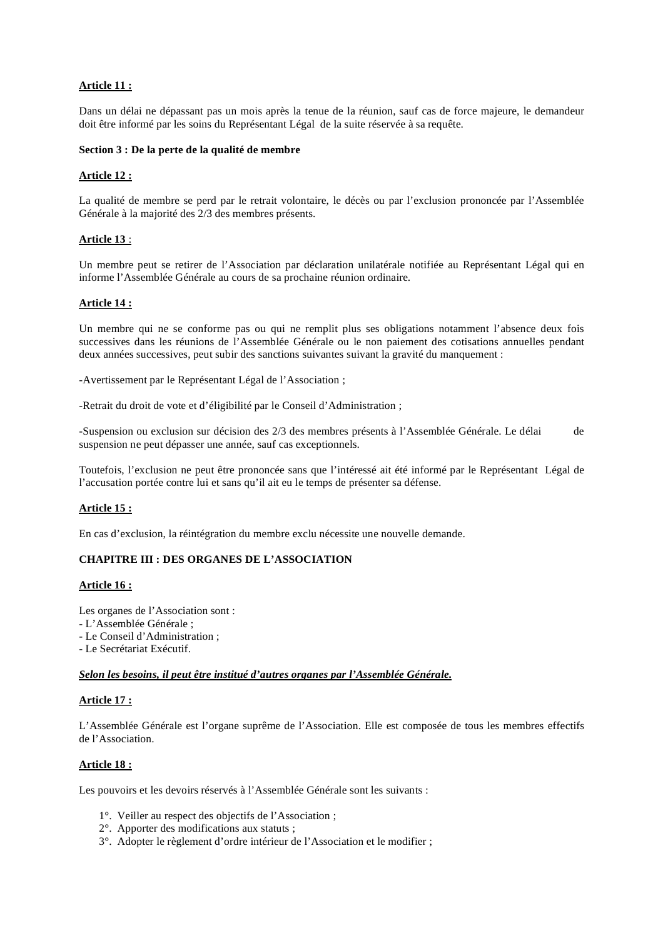# **Article 11 :**

Dans un délai ne dépassant pas un mois après la tenue de la réunion, sauf cas de force majeure, le demandeur doit être informé par les soins du Représentant Légal de la suite réservée à sa requête.

#### **Section 3 : De la perte de la qualité de membre**

# **Article 12 :**

La qualité de membre se perd par le retrait volontaire, le décès ou par l'exclusion prononcée par l'Assemblée Générale à la majorité des 2/3 des membres présents.

### **Article 13** :

Un membre peut se retirer de l'Association par déclaration unilatérale notifiée au Représentant Légal qui en informe l'Assemblée Générale au cours de sa prochaine réunion ordinaire.

# **Article 14 :**

Un membre qui ne se conforme pas ou qui ne remplit plus ses obligations notamment l'absence deux fois successives dans les réunions de l'Assemblée Générale ou le non paiement des cotisations annuelles pendant deux années successives, peut subir des sanctions suivantes suivant la gravité du manquement :

-Avertissement par le Représentant Légal de l'Association ;

-Retrait du droit de vote et d'éligibilité par le Conseil d'Administration ;

-Suspension ou exclusion sur décision des 2/3 des membres présents à l'Assemblée Générale. Le délai de suspension ne peut dépasser une année, sauf cas exceptionnels.

Toutefois, l'exclusion ne peut être prononcée sans que l'intéressé ait été informé par le Représentant Légal de l'accusation portée contre lui et sans qu'il ait eu le temps de présenter sa défense.

# **Article 15 :**

En cas d'exclusion, la réintégration du membre exclu nécessite une nouvelle demande.

# **CHAPITRE III : DES ORGANES DE L'ASSOCIATION**

#### **Article 16 :**

Les organes de l'Association sont :

- L'Assemblée Générale ;
- Le Conseil d'Administration ;
- Le Secrétariat Exécutif.

#### *Selon les besoins, il peut être institué d'autres organes par l'Assemblée Générale.*

#### **Article 17 :**

L'Assemblée Générale est l'organe suprême de l'Association. Elle est composée de tous les membres effectifs de l'Association.

# **Article 18 :**

Les pouvoirs et les devoirs réservés à l'Assemblée Générale sont les suivants :

- 1°. Veiller au respect des objectifs de l'Association ;
- 2°. Apporter des modifications aux statuts ;
- 3°. Adopter le règlement d'ordre intérieur de l'Association et le modifier ;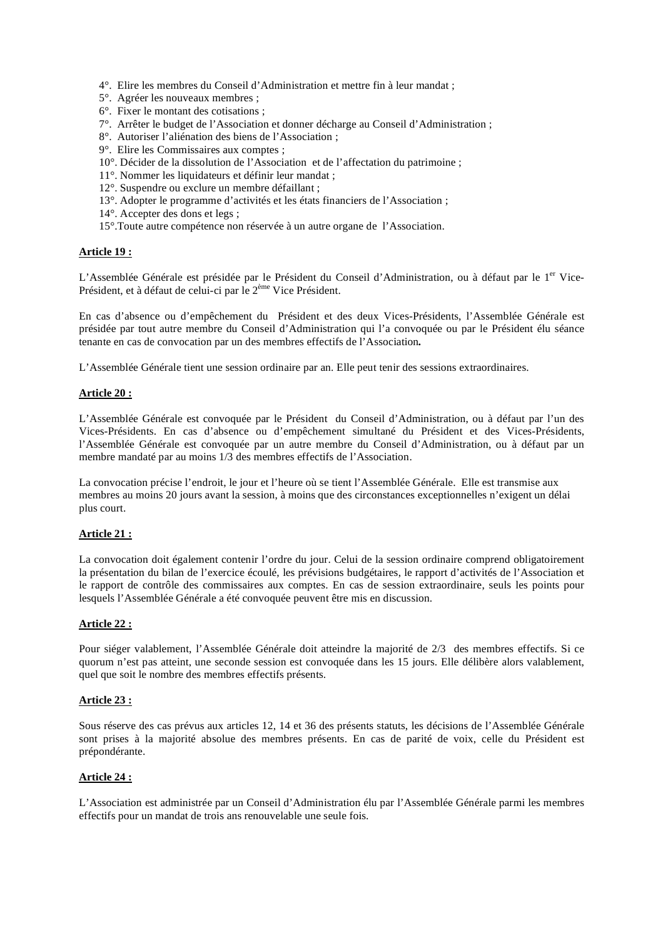- 4°. Elire les membres du Conseil d'Administration et mettre fin à leur mandat ;
- 5°. Agréer les nouveaux membres ;
- 6°. Fixer le montant des cotisations ;
- 7°. Arrêter le budget de l'Association et donner décharge au Conseil d'Administration ;
- 8°. Autoriser l'aliénation des biens de l'Association ;
- 9°. Elire les Commissaires aux comptes ;
- 10°. Décider de la dissolution de l'Association et de l'affectation du patrimoine ;
- 11°. Nommer les liquidateurs et définir leur mandat ;
- 12°. Suspendre ou exclure un membre défaillant ;
- 13°. Adopter le programme d'activités et les états financiers de l'Association ;
- 14°. Accepter des dons et legs ;
- 15°.Toute autre compétence non réservée à un autre organe de l'Association.

#### **Article 19 :**

L'Assemblée Générale est présidée par le Président du Conseil d'Administration, ou à défaut par le 1<sup>er</sup> Vice-Président, et à défaut de celui-ci par le 2ème Vice Président.

En cas d'absence ou d'empêchement du Président et des deux Vices-Présidents, l'Assemblée Générale est présidée par tout autre membre du Conseil d'Administration qui l'a convoquée ou par le Président élu séance tenante en cas de convocation par un des membres effectifs de l'Association*.* 

L'Assemblée Générale tient une session ordinaire par an. Elle peut tenir des sessions extraordinaires.

# **Article 20 :**

L'Assemblée Générale est convoquée par le Président du Conseil d'Administration, ou à défaut par l'un des Vices-Présidents. En cas d'absence ou d'empêchement simultané du Président et des Vices-Présidents, l'Assemblée Générale est convoquée par un autre membre du Conseil d'Administration, ou à défaut par un membre mandaté par au moins 1/3 des membres effectifs de l'Association.

La convocation précise l'endroit, le jour et l'heure où se tient l'Assemblée Générale. Elle est transmise aux membres au moins 20 jours avant la session, à moins que des circonstances exceptionnelles n'exigent un délai plus court.

# **Article 21 :**

La convocation doit également contenir l'ordre du jour. Celui de la session ordinaire comprend obligatoirement la présentation du bilan de l'exercice écoulé, les prévisions budgétaires, le rapport d'activités de l'Association et le rapport de contrôle des commissaires aux comptes. En cas de session extraordinaire, seuls les points pour lesquels l'Assemblée Générale a été convoquée peuvent être mis en discussion.

# **Article 22 :**

Pour siéger valablement, l'Assemblée Générale doit atteindre la majorité de 2/3 des membres effectifs. Si ce quorum n'est pas atteint, une seconde session est convoquée dans les 15 jours. Elle délibère alors valablement, quel que soit le nombre des membres effectifs présents.

#### **Article 23 :**

Sous réserve des cas prévus aux articles 12, 14 et 36 des présents statuts, les décisions de l'Assemblée Générale sont prises à la majorité absolue des membres présents. En cas de parité de voix, celle du Président est prépondérante.

#### **Article 24 :**

L'Association est administrée par un Conseil d'Administration élu par l'Assemblée Générale parmi les membres effectifs pour un mandat de trois ans renouvelable une seule fois.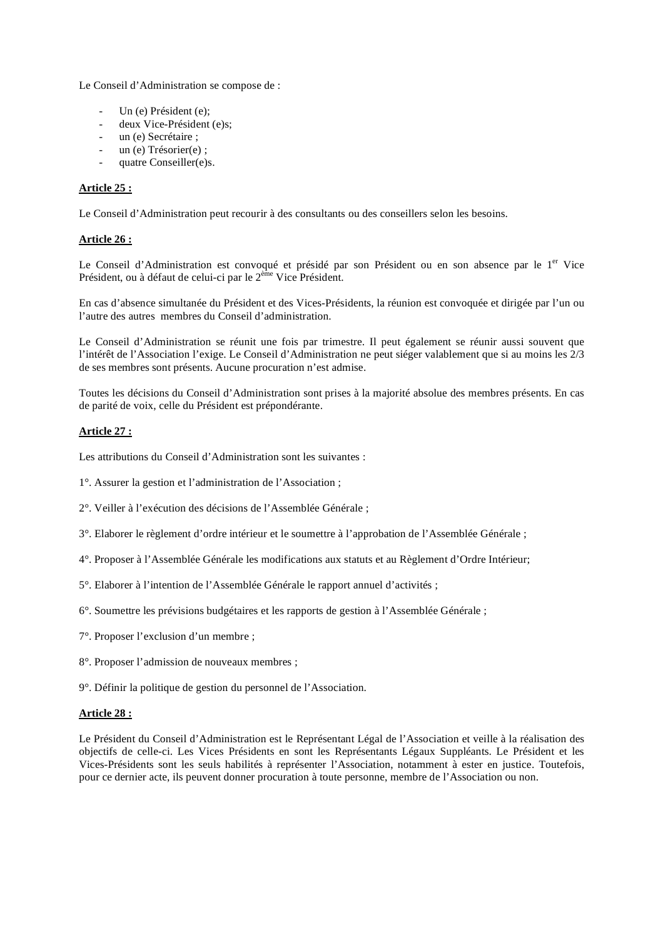Le Conseil d'Administration se compose de :

- Un (e) Président (e);
- deux Vice-Président (e)s;
- un (e) Secrétaire ;
- un (e) Trésorier(e) ;
- quatre Conseiller(e)s.

# **Article 25 :**

Le Conseil d'Administration peut recourir à des consultants ou des conseillers selon les besoins.

# **Article 26 :**

Le Conseil d'Administration est convoqué et présidé par son Président ou en son absence par le 1<sup>er</sup> Vice Président, ou à défaut de celui-ci par le 2<sup>ème</sup> Vice Président.

En cas d'absence simultanée du Président et des Vices-Présidents, la réunion est convoquée et dirigée par l'un ou l'autre des autres membres du Conseil d'administration.

Le Conseil d'Administration se réunit une fois par trimestre. Il peut également se réunir aussi souvent que l'intérêt de l'Association l'exige. Le Conseil d'Administration ne peut siéger valablement que si au moins les 2/3 de ses membres sont présents. Aucune procuration n'est admise.

Toutes les décisions du Conseil d'Administration sont prises à la majorité absolue des membres présents. En cas de parité de voix, celle du Président est prépondérante.

# **Article 27 :**

Les attributions du Conseil d'Administration sont les suivantes :

1°. Assurer la gestion et l'administration de l'Association ;

2°. Veiller à l'exécution des décisions de l'Assemblée Générale ;

- 3°. Elaborer le règlement d'ordre intérieur et le soumettre à l'approbation de l'Assemblée Générale ;
- 4°. Proposer à l'Assemblée Générale les modifications aux statuts et au Règlement d'Ordre Intérieur;
- 5°. Elaborer à l'intention de l'Assemblée Générale le rapport annuel d'activités ;
- 6°. Soumettre les prévisions budgétaires et les rapports de gestion à l'Assemblée Générale ;
- 7°. Proposer l'exclusion d'un membre ;
- 8°. Proposer l'admission de nouveaux membres ;
- 9°. Définir la politique de gestion du personnel de l'Association.

# **Article 28 :**

Le Président du Conseil d'Administration est le Représentant Légal de l'Association et veille à la réalisation des objectifs de celle-ci. Les Vices Présidents en sont les Représentants Légaux Suppléants. Le Président et les Vices-Présidents sont les seuls habilités à représenter l'Association, notamment à ester en justice. Toutefois, pour ce dernier acte, ils peuvent donner procuration à toute personne, membre de l'Association ou non.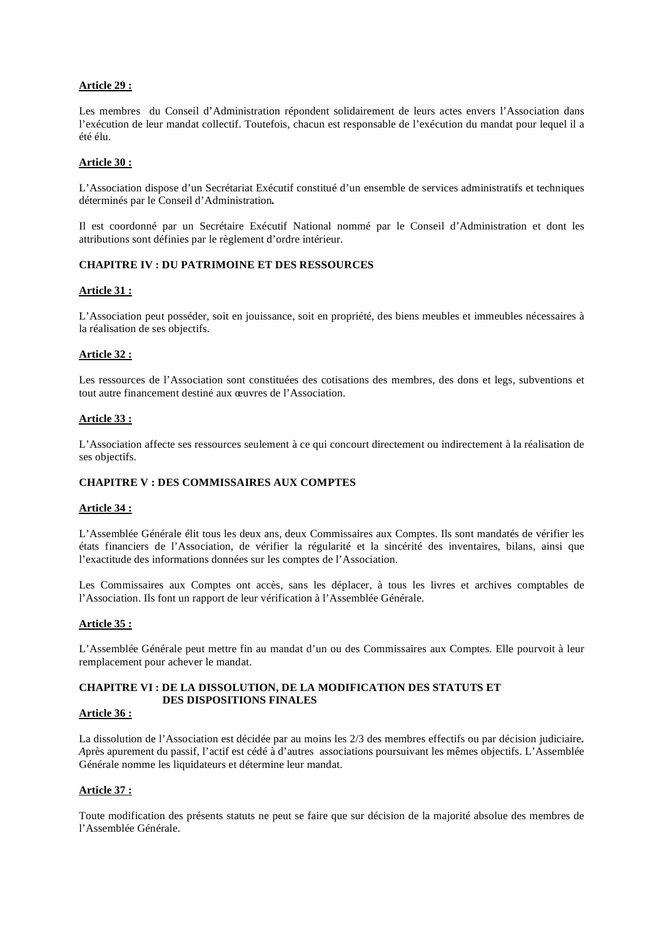# **Article 29 :**

Les membres du Conseil d'Administration répondent solidairement de leurs actes envers l'Association dans l'exécution de leur mandat collectif. Toutefois, chacun est responsable de l'exécution du mandat pour lequel il a été élu.

# **Article 30 :**

L'Association dispose d'un Secrétariat Exécutif constitué d'un ensemble de services administratifs et techniques déterminés par le Conseil d'Administration*.* 

Il est coordonné par un Secrétaire Exécutif National nommé par le Conseil d'Administration et dont les attributions sont définies par le règlement d'ordre intérieur.

# **CHAPITRE IV : DU PATRIMOINE ET DES RESSOURCES**

#### **Article 31 :**

L'Association peut posséder, soit en jouissance, soit en propriété, des biens meubles et immeubles nécessaires à la réalisation de ses objectifs.

#### **Article 32 :**

Les ressources de l'Association sont constituées des cotisations des membres, des dons et legs, subventions et tout autre financement destiné aux œuvres de l'Association.

#### **Article 33 :**

L'Association affecte ses ressources seulement à ce qui concourt directement ou indirectement à la réalisation de ses objectifs.

# **CHAPITRE V : DES COMMISSAIRES AUX COMPTES**

#### **Article 34 :**

L'Assemblée Générale élit tous les deux ans, deux Commissaires aux Comptes. Ils sont mandatés de vérifier les états financiers de l'Association, de vérifier la régularité et la sincérité des inventaires, bilans, ainsi que l'exactitude des informations données sur les comptes de l'Association.

Les Commissaires aux Comptes ont accès, sans les déplacer, à tous les livres et archives comptables de l'Association. Ils font un rapport de leur vérification à l'Assemblée Générale.

# **Article 35 :**

L'Assemblée Générale peut mettre fin au mandat d'un ou des Commissaires aux Comptes. Elle pourvoit à leur remplacement pour achever le mandat.

# **CHAPITRE VI : DE LA DISSOLUTION, DE LA MODIFICATION DES STATUTS ET DES DISPOSITIONS FINALES**

# **Article 36 :**

La dissolution de l'Association est décidée par au moins les 2/3 des membres effectifs ou par décision judiciaire*. A*près apurement du passif, l'actif est cédé à d'autres associations poursuivant les mêmes objectifs. L'Assemblée Générale nomme les liquidateurs et détermine leur mandat.

# **Article 37 :**

Toute modification des présents statuts ne peut se faire que sur décision de la majorité absolue des membres de l'Assemblée Générale.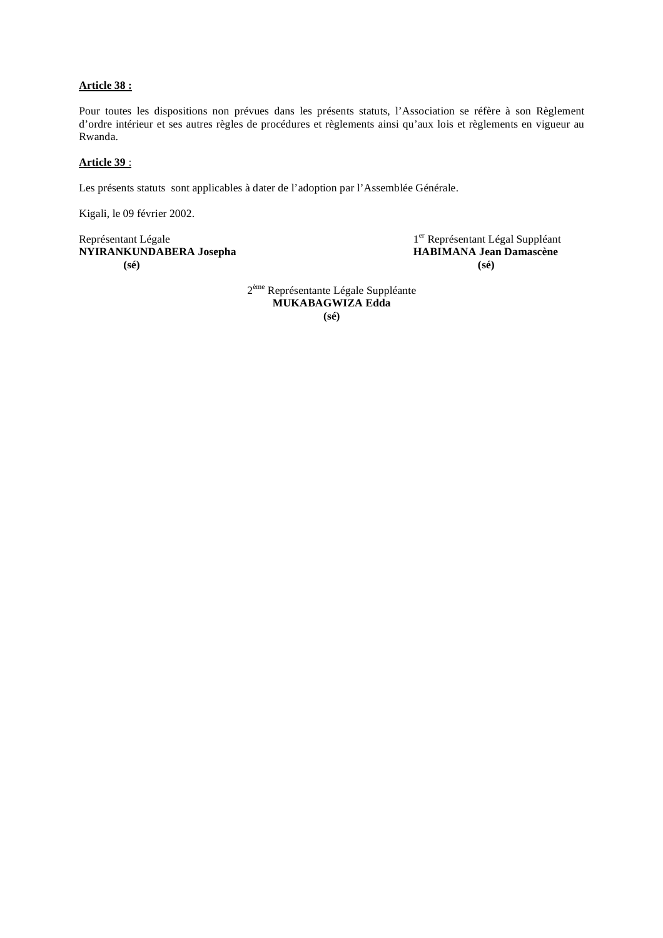# **Article 38 :**

Pour toutes les dispositions non prévues dans les présents statuts, l'Association se réfère à son Règlement d'ordre intérieur et ses autres règles de procédures et règlements ainsi qu'aux lois et règlements en vigueur au Rwanda.

# **Article 39** :

Les présents statuts sont applicables à dater de l'adoption par l'Assemblée Générale.

Kigali, le 09 février 2002.

Représentant Légale<br>
NYIRANKUNDABERA Josepha<br>
1er Représentant Légal Suppléant<br>
HABIMANA Jean Damascène **NYIRANKUNDABERA Josepha (sé) (sé)** 

2ème Représentante Légale Suppléante **MUKABAGWIZA Edda (sé)**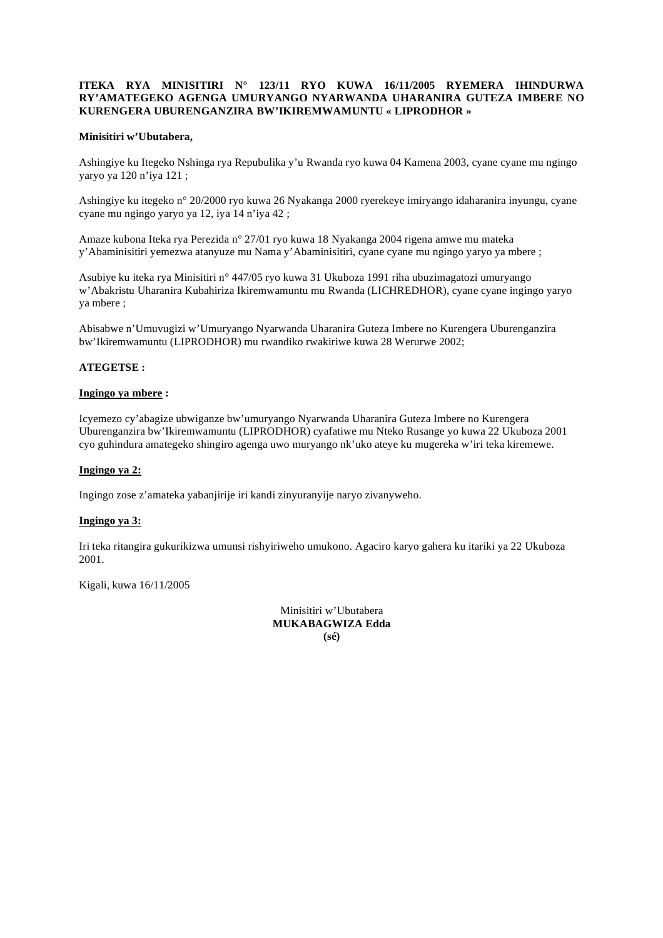### **ITEKA RYA MINISITIRI N° 123/11 RYO KUWA 16/11/2005 RYEMERA IHINDURWA RY'AMATEGEKO AGENGA UMURYANGO NYARWANDA UHARANIRA GUTEZA IMBERE NO KURENGERA UBURENGANZIRA BW'IKIREMWAMUNTU « LIPRODHOR »**

### **Minisitiri w'Ubutabera,**

Ashingiye ku Itegeko Nshinga rya Repubulika y'u Rwanda ryo kuwa 04 Kamena 2003, cyane cyane mu ngingo yaryo ya 120 n'iya 121 ;

Ashingiye ku itegeko n° 20/2000 ryo kuwa 26 Nyakanga 2000 ryerekeye imiryango idaharanira inyungu, cyane cyane mu ngingo yaryo ya 12, iya 14 n'iya 42 ;

Amaze kubona Iteka rya Perezida n° 27/01 ryo kuwa 18 Nyakanga 2004 rigena amwe mu mateka y'Abaminisitiri yemezwa atanyuze mu Nama y'Abaminisitiri, cyane cyane mu ngingo yaryo ya mbere ;

Asubiye ku iteka rya Minisitiri n° 447/05 ryo kuwa 31 Ukuboza 1991 riha ubuzimagatozi umuryango w'Abakristu Uharanira Kubahiriza Ikiremwamuntu mu Rwanda (LICHREDHOR), cyane cyane ingingo yaryo ya mbere ;

Abisabwe n'Umuvugizi w'Umuryango Nyarwanda Uharanira Guteza Imbere no Kurengera Uburenganzira bw'Ikiremwamuntu (LIPRODHOR) mu rwandiko rwakiriwe kuwa 28 Werurwe 2002;

### **ATEGETSE :**

#### **Ingingo ya mbere :**

Icyemezo cy'abagize ubwiganze bw'umuryango Nyarwanda Uharanira Guteza Imbere no Kurengera Uburenganzira bw'Ikiremwamuntu (LIPRODHOR) cyafatiwe mu Nteko Rusange yo kuwa 22 Ukuboza 2001 cyo guhindura amategeko shingiro agenga uwo muryango nk'uko ateye ku mugereka w'iri teka kiremewe.

### **Ingingo ya 2:**

Ingingo zose z'amateka yabanjirije iri kandi zinyuranyije naryo zivanyweho.

#### **Ingingo ya 3:**

Iri teka ritangira gukurikizwa umunsi rishyiriweho umukono. Agaciro karyo gahera ku itariki ya 22 Ukuboza 2001.

Kigali, kuwa 16/11/2005

Minisitiri w'Ubutabera **MUKABAGWIZA Edda (sé)**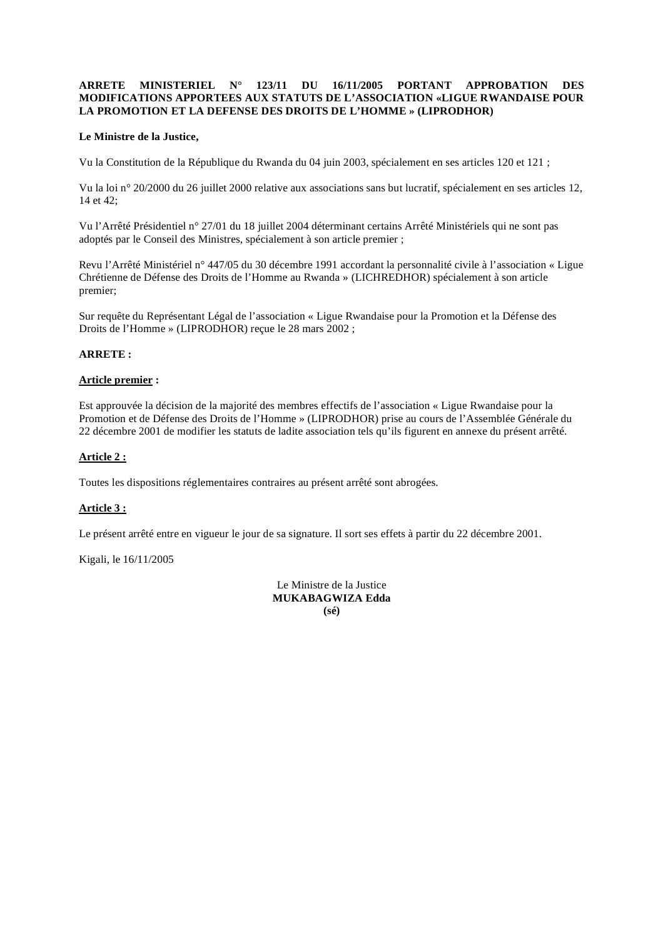### **ARRETE MINISTERIEL N° 123/11 DU 16/11/2005 PORTANT APPROBATION DES MODIFICATIONS APPORTEES AUX STATUTS DE L'ASSOCIATION «LIGUE RWANDAISE POUR LA PROMOTION ET LA DEFENSE DES DROITS DE L'HOMME » (LIPRODHOR)**

### **Le Ministre de la Justice,**

Vu la Constitution de la République du Rwanda du 04 juin 2003, spécialement en ses articles 120 et 121 ;

Vu la loi n° 20/2000 du 26 juillet 2000 relative aux associations sans but lucratif, spécialement en ses articles 12, 14 et 42;

Vu l'Arrêté Présidentiel n° 27/01 du 18 juillet 2004 déterminant certains Arrêté Ministériels qui ne sont pas adoptés par le Conseil des Ministres, spécialement à son article premier ;

Revu l'Arrêté Ministériel n° 447/05 du 30 décembre 1991 accordant la personnalité civile à l'association « Ligue Chrétienne de Défense des Droits de l'Homme au Rwanda » (LICHREDHOR) spécialement à son article premier;

Sur requête du Représentant Légal de l'association « Ligue Rwandaise pour la Promotion et la Défense des Droits de l'Homme » (LIPRODHOR) reçue le 28 mars 2002 ;

#### **ARRETE :**

#### **Article premier :**

Est approuvée la décision de la majorité des membres effectifs de l'association « Ligue Rwandaise pour la Promotion et de Défense des Droits de l'Homme » (LIPRODHOR) prise au cours de l'Assemblée Générale du 22 décembre 2001 de modifier les statuts de ladite association tels qu'ils figurent en annexe du présent arrêté.

# **Article 2 :**

Toutes les dispositions réglementaires contraires au présent arrêté sont abrogées.

# **Article 3 :**

Le présent arrêté entre en vigueur le jour de sa signature. Il sort ses effets à partir du 22 décembre 2001.

Kigali, le 16/11/2005

Le Ministre de la Justice **MUKABAGWIZA Edda (sé)**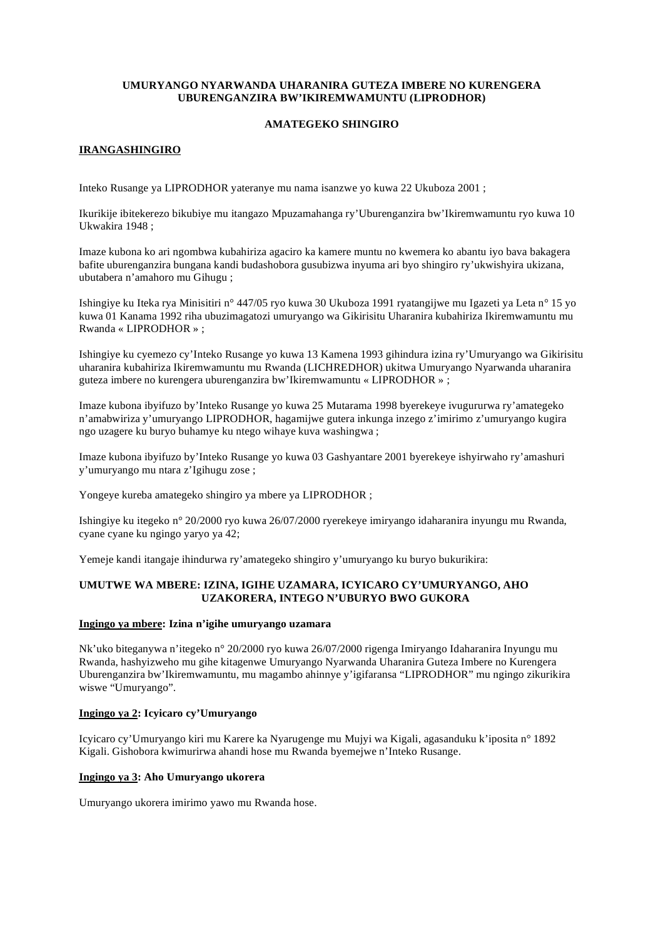### **UMURYANGO NYARWANDA UHARANIRA GUTEZA IMBERE NO KURENGERA UBURENGANZIRA BW'IKIREMWAMUNTU (LIPRODHOR)**

# **AMATEGEKO SHINGIRO**

# **IRANGASHINGIRO**

Inteko Rusange ya LIPRODHOR yateranye mu nama isanzwe yo kuwa 22 Ukuboza 2001 ;

Ikurikije ibitekerezo bikubiye mu itangazo Mpuzamahanga ry'Uburenganzira bw'Ikiremwamuntu ryo kuwa 10 Ukwakira 1948 ;

Imaze kubona ko ari ngombwa kubahiriza agaciro ka kamere muntu no kwemera ko abantu iyo bava bakagera bafite uburenganzira bungana kandi budashobora gusubizwa inyuma ari byo shingiro ry'ukwishyira ukizana, ubutabera n'amahoro mu Gihugu ;

Ishingiye ku Iteka rya Minisitiri n° 447/05 ryo kuwa 30 Ukuboza 1991 ryatangijwe mu Igazeti ya Leta n° 15 yo kuwa 01 Kanama 1992 riha ubuzimagatozi umuryango wa Gikirisitu Uharanira kubahiriza Ikiremwamuntu mu Rwanda « LIPRODHOR » ;

Ishingiye ku cyemezo cy'Inteko Rusange yo kuwa 13 Kamena 1993 gihindura izina ry'Umuryango wa Gikirisitu uharanira kubahiriza Ikiremwamuntu mu Rwanda (LICHREDHOR) ukitwa Umuryango Nyarwanda uharanira guteza imbere no kurengera uburenganzira bw'Ikiremwamuntu « LIPRODHOR » ;

Imaze kubona ibyifuzo by'Inteko Rusange yo kuwa 25 Mutarama 1998 byerekeye ivugururwa ry'amategeko n'amabwiriza y'umuryango LIPRODHOR, hagamijwe gutera inkunga inzego z'imirimo z'umuryango kugira ngo uzagere ku buryo buhamye ku ntego wihaye kuva washingwa ;

Imaze kubona ibyifuzo by'Inteko Rusange yo kuwa 03 Gashyantare 2001 byerekeye ishyirwaho ry'amashuri y'umuryango mu ntara z'Igihugu zose ;

Yongeye kureba amategeko shingiro ya mbere ya LIPRODHOR ;

Ishingiye ku itegeko n° 20/2000 ryo kuwa 26/07/2000 ryerekeye imiryango idaharanira inyungu mu Rwanda, cyane cyane ku ngingo yaryo ya 42;

Yemeje kandi itangaje ihindurwa ry'amategeko shingiro y'umuryango ku buryo bukurikira:

# **UMUTWE WA MBERE: IZINA, IGIHE UZAMARA, ICYICARO CY'UMURYANGO, AHO UZAKORERA, INTEGO N'UBURYO BWO GUKORA**

# **Ingingo ya mbere: Izina n'igihe umuryango uzamara**

Nk'uko biteganywa n'itegeko n° 20/2000 ryo kuwa 26/07/2000 rigenga Imiryango Idaharanira Inyungu mu Rwanda, hashyizweho mu gihe kitagenwe Umuryango Nyarwanda Uharanira Guteza Imbere no Kurengera Uburenganzira bw'Ikiremwamuntu, mu magambo ahinnye y'igifaransa "LIPRODHOR" mu ngingo zikurikira wiswe "Umuryango".

# **Ingingo ya 2: Icyicaro cy'Umuryango**

Icyicaro cy'Umuryango kiri mu Karere ka Nyarugenge mu Mujyi wa Kigali, agasanduku k'iposita n° 1892 Kigali. Gishobora kwimurirwa ahandi hose mu Rwanda byemejwe n'Inteko Rusange.

# **Ingingo ya 3: Aho Umuryango ukorera**

Umuryango ukorera imirimo yawo mu Rwanda hose.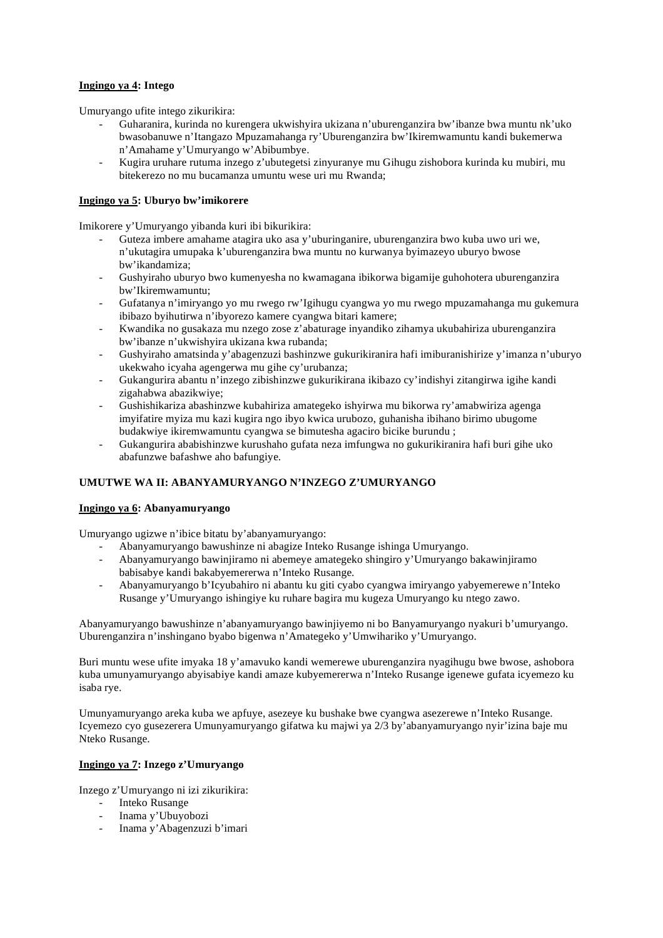# **Ingingo ya 4: Intego**

Umuryango ufite intego zikurikira:

- Guharanira, kurinda no kurengera ukwishyira ukizana n'uburenganzira bw'ibanze bwa muntu nk'uko bwasobanuwe n'Itangazo Mpuzamahanga ry'Uburenganzira bw'Ikiremwamuntu kandi bukemerwa n'Amahame y'Umuryango w'Abibumbye.
- Kugira uruhare rutuma inzego z'ubutegetsi zinyuranye mu Gihugu zishobora kurinda ku mubiri, mu bitekerezo no mu bucamanza umuntu wese uri mu Rwanda;

# **Ingingo ya 5: Uburyo bw'imikorere**

Imikorere y'Umuryango yibanda kuri ibi bikurikira:

- Guteza imbere amahame atagira uko asa y'uburinganire, uburenganzira bwo kuba uwo uri we, n'ukutagira umupaka k'uburenganzira bwa muntu no kurwanya byimazeyo uburyo bwose bw'ikandamiza;
- Gushyiraho uburyo bwo kumenyesha no kwamagana ibikorwa bigamije guhohotera uburenganzira bw'Ikiremwamuntu;
- Gufatanya n'imiryango yo mu rwego rw'Igihugu cyangwa yo mu rwego mpuzamahanga mu gukemura ibibazo byihutirwa n'ibyorezo kamere cyangwa bitari kamere;
- Kwandika no gusakaza mu nzego zose z'abaturage inyandiko zihamya ukubahiriza uburenganzira bw'ibanze n'ukwishyira ukizana kwa rubanda;
- Gushyiraho amatsinda y'abagenzuzi bashinzwe gukurikiranira hafi imiburanishirize y'imanza n'uburyo ukekwaho icyaha agengerwa mu gihe cy'urubanza;
- Gukangurira abantu n'inzego zibishinzwe gukurikirana ikibazo cy'indishyi zitangirwa igihe kandi zigahabwa abazikwiye;
- Gushishikariza abashinzwe kubahiriza amategeko ishyirwa mu bikorwa ry'amabwiriza agenga imyifatire myiza mu kazi kugira ngo ibyo kwica urubozo, guhanisha ibihano birimo ubugome budakwiye ikiremwamuntu cyangwa se bimutesha agaciro bicike burundu ;
- Gukangurira ababishinzwe kurushaho gufata neza imfungwa no gukurikiranira hafi buri gihe uko abafunzwe bafashwe aho bafungiye.

# **UMUTWE WA II: ABANYAMURYANGO N'INZEGO Z'UMURYANGO**

# **Ingingo ya 6: Abanyamuryango**

Umuryango ugizwe n'ibice bitatu by'abanyamuryango:

- Abanyamuryango bawushinze ni abagize Inteko Rusange ishinga Umuryango.
- Abanyamuryango bawinjiramo ni abemeye amategeko shingiro y'Umuryango bakawinjiramo babisabye kandi bakabyemererwa n'Inteko Rusange.
- Abanyamuryango b'Icyubahiro ni abantu ku giti cyabo cyangwa imiryango yabyemerewe n'Inteko Rusange y'Umuryango ishingiye ku ruhare bagira mu kugeza Umuryango ku ntego zawo.

Abanyamuryango bawushinze n'abanyamuryango bawinjiyemo ni bo Banyamuryango nyakuri b'umuryango. Uburenganzira n'inshingano byabo bigenwa n'Amategeko y'Umwihariko y'Umuryango.

Buri muntu wese ufite imyaka 18 y'amavuko kandi wemerewe uburenganzira nyagihugu bwe bwose, ashobora kuba umunyamuryango abyisabiye kandi amaze kubyemererwa n'Inteko Rusange igenewe gufata icyemezo ku isaba rye.

Umunyamuryango areka kuba we apfuye, asezeye ku bushake bwe cyangwa asezerewe n'Inteko Rusange. Icyemezo cyo gusezerera Umunyamuryango gifatwa ku majwi ya 2/3 by'abanyamuryango nyir'izina baje mu Nteko Rusange.

# **Ingingo ya 7: Inzego z'Umuryango**

Inzego z'Umuryango ni izi zikurikira:

- Inteko Rusange
- Inama y'Ubuyobozi
- Inama y'Abagenzuzi b'imari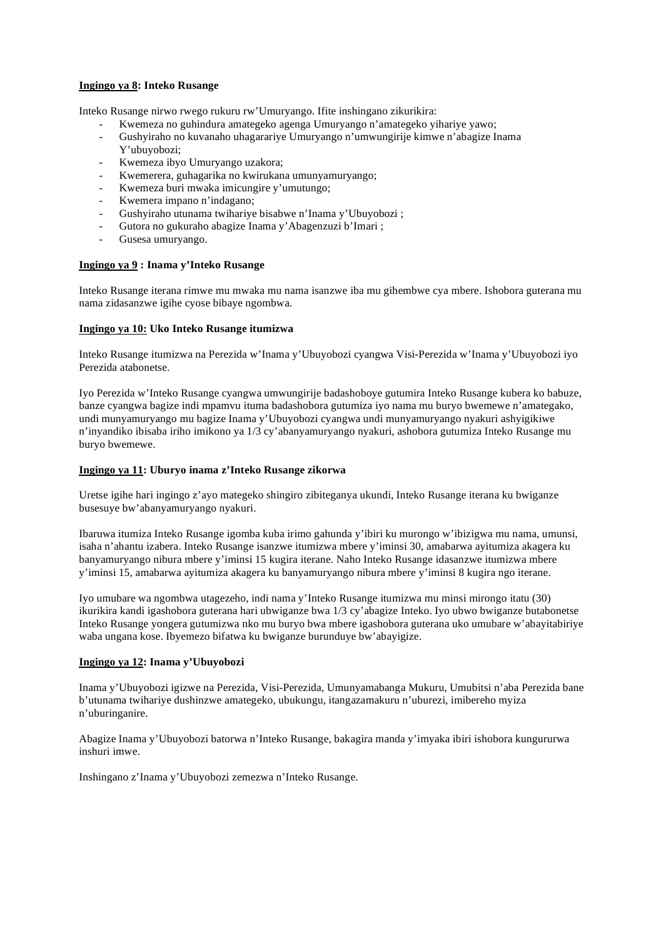# **Ingingo ya 8: Inteko Rusange**

Inteko Rusange nirwo rwego rukuru rw'Umuryango. Ifite inshingano zikurikira:

- Kwemeza no guhindura amategeko agenga Umuryango n'amategeko yihariye yawo;
- Gushyiraho no kuvanaho uhagarariye Umuryango n'umwungirije kimwe n'abagize Inama Y'ubuyobozi;
- Kwemeza ibyo Umuryango uzakora;
- Kwemerera, guhagarika no kwirukana umunyamuryango;
- Kwemeza buri mwaka imicungire y'umutungo;
- Kwemera impano n'indagano;
- Gushyiraho utunama twihariye bisabwe n'Inama y'Ubuyobozi ;
- Gutora no gukuraho abagize Inama y'Abagenzuzi b'Imari ;
- Gusesa umuryango.

### **Ingingo ya 9 : Inama y'Inteko Rusange**

Inteko Rusange iterana rimwe mu mwaka mu nama isanzwe iba mu gihembwe cya mbere. Ishobora guterana mu nama zidasanzwe igihe cyose bibaye ngombwa.

#### **Ingingo ya 10: Uko Inteko Rusange itumizwa**

Inteko Rusange itumizwa na Perezida w'Inama y'Ubuyobozi cyangwa Visi-Perezida w'Inama y'Ubuyobozi iyo Perezida atabonetse.

Iyo Perezida w'Inteko Rusange cyangwa umwungirije badashoboye gutumira Inteko Rusange kubera ko babuze, banze cyangwa bagize indi mpamvu ituma badashobora gutumiza iyo nama mu buryo bwemewe n'amategako, undi munyamuryango mu bagize Inama y'Ubuyobozi cyangwa undi munyamuryango nyakuri ashyigikiwe n'inyandiko ibisaba iriho imikono ya 1/3 cy'abanyamuryango nyakuri, ashobora gutumiza Inteko Rusange mu buryo bwemewe.

#### **Ingingo ya 11: Uburyo inama z'Inteko Rusange zikorwa**

Uretse igihe hari ingingo z'ayo mategeko shingiro zibiteganya ukundi, Inteko Rusange iterana ku bwiganze busesuye bw'abanyamuryango nyakuri.

Ibaruwa itumiza Inteko Rusange igomba kuba irimo gahunda y'ibiri ku murongo w'ibizigwa mu nama, umunsi, isaha n'ahantu izabera. Inteko Rusange isanzwe itumizwa mbere y'iminsi 30, amabarwa ayitumiza akagera ku banyamuryango nibura mbere y'iminsi 15 kugira iterane. Naho Inteko Rusange idasanzwe itumizwa mbere y'iminsi 15, amabarwa ayitumiza akagera ku banyamuryango nibura mbere y'iminsi 8 kugira ngo iterane.

Iyo umubare wa ngombwa utagezeho, indi nama y'Inteko Rusange itumizwa mu minsi mirongo itatu (30) ikurikira kandi igashobora guterana hari ubwiganze bwa 1/3 cy'abagize Inteko. Iyo ubwo bwiganze butabonetse Inteko Rusange yongera gutumizwa nko mu buryo bwa mbere igashobora guterana uko umubare w'abayitabiriye waba ungana kose. Ibyemezo bifatwa ku bwiganze burunduye bw'abayigize.

#### **Ingingo ya 12: Inama y'Ubuyobozi**

Inama y'Ubuyobozi igizwe na Perezida, Visi-Perezida, Umunyamabanga Mukuru, Umubitsi n'aba Perezida bane b'utunama twihariye dushinzwe amategeko, ubukungu, itangazamakuru n'uburezi, imibereho myiza n'uburinganire.

Abagize Inama y'Ubuyobozi batorwa n'Inteko Rusange, bakagira manda y'imyaka ibiri ishobora kungururwa inshuri imwe.

Inshingano z'Inama y'Ubuyobozi zemezwa n'Inteko Rusange.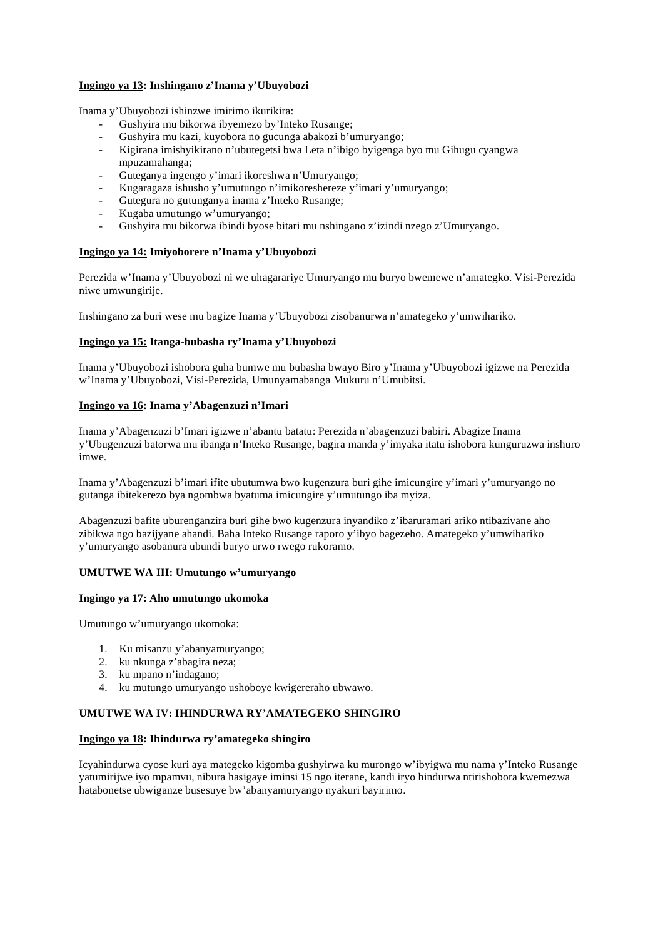# **Ingingo ya 13: Inshingano z'Inama y'Ubuyobozi**

Inama y'Ubuyobozi ishinzwe imirimo ikurikira:

- Gushyira mu bikorwa ibyemezo by'Inteko Rusange;
- Gushyira mu kazi, kuyobora no gucunga abakozi b'umuryango;
- Kigirana imishyikirano n'ubutegetsi bwa Leta n'ibigo byigenga byo mu Gihugu cyangwa mpuzamahanga;
- Guteganya ingengo y'imari ikoreshwa n'Umuryango;
- Kugaragaza ishusho y'umutungo n'imikoreshereze y'imari y'umuryango;
- Gutegura no gutunganya inama z'Inteko Rusange;
- Kugaba umutungo w'umuryango;
- Gushyira mu bikorwa ibindi byose bitari mu nshingano z'izindi nzego z'Umuryango.

# **Ingingo ya 14: Imiyoborere n'Inama y'Ubuyobozi**

Perezida w'Inama y'Ubuyobozi ni we uhagarariye Umuryango mu buryo bwemewe n'amategko. Visi-Perezida niwe umwungirije.

Inshingano za buri wese mu bagize Inama y'Ubuyobozi zisobanurwa n'amategeko y'umwihariko.

# **Ingingo ya 15: Itanga-bubasha ry'Inama y'Ubuyobozi**

Inama y'Ubuyobozi ishobora guha bumwe mu bubasha bwayo Biro y'Inama y'Ubuyobozi igizwe na Perezida w'Inama y'Ubuyobozi, Visi-Perezida, Umunyamabanga Mukuru n'Umubitsi.

# **Ingingo ya 16: Inama y'Abagenzuzi n'Imari**

Inama y'Abagenzuzi b'Imari igizwe n'abantu batatu: Perezida n'abagenzuzi babiri. Abagize Inama y'Ubugenzuzi batorwa mu ibanga n'Inteko Rusange, bagira manda y'imyaka itatu ishobora kunguruzwa inshuro imwe.

Inama y'Abagenzuzi b'imari ifite ubutumwa bwo kugenzura buri gihe imicungire y'imari y'umuryango no gutanga ibitekerezo bya ngombwa byatuma imicungire y'umutungo iba myiza.

Abagenzuzi bafite uburenganzira buri gihe bwo kugenzura inyandiko z'ibaruramari ariko ntibazivane aho zibikwa ngo bazijyane ahandi. Baha Inteko Rusange raporo y'ibyo bagezeho. Amategeko y'umwihariko y'umuryango asobanura ubundi buryo urwo rwego rukoramo.

# **UMUTWE WA III: Umutungo w'umuryango**

# **Ingingo ya 17: Aho umutungo ukomoka**

Umutungo w'umuryango ukomoka:

- 1. Ku misanzu y'abanyamuryango;
- 2. ku nkunga z'abagira neza;
- 3. ku mpano n'indagano;
- 4. ku mutungo umuryango ushoboye kwigereraho ubwawo.

# **UMUTWE WA IV: IHINDURWA RY'AMATEGEKO SHINGIRO**

# **Ingingo ya 18: Ihindurwa ry'amategeko shingiro**

Icyahindurwa cyose kuri aya mategeko kigomba gushyirwa ku murongo w'ibyigwa mu nama y'Inteko Rusange yatumirijwe iyo mpamvu, nibura hasigaye iminsi 15 ngo iterane, kandi iryo hindurwa ntirishobora kwemezwa hatabonetse ubwiganze busesuye bw'abanyamuryango nyakuri bayirimo.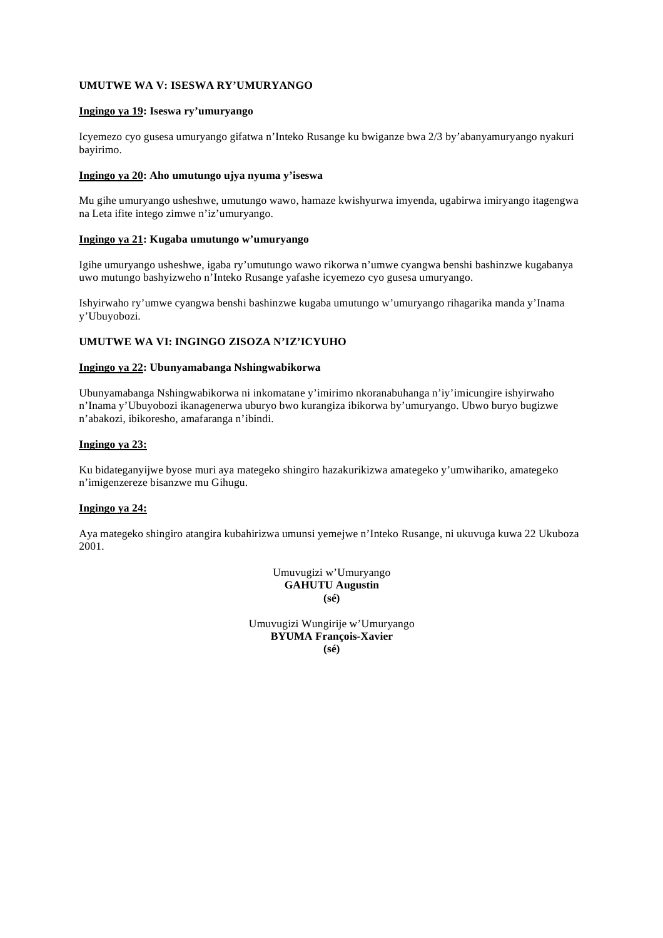# **UMUTWE WA V: ISESWA RY'UMURYANGO**

# **Ingingo ya 19: Iseswa ry'umuryango**

Icyemezo cyo gusesa umuryango gifatwa n'Inteko Rusange ku bwiganze bwa 2/3 by'abanyamuryango nyakuri bayirimo.

#### **Ingingo ya 20: Aho umutungo ujya nyuma y'iseswa**

Mu gihe umuryango usheshwe, umutungo wawo, hamaze kwishyurwa imyenda, ugabirwa imiryango itagengwa na Leta ifite intego zimwe n'iz'umuryango.

#### **Ingingo ya 21: Kugaba umutungo w'umuryango**

Igihe umuryango usheshwe, igaba ry'umutungo wawo rikorwa n'umwe cyangwa benshi bashinzwe kugabanya uwo mutungo bashyizweho n'Inteko Rusange yafashe icyemezo cyo gusesa umuryango.

Ishyirwaho ry'umwe cyangwa benshi bashinzwe kugaba umutungo w'umuryango rihagarika manda y'Inama y'Ubuyobozi.

# **UMUTWE WA VI: INGINGO ZISOZA N'IZ'ICYUHO**

### **Ingingo ya 22: Ubunyamabanga Nshingwabikorwa**

Ubunyamabanga Nshingwabikorwa ni inkomatane y'imirimo nkoranabuhanga n'iy'imicungire ishyirwaho n'Inama y'Ubuyobozi ikanagenerwa uburyo bwo kurangiza ibikorwa by'umuryango. Ubwo buryo bugizwe n'abakozi, ibikoresho, amafaranga n'ibindi.

### **Ingingo ya 23:**

Ku bidateganyijwe byose muri aya mategeko shingiro hazakurikizwa amategeko y'umwihariko, amategeko n'imigenzereze bisanzwe mu Gihugu.

#### **Ingingo ya 24:**

Aya mategeko shingiro atangira kubahirizwa umunsi yemejwe n'Inteko Rusange, ni ukuvuga kuwa 22 Ukuboza 2001.

> Umuvugizi w'Umuryango **GAHUTU Augustin (sé)**

Umuvugizi Wungirije w'Umuryango **BYUMA François-Xavier (sé)**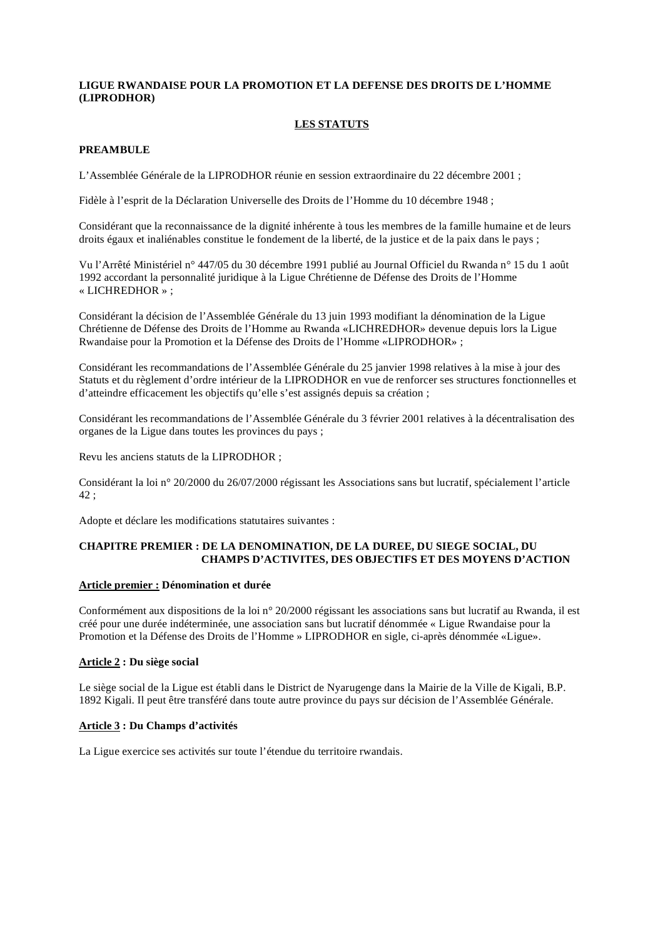# **LIGUE RWANDAISE POUR LA PROMOTION ET LA DEFENSE DES DROITS DE L'HOMME (LIPRODHOR)**

# **LES STATUTS**

# **PREAMBULE**

L'Assemblée Générale de la LIPRODHOR réunie en session extraordinaire du 22 décembre 2001 ;

Fidèle à l'esprit de la Déclaration Universelle des Droits de l'Homme du 10 décembre 1948 ;

Considérant que la reconnaissance de la dignité inhérente à tous les membres de la famille humaine et de leurs droits égaux et inaliénables constitue le fondement de la liberté, de la justice et de la paix dans le pays ;

Vu l'Arrêté Ministériel n° 447/05 du 30 décembre 1991 publié au Journal Officiel du Rwanda n° 15 du 1 août 1992 accordant la personnalité juridique à la Ligue Chrétienne de Défense des Droits de l'Homme « LICHREDHOR » ;

Considérant la décision de l'Assemblée Générale du 13 juin 1993 modifiant la dénomination de la Ligue Chrétienne de Défense des Droits de l'Homme au Rwanda «LICHREDHOR» devenue depuis lors la Ligue Rwandaise pour la Promotion et la Défense des Droits de l'Homme «LIPRODHOR» ;

Considérant les recommandations de l'Assemblée Générale du 25 janvier 1998 relatives à la mise à jour des Statuts et du règlement d'ordre intérieur de la LIPRODHOR en vue de renforcer ses structures fonctionnelles et d'atteindre efficacement les objectifs qu'elle s'est assignés depuis sa création ;

Considérant les recommandations de l'Assemblée Générale du 3 février 2001 relatives à la décentralisation des organes de la Ligue dans toutes les provinces du pays ;

Revu les anciens statuts de la LIPRODHOR ;

Considérant la loi n° 20/2000 du 26/07/2000 régissant les Associations sans but lucratif, spécialement l'article 42 ;

Adopte et déclare les modifications statutaires suivantes :

# **CHAPITRE PREMIER : DE LA DENOMINATION, DE LA DUREE, DU SIEGE SOCIAL, DU CHAMPS D'ACTIVITES, DES OBJECTIFS ET DES MOYENS D'ACTION**

# **Article premier : Dénomination et durée**

Conformément aux dispositions de la loi n° 20/2000 régissant les associations sans but lucratif au Rwanda, il est créé pour une durée indéterminée, une association sans but lucratif dénommée « Ligue Rwandaise pour la Promotion et la Défense des Droits de l'Homme » LIPRODHOR en sigle, ci-après dénommée «Ligue».

# **Article 2 : Du siège social**

Le siège social de la Ligue est établi dans le District de Nyarugenge dans la Mairie de la Ville de Kigali, B.P. 1892 Kigali. Il peut être transféré dans toute autre province du pays sur décision de l'Assemblée Générale.

# **Article 3 : Du Champs d'activités**

La Ligue exercice ses activités sur toute l'étendue du territoire rwandais.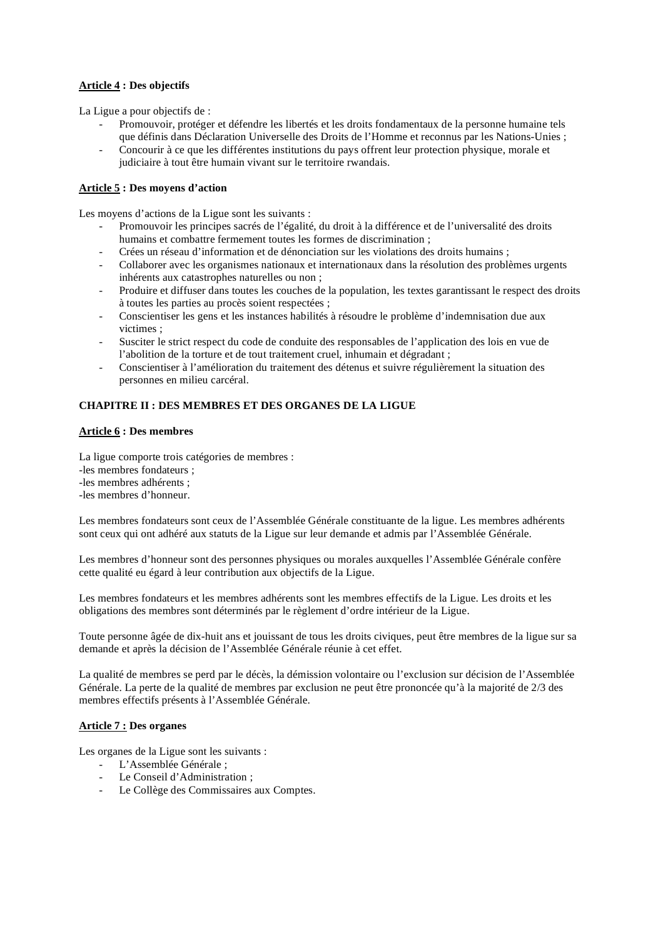# **Article 4 : Des objectifs**

La Ligue a pour objectifs de :

- Promouvoir, protéger et défendre les libertés et les droits fondamentaux de la personne humaine tels que définis dans Déclaration Universelle des Droits de l'Homme et reconnus par les Nations-Unies ;
- Concourir à ce que les différentes institutions du pays offrent leur protection physique, morale et judiciaire à tout être humain vivant sur le territoire rwandais.

# **Article 5 : Des moyens d'action**

Les moyens d'actions de la Ligue sont les suivants :

- Promouvoir les principes sacrés de l'égalité, du droit à la différence et de l'universalité des droits humains et combattre fermement toutes les formes de discrimination ;
- Crées un réseau d'information et de dénonciation sur les violations des droits humains ;
- Collaborer avec les organismes nationaux et internationaux dans la résolution des problèmes urgents inhérents aux catastrophes naturelles ou non ;
- Produire et diffuser dans toutes les couches de la population, les textes garantissant le respect des droits à toutes les parties au procès soient respectées ;
- Conscientiser les gens et les instances habilités à résoudre le problème d'indemnisation due aux victimes ;
- Susciter le strict respect du code de conduite des responsables de l'application des lois en vue de l'abolition de la torture et de tout traitement cruel, inhumain et dégradant ;
- Conscientiser à l'amélioration du traitement des détenus et suivre régulièrement la situation des personnes en milieu carcéral.

# **CHAPITRE II : DES MEMBRES ET DES ORGANES DE LA LIGUE**

# **Article 6 : Des membres**

La ligue comporte trois catégories de membres : -les membres fondateurs ; -les membres adhérents ; -les membres d'honneur.

Les membres fondateurs sont ceux de l'Assemblée Générale constituante de la ligue. Les membres adhérents sont ceux qui ont adhéré aux statuts de la Ligue sur leur demande et admis par l'Assemblée Générale.

Les membres d'honneur sont des personnes physiques ou morales auxquelles l'Assemblée Générale confère cette qualité eu égard à leur contribution aux objectifs de la Ligue.

Les membres fondateurs et les membres adhérents sont les membres effectifs de la Ligue. Les droits et les obligations des membres sont déterminés par le règlement d'ordre intérieur de la Ligue.

Toute personne âgée de dix-huit ans et jouissant de tous les droits civiques, peut être membres de la ligue sur sa demande et après la décision de l'Assemblée Générale réunie à cet effet.

La qualité de membres se perd par le décès, la démission volontaire ou l'exclusion sur décision de l'Assemblée Générale. La perte de la qualité de membres par exclusion ne peut être prononcée qu'à la majorité de 2/3 des membres effectifs présents à l'Assemblée Générale.

#### **Article 7 : Des organes**

Les organes de la Ligue sont les suivants :

- L'Assemblée Générale ;
- Le Conseil d'Administration ;
- Le Collège des Commissaires aux Comptes.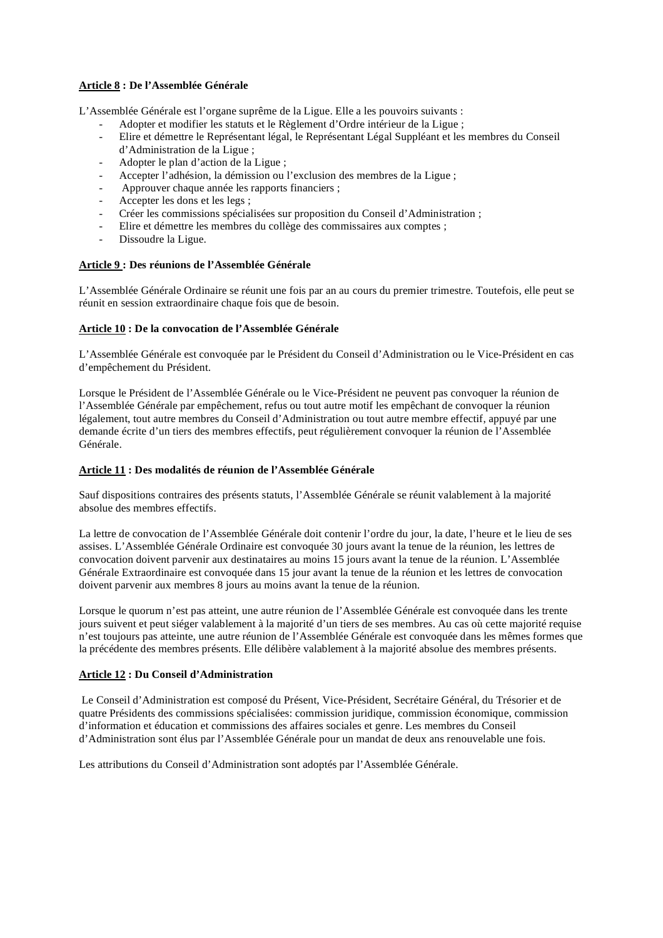# **Article 8 : De l'Assemblée Générale**

L'Assemblée Générale est l'organe suprême de la Ligue. Elle a les pouvoirs suivants :

- Adopter et modifier les statuts et le Règlement d'Ordre intérieur de la Ligue ;
- Elire et démettre le Représentant légal, le Représentant Légal Suppléant et les membres du Conseil d'Administration de la Ligue ;
- Adopter le plan d'action de la Ligue ;
- Accepter l'adhésion, la démission ou l'exclusion des membres de la Ligue ;
- Approuver chaque année les rapports financiers ;
- Accepter les dons et les legs;
- Créer les commissions spécialisées sur proposition du Conseil d'Administration ;
- Elire et démettre les membres du collège des commissaires aux comptes ;
- Dissoudre la Ligue.

# **Article 9 : Des réunions de l'Assemblée Générale**

L'Assemblée Générale Ordinaire se réunit une fois par an au cours du premier trimestre. Toutefois, elle peut se réunit en session extraordinaire chaque fois que de besoin.

# **Article 10 : De la convocation de l'Assemblée Générale**

L'Assemblée Générale est convoquée par le Président du Conseil d'Administration ou le Vice-Président en cas d'empêchement du Président.

Lorsque le Président de l'Assemblée Générale ou le Vice-Président ne peuvent pas convoquer la réunion de l'Assemblée Générale par empêchement, refus ou tout autre motif les empêchant de convoquer la réunion légalement, tout autre membres du Conseil d'Administration ou tout autre membre effectif, appuyé par une demande écrite d'un tiers des membres effectifs, peut régulièrement convoquer la réunion de l'Assemblée Générale.

# **Article 11 : Des modalités de réunion de l'Assemblée Générale**

Sauf dispositions contraires des présents statuts, l'Assemblée Générale se réunit valablement à la majorité absolue des membres effectifs.

La lettre de convocation de l'Assemblée Générale doit contenir l'ordre du jour, la date, l'heure et le lieu de ses assises. L'Assemblée Générale Ordinaire est convoquée 30 jours avant la tenue de la réunion, les lettres de convocation doivent parvenir aux destinataires au moins 15 jours avant la tenue de la réunion. L'Assemblée Générale Extraordinaire est convoquée dans 15 jour avant la tenue de la réunion et les lettres de convocation doivent parvenir aux membres 8 jours au moins avant la tenue de la réunion.

Lorsque le quorum n'est pas atteint, une autre réunion de l'Assemblée Générale est convoquée dans les trente jours suivent et peut siéger valablement à la majorité d'un tiers de ses membres. Au cas où cette majorité requise n'est toujours pas atteinte, une autre réunion de l'Assemblée Générale est convoquée dans les mêmes formes que la précédente des membres présents. Elle délibère valablement à la majorité absolue des membres présents.

# **Article 12 : Du Conseil d'Administration**

 Le Conseil d'Administration est composé du Présent, Vice-Président, Secrétaire Général, du Trésorier et de quatre Présidents des commissions spécialisées: commission juridique, commission économique, commission d'information et éducation et commissions des affaires sociales et genre. Les membres du Conseil d'Administration sont élus par l'Assemblée Générale pour un mandat de deux ans renouvelable une fois.

Les attributions du Conseil d'Administration sont adoptés par l'Assemblée Générale.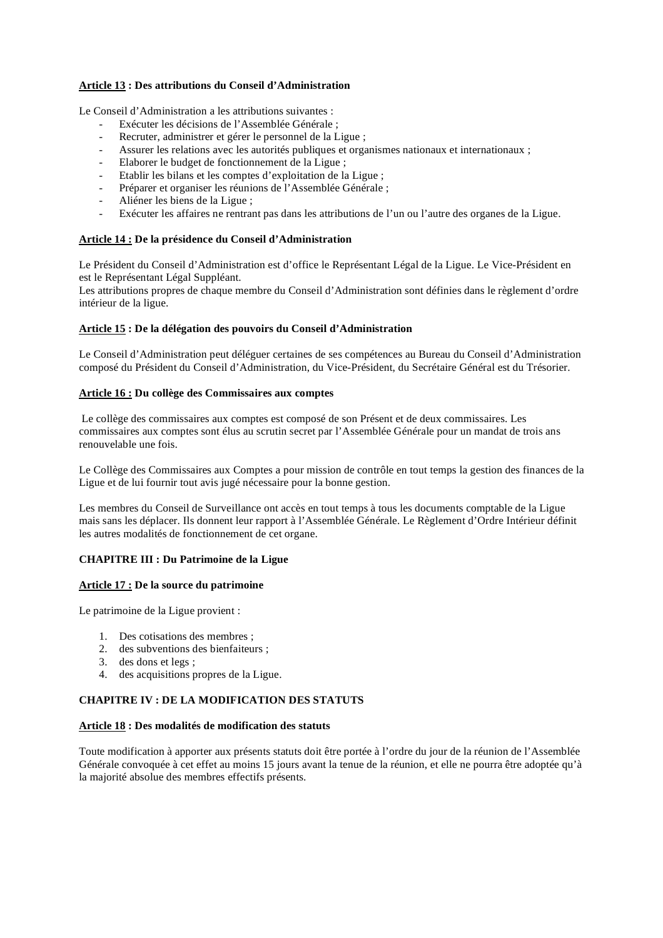# **Article 13 : Des attributions du Conseil d'Administration**

Le Conseil d'Administration a les attributions suivantes :

- Exécuter les décisions de l'Assemblée Générale ;
- Recruter, administrer et gérer le personnel de la Ligue;
- Assurer les relations avec les autorités publiques et organismes nationaux et internationaux ;
- Elaborer le budget de fonctionnement de la Ligue ;
- Etablir les bilans et les comptes d'exploitation de la Ligue ;
- Préparer et organiser les réunions de l'Assemblée Générale ;
- Aliéner les biens de la Ligue ;
- Exécuter les affaires ne rentrant pas dans les attributions de l'un ou l'autre des organes de la Ligue.

# **Article 14 : De la présidence du Conseil d'Administration**

Le Président du Conseil d'Administration est d'office le Représentant Légal de la Ligue. Le Vice-Président en est le Représentant Légal Suppléant.

Les attributions propres de chaque membre du Conseil d'Administration sont définies dans le règlement d'ordre intérieur de la ligue.

# **Article 15 : De la délégation des pouvoirs du Conseil d'Administration**

Le Conseil d'Administration peut déléguer certaines de ses compétences au Bureau du Conseil d'Administration composé du Président du Conseil d'Administration, du Vice-Président, du Secrétaire Général est du Trésorier.

# **Article 16 : Du collège des Commissaires aux comptes**

Le collège des commissaires aux comptes est composé de son Présent et de deux commissaires. Les commissaires aux comptes sont élus au scrutin secret par l'Assemblée Générale pour un mandat de trois ans renouvelable une fois.

Le Collège des Commissaires aux Comptes a pour mission de contrôle en tout temps la gestion des finances de la Ligue et de lui fournir tout avis jugé nécessaire pour la bonne gestion.

Les membres du Conseil de Surveillance ont accès en tout temps à tous les documents comptable de la Ligue mais sans les déplacer. Ils donnent leur rapport à l'Assemblée Générale. Le Règlement d'Ordre Intérieur définit les autres modalités de fonctionnement de cet organe.

# **CHAPITRE III : Du Patrimoine de la Ligue**

# **Article 17 : De la source du patrimoine**

Le patrimoine de la Ligue provient :

- 1. Des cotisations des membres ;
- 2. des subventions des bienfaiteurs ;
- 3. des dons et legs ;
- 4. des acquisitions propres de la Ligue.

# **CHAPITRE IV : DE LA MODIFICATION DES STATUTS**

# **Article 18 : Des modalités de modification des statuts**

Toute modification à apporter aux présents statuts doit être portée à l'ordre du jour de la réunion de l'Assemblée Générale convoquée à cet effet au moins 15 jours avant la tenue de la réunion, et elle ne pourra être adoptée qu'à la majorité absolue des membres effectifs présents.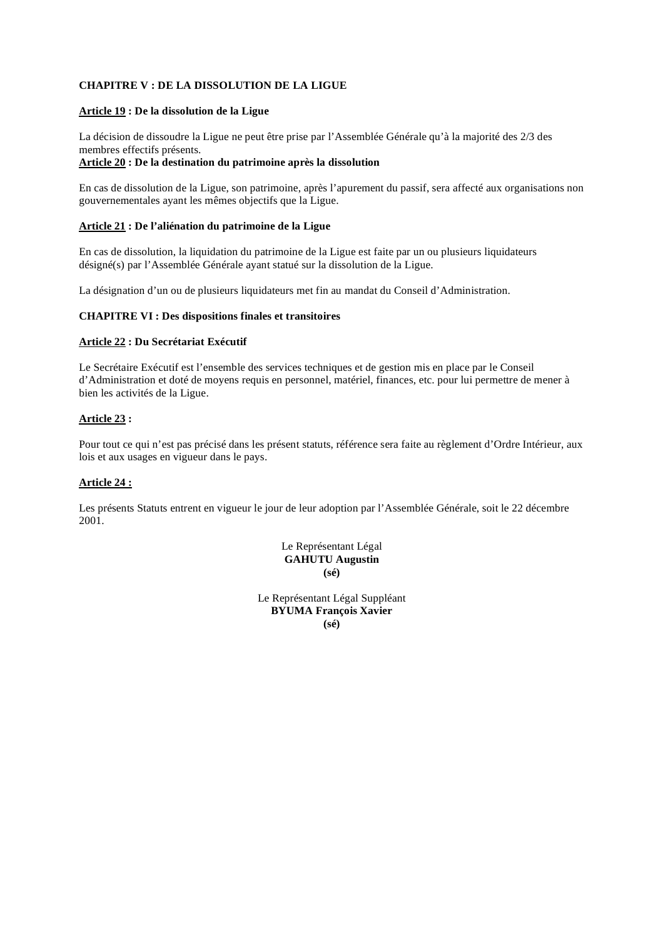# **CHAPITRE V : DE LA DISSOLUTION DE LA LIGUE**

#### **Article 19 : De la dissolution de la Ligue**

La décision de dissoudre la Ligue ne peut être prise par l'Assemblée Générale qu'à la majorité des 2/3 des membres effectifs présents.

### **Article 20 : De la destination du patrimoine après la dissolution**

En cas de dissolution de la Ligue, son patrimoine, après l'apurement du passif, sera affecté aux organisations non gouvernementales ayant les mêmes objectifs que la Ligue.

#### **Article 21 : De l'aliénation du patrimoine de la Ligue**

En cas de dissolution, la liquidation du patrimoine de la Ligue est faite par un ou plusieurs liquidateurs désigné(s) par l'Assemblée Générale ayant statué sur la dissolution de la Ligue.

La désignation d'un ou de plusieurs liquidateurs met fin au mandat du Conseil d'Administration.

#### **CHAPITRE VI : Des dispositions finales et transitoires**

# **Article 22 : Du Secrétariat Exécutif**

Le Secrétaire Exécutif est l'ensemble des services techniques et de gestion mis en place par le Conseil d'Administration et doté de moyens requis en personnel, matériel, finances, etc. pour lui permettre de mener à bien les activités de la Ligue.

# **Article 23 :**

Pour tout ce qui n'est pas précisé dans les présent statuts, référence sera faite au règlement d'Ordre Intérieur, aux lois et aux usages en vigueur dans le pays.

# **Article 24 :**

Les présents Statuts entrent en vigueur le jour de leur adoption par l'Assemblée Générale, soit le 22 décembre 2001.

> Le Représentant Légal **GAHUTU Augustin (sé)**

Le Représentant Légal Suppléant **BYUMA François Xavier (sé)**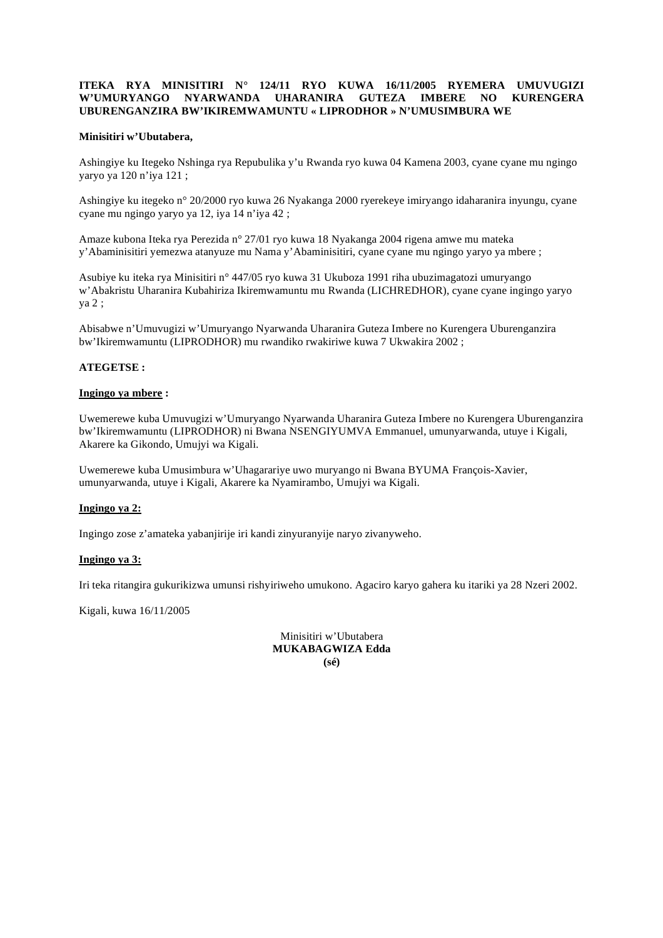# **ITEKA RYA MINISITIRI N° 124/11 RYO KUWA 16/11/2005 RYEMERA UMUVUGIZI W'UMURYANGO NYARWANDA UHARANIRA GUTEZA IMBERE NO KURENGERA UBURENGANZIRA BW'IKIREMWAMUNTU « LIPRODHOR » N'UMUSIMBURA WE**

### **Minisitiri w'Ubutabera,**

Ashingiye ku Itegeko Nshinga rya Repubulika y'u Rwanda ryo kuwa 04 Kamena 2003, cyane cyane mu ngingo yaryo ya 120 n'iya 121 ;

Ashingiye ku itegeko n° 20/2000 ryo kuwa 26 Nyakanga 2000 ryerekeye imiryango idaharanira inyungu, cyane cyane mu ngingo yaryo ya 12, iya 14 n'iya 42 ;

Amaze kubona Iteka rya Perezida n° 27/01 ryo kuwa 18 Nyakanga 2004 rigena amwe mu mateka y'Abaminisitiri yemezwa atanyuze mu Nama y'Abaminisitiri, cyane cyane mu ngingo yaryo ya mbere ;

Asubiye ku iteka rya Minisitiri n° 447/05 ryo kuwa 31 Ukuboza 1991 riha ubuzimagatozi umuryango w'Abakristu Uharanira Kubahiriza Ikiremwamuntu mu Rwanda (LICHREDHOR), cyane cyane ingingo yaryo ya 2 ;

Abisabwe n'Umuvugizi w'Umuryango Nyarwanda Uharanira Guteza Imbere no Kurengera Uburenganzira bw'Ikiremwamuntu (LIPRODHOR) mu rwandiko rwakiriwe kuwa 7 Ukwakira 2002 ;

### **ATEGETSE :**

#### **Ingingo ya mbere :**

Uwemerewe kuba Umuvugizi w'Umuryango Nyarwanda Uharanira Guteza Imbere no Kurengera Uburenganzira bw'Ikiremwamuntu (LIPRODHOR) ni Bwana NSENGIYUMVA Emmanuel, umunyarwanda, utuye i Kigali, Akarere ka Gikondo, Umujyi wa Kigali.

Uwemerewe kuba Umusimbura w'Uhagarariye uwo muryango ni Bwana BYUMA François-Xavier, umunyarwanda, utuye i Kigali, Akarere ka Nyamirambo, Umujyi wa Kigali.

#### **Ingingo ya 2:**

Ingingo zose z'amateka yabanjirije iri kandi zinyuranyije naryo zivanyweho.

#### **Ingingo ya 3:**

Iri teka ritangira gukurikizwa umunsi rishyiriweho umukono. Agaciro karyo gahera ku itariki ya 28 Nzeri 2002.

Kigali, kuwa 16/11/2005

Minisitiri w'Ubutabera **MUKABAGWIZA Edda (sé)**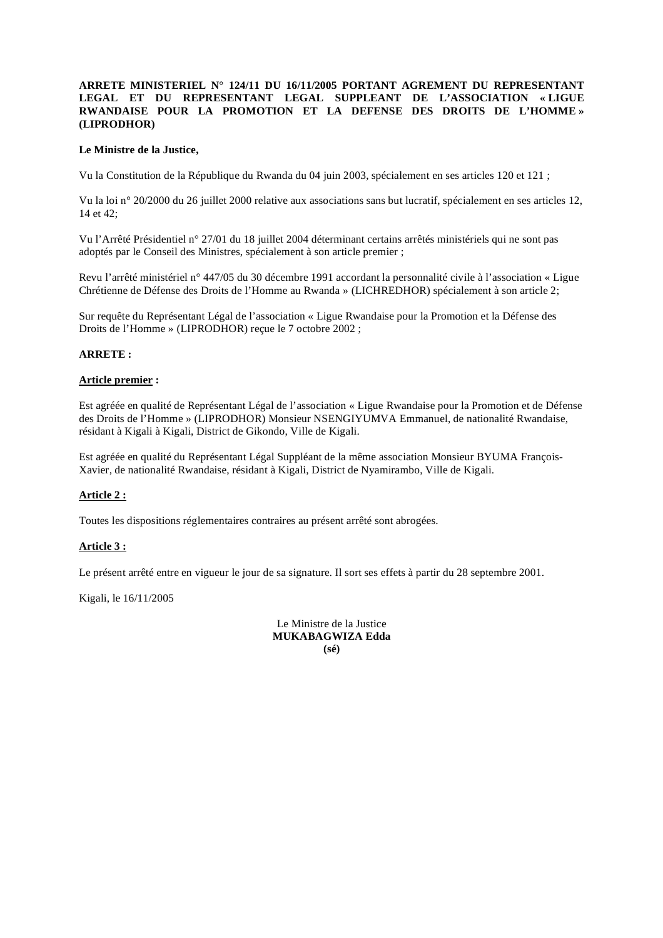# **ARRETE MINISTERIEL N° 124/11 DU 16/11/2005 PORTANT AGREMENT DU REPRESENTANT LEGAL ET DU REPRESENTANT LEGAL SUPPLEANT DE L'ASSOCIATION « LIGUE RWANDAISE POUR LA PROMOTION ET LA DEFENSE DES DROITS DE L'HOMME » (LIPRODHOR)**

#### **Le Ministre de la Justice,**

Vu la Constitution de la République du Rwanda du 04 juin 2003, spécialement en ses articles 120 et 121 ;

Vu la loi n° 20/2000 du 26 juillet 2000 relative aux associations sans but lucratif, spécialement en ses articles 12, 14 et 42;

Vu l'Arrêté Présidentiel n° 27/01 du 18 juillet 2004 déterminant certains arrêtés ministériels qui ne sont pas adoptés par le Conseil des Ministres, spécialement à son article premier ;

Revu l'arrêté ministériel n° 447/05 du 30 décembre 1991 accordant la personnalité civile à l'association « Ligue Chrétienne de Défense des Droits de l'Homme au Rwanda » (LICHREDHOR) spécialement à son article 2;

Sur requête du Représentant Légal de l'association « Ligue Rwandaise pour la Promotion et la Défense des Droits de l'Homme » (LIPRODHOR) reçue le 7 octobre 2002 ;

### **ARRETE :**

#### **Article premier :**

Est agréée en qualité de Représentant Légal de l'association « Ligue Rwandaise pour la Promotion et de Défense des Droits de l'Homme » (LIPRODHOR) Monsieur NSENGIYUMVA Emmanuel, de nationalité Rwandaise, résidant à Kigali à Kigali, District de Gikondo, Ville de Kigali.

Est agréée en qualité du Représentant Légal Suppléant de la même association Monsieur BYUMA François-Xavier, de nationalité Rwandaise, résidant à Kigali, District de Nyamirambo, Ville de Kigali.

# **Article 2 :**

Toutes les dispositions réglementaires contraires au présent arrêté sont abrogées.

#### **Article 3 :**

Le présent arrêté entre en vigueur le jour de sa signature. Il sort ses effets à partir du 28 septembre 2001.

Kigali, le 16/11/2005

Le Ministre de la Justice **MUKABAGWIZA Edda (sé)**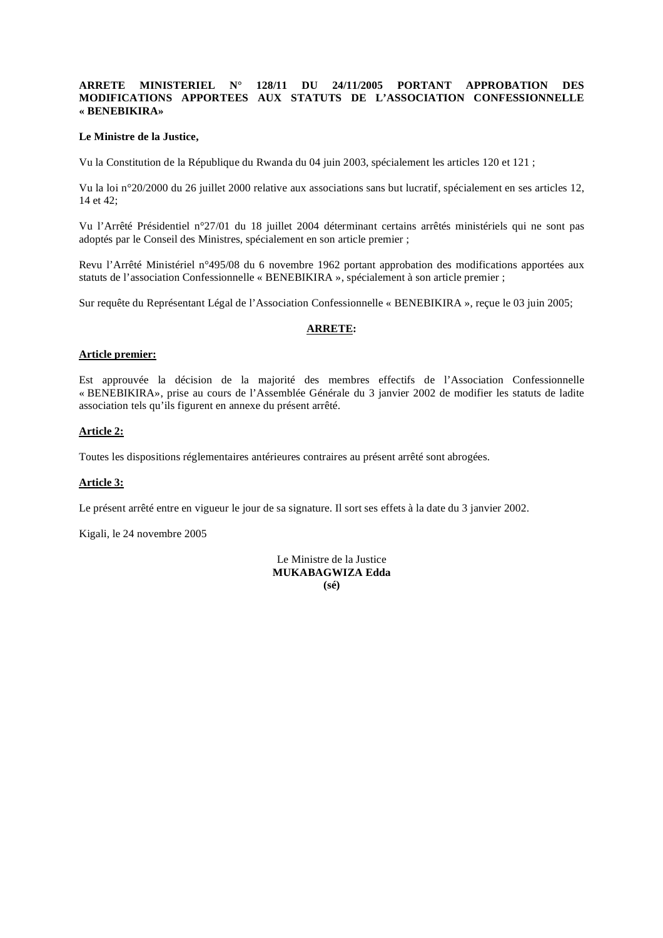### **ARRETE MINISTERIEL N° 128/11 DU 24/11/2005 PORTANT APPROBATION DES MODIFICATIONS APPORTEES AUX STATUTS DE L'ASSOCIATION CONFESSIONNELLE « BENEBIKIRA»**

#### **Le Ministre de la Justice,**

Vu la Constitution de la République du Rwanda du 04 juin 2003, spécialement les articles 120 et 121 ;

Vu la loi n°20/2000 du 26 juillet 2000 relative aux associations sans but lucratif, spécialement en ses articles 12, 14 et 42;

Vu l'Arrêté Présidentiel n°27/01 du 18 juillet 2004 déterminant certains arrêtés ministériels qui ne sont pas adoptés par le Conseil des Ministres, spécialement en son article premier ;

Revu l'Arrêté Ministériel n°495/08 du 6 novembre 1962 portant approbation des modifications apportées aux statuts de l'association Confessionnelle « BENEBIKIRA », spécialement à son article premier ;

Sur requête du Représentant Légal de l'Association Confessionnelle « BENEBIKIRA », reçue le 03 juin 2005;

#### **ARRETE:**

### **Article premier:**

Est approuvée la décision de la majorité des membres effectifs de l'Association Confessionnelle « BENEBIKIRA», prise au cours de l'Assemblée Générale du 3 janvier 2002 de modifier les statuts de ladite association tels qu'ils figurent en annexe du présent arrêté.

# **Article 2:**

Toutes les dispositions réglementaires antérieures contraires au présent arrêté sont abrogées.

### **Article 3:**

Le présent arrêté entre en vigueur le jour de sa signature. Il sort ses effets à la date du 3 janvier 2002.

Kigali, le 24 novembre 2005

Le Ministre de la Justice **MUKABAGWIZA Edda (sé)**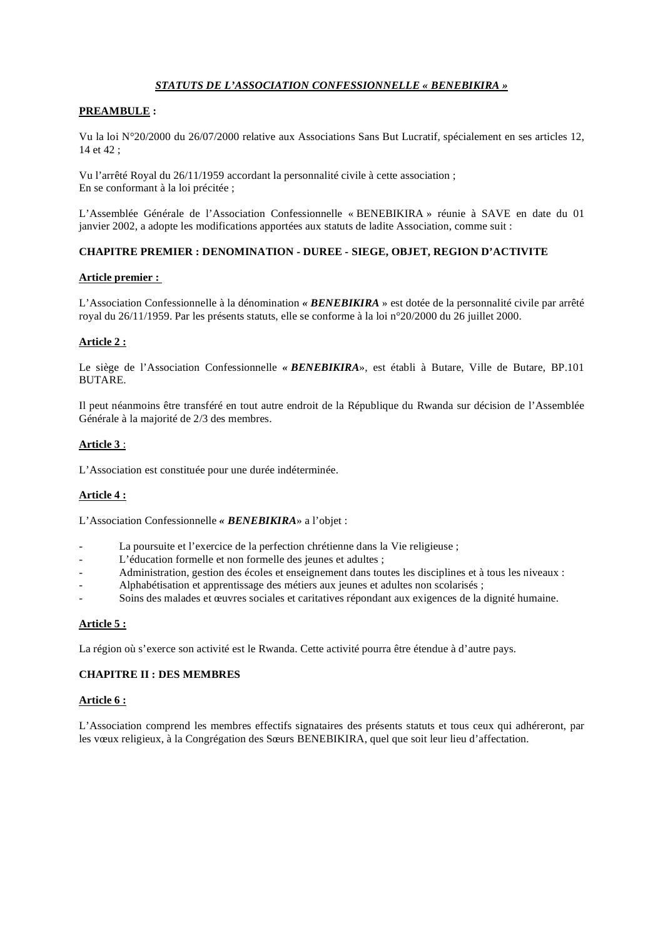# *STATUTS DE L'ASSOCIATION CONFESSIONNELLE « BENEBIKIRA »*

# **PREAMBULE :**

Vu la loi N°20/2000 du 26/07/2000 relative aux Associations Sans But Lucratif, spécialement en ses articles 12, 14 et 42 ;

Vu l'arrêté Royal du 26/11/1959 accordant la personnalité civile à cette association ; En se conformant à la loi précitée ;

L'Assemblée Générale de l'Association Confessionnelle « BENEBIKIRA » réunie à SAVE en date du 01 janvier 2002, a adopte les modifications apportées aux statuts de ladite Association, comme suit :

# **CHAPITRE PREMIER : DENOMINATION - DUREE - SIEGE, OBJET, REGION D'ACTIVITE**

#### **Article premier :**

L'Association Confessionnelle à la dénomination *« BENEBIKIRA* » est dotée de la personnalité civile par arrêté royal du 26/11/1959. Par les présents statuts, elle se conforme à la loi n°20/2000 du 26 juillet 2000.

# **Article 2 :**

Le siège de l'Association Confessionnelle *« BENEBIKIRA*», est établi à Butare, Ville de Butare, BP.101 BUTARE.

Il peut néanmoins être transféré en tout autre endroit de la République du Rwanda sur décision de l'Assemblée Générale à la majorité de 2/3 des membres.

# **Article 3** :

L'Association est constituée pour une durée indéterminée.

# **Article 4 :**

L'Association Confessionnelle *« BENEBIKIRA*» a l'objet :

- La poursuite et l'exercice de la perfection chrétienne dans la Vie religieuse ;
- L'éducation formelle et non formelle des jeunes et adultes ;
- Administration, gestion des écoles et enseignement dans toutes les disciplines et à tous les niveaux :
- Alphabétisation et apprentissage des métiers aux jeunes et adultes non scolarisés ;
- Soins des malades et œuvres sociales et caritatives répondant aux exigences de la dignité humaine.

# **Article 5 :**

La région où s'exerce son activité est le Rwanda. Cette activité pourra être étendue à d'autre pays.

# **CHAPITRE II : DES MEMBRES**

#### **Article 6 :**

L'Association comprend les membres effectifs signataires des présents statuts et tous ceux qui adhéreront, par les vœux religieux, à la Congrégation des Sœurs BENEBIKIRA, quel que soit leur lieu d'affectation.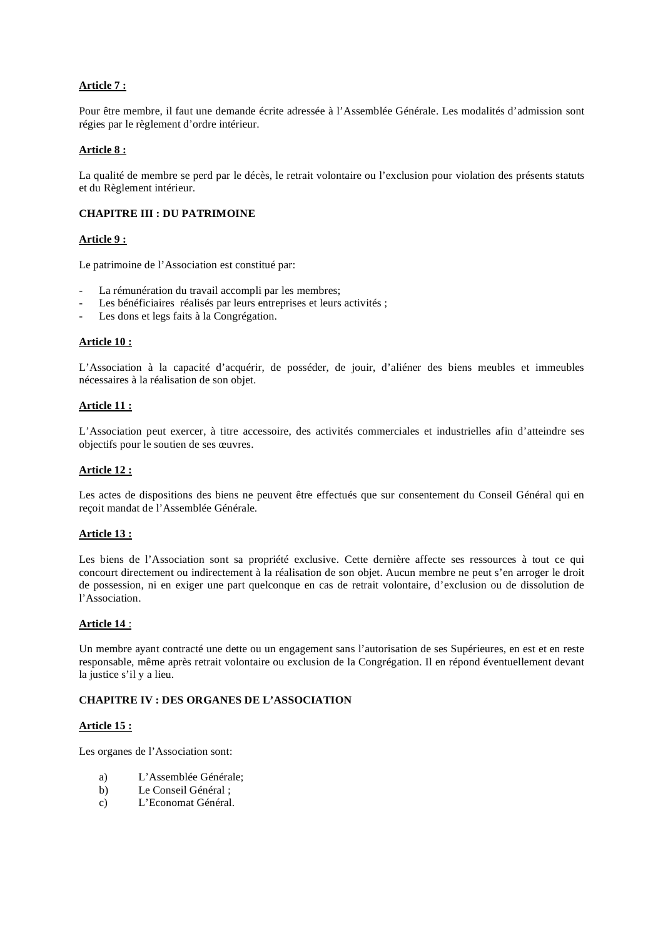# **Article 7 :**

Pour être membre, il faut une demande écrite adressée à l'Assemblée Générale. Les modalités d'admission sont régies par le règlement d'ordre intérieur.

# **Article 8 :**

La qualité de membre se perd par le décès, le retrait volontaire ou l'exclusion pour violation des présents statuts et du Règlement intérieur.

# **CHAPITRE III : DU PATRIMOINE**

#### **Article 9 :**

Le patrimoine de l'Association est constitué par:

- La rémunération du travail accompli par les membres;
- Les bénéficiaires réalisés par leurs entreprises et leurs activités ;
- Les dons et legs faits à la Congrégation.

#### **Article 10 :**

L'Association à la capacité d'acquérir, de posséder, de jouir, d'aliéner des biens meubles et immeubles nécessaires à la réalisation de son objet.

#### **Article 11 :**

L'Association peut exercer, à titre accessoire, des activités commerciales et industrielles afin d'atteindre ses objectifs pour le soutien de ses œuvres.

#### **Article 12 :**

Les actes de dispositions des biens ne peuvent être effectués que sur consentement du Conseil Général qui en reçoit mandat de l'Assemblée Générale.

#### **Article 13 :**

Les biens de l'Association sont sa propriété exclusive. Cette dernière affecte ses ressources à tout ce qui concourt directement ou indirectement à la réalisation de son objet. Aucun membre ne peut s'en arroger le droit de possession, ni en exiger une part quelconque en cas de retrait volontaire, d'exclusion ou de dissolution de l'Association.

# **Article 14** :

Un membre ayant contracté une dette ou un engagement sans l'autorisation de ses Supérieures, en est et en reste responsable, même après retrait volontaire ou exclusion de la Congrégation. Il en répond éventuellement devant la justice s'il y a lieu.

# **CHAPITRE IV : DES ORGANES DE L'ASSOCIATION**

# **Article 15 :**

Les organes de l'Association sont:

- a) L'Assemblée Générale;
- b) Le Conseil Général ;
- c) L'Economat Général.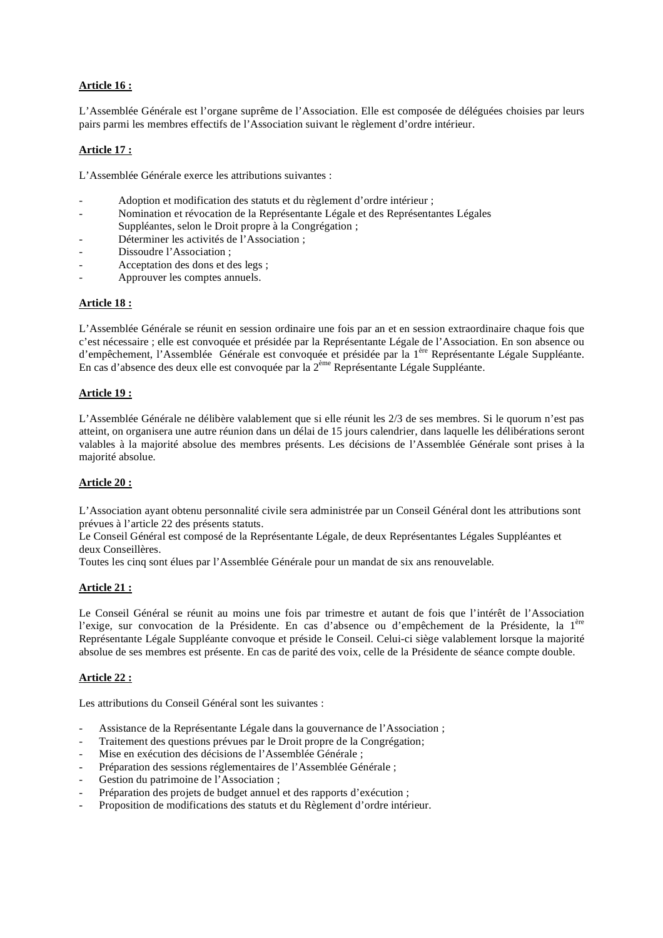# **Article 16 :**

L'Assemblée Générale est l'organe suprême de l'Association. Elle est composée de déléguées choisies par leurs pairs parmi les membres effectifs de l'Association suivant le règlement d'ordre intérieur.

# **Article 17 :**

L'Assemblée Générale exerce les attributions suivantes :

- Adoption et modification des statuts et du règlement d'ordre intérieur ;
- Nomination et révocation de la Représentante Légale et des Représentantes Légales Suppléantes, selon le Droit propre à la Congrégation ;
- Déterminer les activités de l'Association ;
- Dissoudre l'Association ;
- Acceptation des dons et des legs :
- Approuver les comptes annuels.

# **Article 18 :**

L'Assemblée Générale se réunit en session ordinaire une fois par an et en session extraordinaire chaque fois que c'est nécessaire ; elle est convoquée et présidée par la Représentante Légale de l'Association. En son absence ou d'empêchement, l'Assemblée Générale est convoquée et présidée par la 1<sup>ère</sup> Représentante Légale Suppléante. En cas d'absence des deux elle est convoquée par la 2ème Représentante Légale Suppléante.

# **Article 19 :**

L'Assemblée Générale ne délibère valablement que si elle réunit les 2/3 de ses membres. Si le quorum n'est pas atteint, on organisera une autre réunion dans un délai de 15 jours calendrier, dans laquelle les délibérations seront valables à la majorité absolue des membres présents. Les décisions de l'Assemblée Générale sont prises à la majorité absolue.

# **Article 20 :**

L'Association ayant obtenu personnalité civile sera administrée par un Conseil Général dont les attributions sont prévues à l'article 22 des présents statuts.

Le Conseil Général est composé de la Représentante Légale, de deux Représentantes Légales Suppléantes et deux Conseillères.

Toutes les cinq sont élues par l'Assemblée Générale pour un mandat de six ans renouvelable.

# **Article 21 :**

Le Conseil Général se réunit au moins une fois par trimestre et autant de fois que l'intérêt de l'Association l'exige, sur convocation de la Présidente. En cas d'absence ou d'empêchement de la Présidente, la 1ère Représentante Légale Suppléante convoque et préside le Conseil. Celui-ci siège valablement lorsque la majorité absolue de ses membres est présente. En cas de parité des voix, celle de la Présidente de séance compte double.

# **Article 22 :**

Les attributions du Conseil Général sont les suivantes :

- Assistance de la Représentante Légale dans la gouvernance de l'Association ;
- Traitement des questions prévues par le Droit propre de la Congrégation;
- Mise en exécution des décisions de l'Assemblée Générale ;
- Préparation des sessions réglementaires de l'Assemblée Générale ;
- Gestion du patrimoine de l'Association;
- Préparation des projets de budget annuel et des rapports d'exécution ;
- Proposition de modifications des statuts et du Règlement d'ordre intérieur.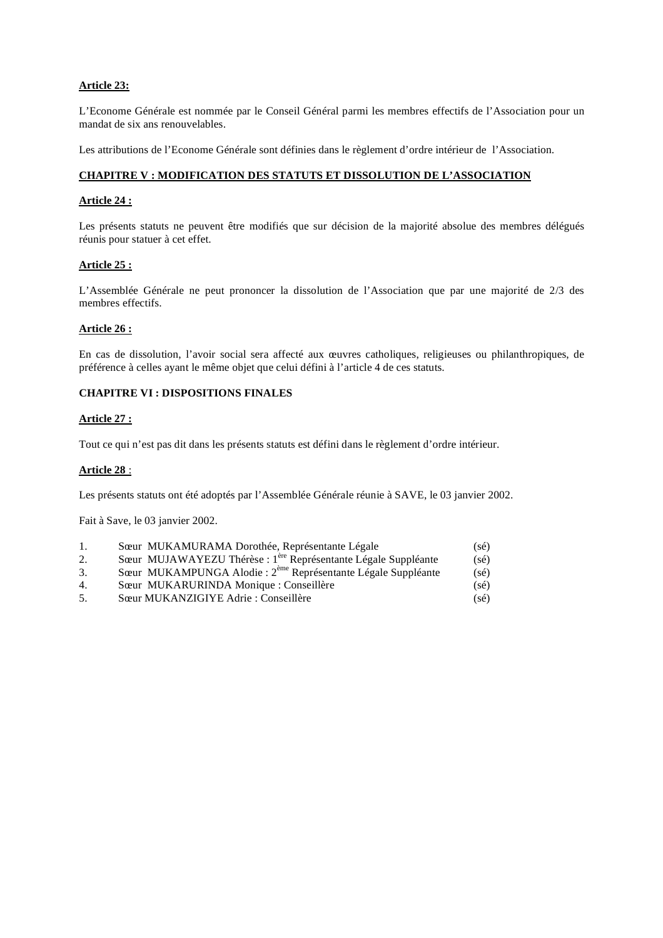# **Article 23:**

L'Econome Générale est nommée par le Conseil Général parmi les membres effectifs de l'Association pour un mandat de six ans renouvelables.

Les attributions de l'Econome Générale sont définies dans le règlement d'ordre intérieur de l'Association.

#### **CHAPITRE V : MODIFICATION DES STATUTS ET DISSOLUTION DE L'ASSOCIATION**

#### **Article 24 :**

Les présents statuts ne peuvent être modifiés que sur décision de la majorité absolue des membres délégués réunis pour statuer à cet effet.

#### **Article 25 :**

L'Assemblée Générale ne peut prononcer la dissolution de l'Association que par une majorité de 2/3 des membres effectifs.

#### **Article 26 :**

En cas de dissolution, l'avoir social sera affecté aux œuvres catholiques, religieuses ou philanthropiques, de préférence à celles ayant le même objet que celui défini à l'article 4 de ces statuts.

## **CHAPITRE VI : DISPOSITIONS FINALES**

#### **Article 27 :**

Tout ce qui n'est pas dit dans les présents statuts est défini dans le règlement d'ordre intérieur.

#### **Article 28** :

Les présents statuts ont été adoptés par l'Assemblée Générale réunie à SAVE, le 03 janvier 2002.

Fait à Save, le 03 janvier 2002.

|  | Sœur MUKAMURAMA Dorothée, Représentante Légale | $(s\acute{e})$ |
|--|------------------------------------------------|----------------|
|  | $\frac{1}{2}$                                  | $\sqrt{2}$     |

- 2. Sœur MUJAWAYEZU Thérèse : 1<sup>ère</sup> Représentante Légale Suppléante (sé)  $3.$  Sœur MUKAMPUNGA Alodie :  $2<sup>eme</sup>$  Représentante Légale Suppléante (sé)
- 4. Sœur MUKARURINDA Monique : Conseillère (sé)
- 5. Sœur MUKANZIGIYE Adrie : Conseillère (sé)
-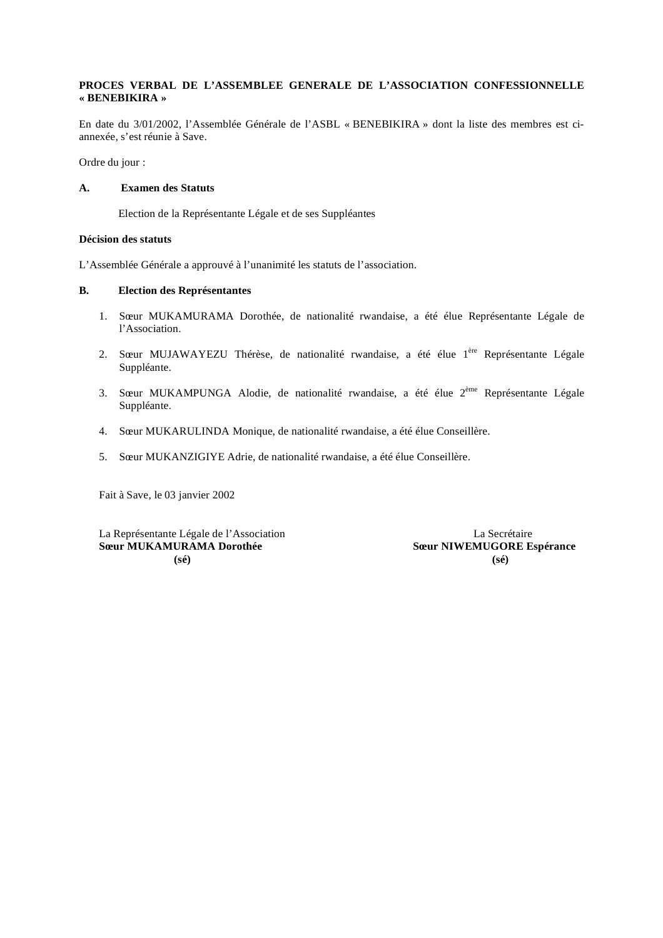## **PROCES VERBAL DE L'ASSEMBLEE GENERALE DE L'ASSOCIATION CONFESSIONNELLE « BENEBIKIRA »**

En date du 3/01/2002, l'Assemblée Générale de l'ASBL « BENEBIKIRA » dont la liste des membres est ciannexée, s'est réunie à Save.

Ordre du jour :

# **A. Examen des Statuts**

Election de la Représentante Légale et de ses Suppléantes

# **Décision des statuts**

L'Assemblée Générale a approuvé à l'unanimité les statuts de l'association.

## **B. Election des Représentantes**

- 1. Sœur MUKAMURAMA Dorothée, de nationalité rwandaise, a été élue Représentante Légale de l'Association.
- 2. Sœur MUJAWAYEZU Thérèse, de nationalité rwandaise, a été élue l<sup>ère</sup> Représentante Légale Suppléante.
- 3. Sœur MUKAMPUNGA Alodie, de nationalité rwandaise, a été élue 2<sup>ème</sup> Représentante Légale Suppléante.
- 4. Sœur MUKARULINDA Monique, de nationalité rwandaise, a été élue Conseillère.
- 5. Sœur MUKANZIGIYE Adrie, de nationalité rwandaise, a été élue Conseillère.

Fait à Save, le 03 janvier 2002

La Représentante Légale de l'Association La Secrétaire **Sœur MUKAMURAMA Dorothée**  $\qquad \qquad$ **Sœur NIWEMUGORE Espérance (sé) (sé)**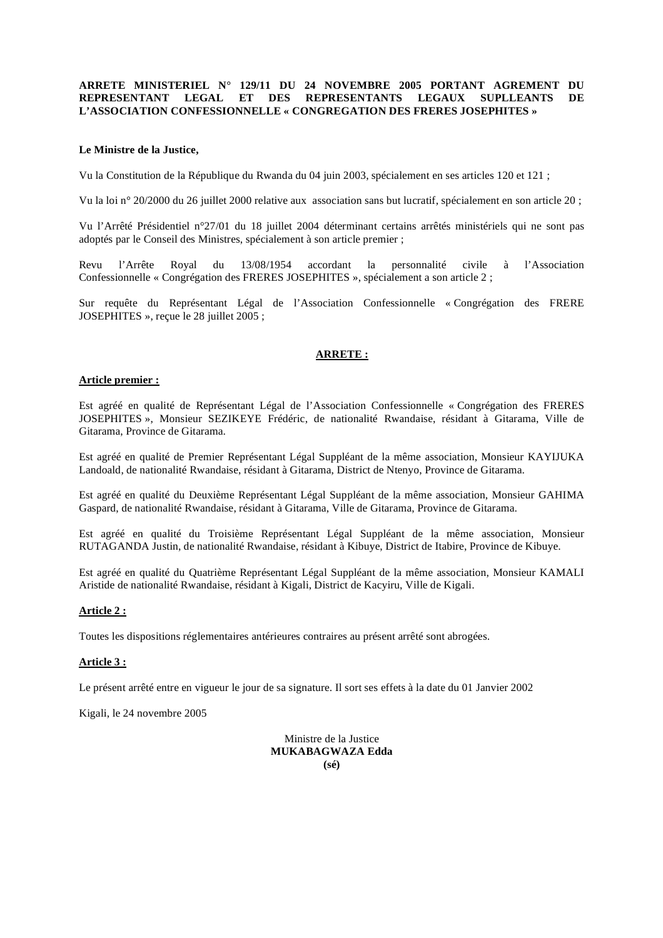#### **ARRETE MINISTERIEL N° 129/11 DU 24 NOVEMBRE 2005 PORTANT AGREMENT DU REPRESENTANT LEGAL ET DES REPRESENTANTS LEGAUX SUPLLEANTS DE L'ASSOCIATION CONFESSIONNELLE « CONGREGATION DES FRERES JOSEPHITES »**

#### **Le Ministre de la Justice,**

Vu la Constitution de la République du Rwanda du 04 juin 2003, spécialement en ses articles 120 et 121 ;

Vu la loi n° 20/2000 du 26 juillet 2000 relative aux association sans but lucratif, spécialement en son article 20 ;

Vu l'Arrêté Présidentiel n°27/01 du 18 juillet 2004 déterminant certains arrêtés ministériels qui ne sont pas adoptés par le Conseil des Ministres, spécialement à son article premier ;

Revu l'Arrête Royal du 13/08/1954 accordant la personnalité civile à l'Association Confessionnelle « Congrégation des FRERES JOSEPHITES », spécialement a son article 2 ;

Sur requête du Représentant Légal de l'Association Confessionnelle « Congrégation des FRERE JOSEPHITES », reçue le 28 juillet 2005 ;

## **ARRETE :**

#### **Article premier :**

Est agréé en qualité de Représentant Légal de l'Association Confessionnelle « Congrégation des FRERES JOSEPHITES », Monsieur SEZIKEYE Frédéric, de nationalité Rwandaise, résidant à Gitarama, Ville de Gitarama, Province de Gitarama.

Est agréé en qualité de Premier Représentant Légal Suppléant de la même association, Monsieur KAYIJUKA Landoald, de nationalité Rwandaise, résidant à Gitarama, District de Ntenyo, Province de Gitarama.

Est agréé en qualité du Deuxième Représentant Légal Suppléant de la même association, Monsieur GAHIMA Gaspard, de nationalité Rwandaise, résidant à Gitarama, Ville de Gitarama, Province de Gitarama.

Est agréé en qualité du Troisième Représentant Légal Suppléant de la même association, Monsieur RUTAGANDA Justin, de nationalité Rwandaise, résidant à Kibuye, District de Itabire, Province de Kibuye.

Est agréé en qualité du Quatrième Représentant Légal Suppléant de la même association, Monsieur KAMALI Aristide de nationalité Rwandaise, résidant à Kigali, District de Kacyiru, Ville de Kigali.

## **Article 2 :**

Toutes les dispositions réglementaires antérieures contraires au présent arrêté sont abrogées.

#### **Article 3 :**

Le présent arrêté entre en vigueur le jour de sa signature. Il sort ses effets à la date du 01 Janvier 2002

Kigali, le 24 novembre 2005

Ministre de la Justice **MUKABAGWAZA Edda (sé)**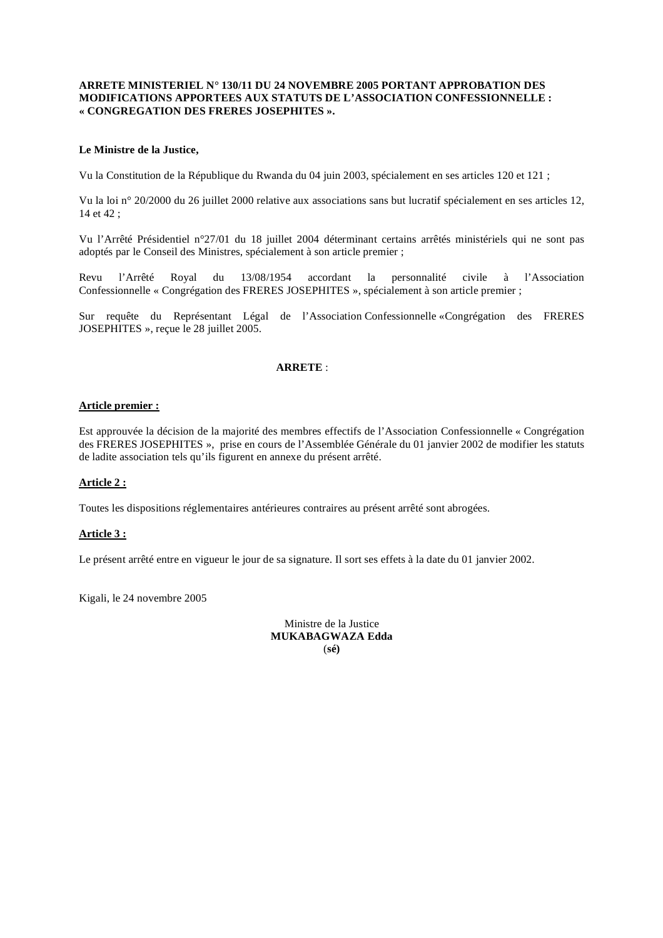#### **ARRETE MINISTERIEL N° 130/11 DU 24 NOVEMBRE 2005 PORTANT APPROBATION DES MODIFICATIONS APPORTEES AUX STATUTS DE L'ASSOCIATION CONFESSIONNELLE : « CONGREGATION DES FRERES JOSEPHITES ».**

#### **Le Ministre de la Justice,**

Vu la Constitution de la République du Rwanda du 04 juin 2003, spécialement en ses articles 120 et 121 ;

Vu la loi n° 20/2000 du 26 juillet 2000 relative aux associations sans but lucratif spécialement en ses articles 12, 14 et 42 ;

Vu l'Arrêté Présidentiel n°27/01 du 18 juillet 2004 déterminant certains arrêtés ministériels qui ne sont pas adoptés par le Conseil des Ministres, spécialement à son article premier ;

Revu l'Arrêté Royal du 13/08/1954 accordant la personnalité civile à l'Association Confessionnelle « Congrégation des FRERES JOSEPHITES », spécialement à son article premier ;

Sur requête du Représentant Légal de l'Association Confessionnelle «Congrégation des FRERES JOSEPHITES », reçue le 28 juillet 2005.

#### **ARRETE** :

#### **Article premier :**

Est approuvée la décision de la majorité des membres effectifs de l'Association Confessionnelle « Congrégation des FRERES JOSEPHITES », prise en cours de l'Assemblée Générale du 01 janvier 2002 de modifier les statuts de ladite association tels qu'ils figurent en annexe du présent arrêté.

#### **Article 2 :**

Toutes les dispositions réglementaires antérieures contraires au présent arrêté sont abrogées.

#### **Article 3 :**

Le présent arrêté entre en vigueur le jour de sa signature. Il sort ses effets à la date du 01 janvier 2002.

Kigali, le 24 novembre 2005

Ministre de la Justice **MUKABAGWAZA Edda**  (**sé)**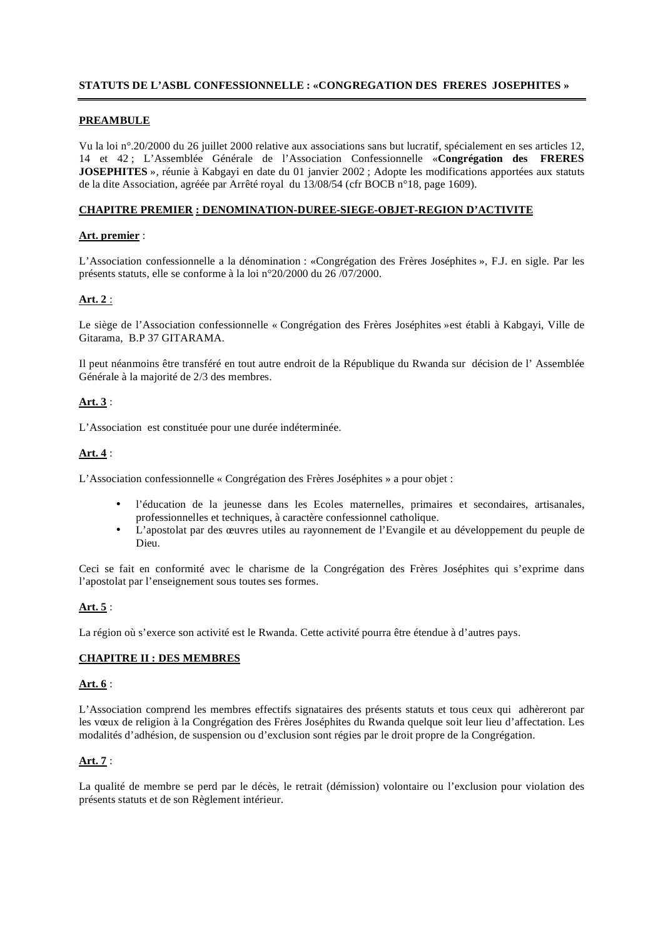# **STATUTS DE L'ASBL CONFESSIONNELLE : «CONGREGATION DES FRERES JOSEPHITES »**

## **PREAMBULE**

Vu la loi n°.20/2000 du 26 juillet 2000 relative aux associations sans but lucratif, spécialement en ses articles 12, 14 et 42 ; L'Assemblée Générale de l'Association Confessionnelle «**Congrégation des FRERES JOSEPHITES** », réunie à Kabgayi en date du 01 janvier 2002 ; Adopte les modifications apportées aux statuts de la dite Association, agréée par Arrêté royal du 13/08/54 (cfr BOCB n°18, page 1609).

## **CHAPITRE PREMIER : DENOMINATION-DUREE-SIEGE-OBJET-REGION D'ACTIVITE**

## **Art. premier** :

L'Association confessionnelle a la dénomination : «Congrégation des Frères Joséphites », F.J. en sigle. Par les présents statuts, elle se conforme à la loi n°20/2000 du 26 /07/2000.

# **Art. 2** :

Le siège de l'Association confessionnelle « Congrégation des Frères Joséphites »est établi à Kabgayi, Ville de Gitarama, B.P 37 GITARAMA.

Il peut néanmoins être transféré en tout autre endroit de la République du Rwanda sur décision de l' Assemblée Générale à la majorité de 2/3 des membres.

## **Art. 3** :

L'Association est constituée pour une durée indéterminée.

# **Art. 4** :

L'Association confessionnelle « Congrégation des Frères Joséphites » a pour objet :

- l'éducation de la jeunesse dans les Ecoles maternelles, primaires et secondaires, artisanales, professionnelles et techniques, à caractère confessionnel catholique.
- L'apostolat par des œuvres utiles au rayonnement de l'Evangile et au développement du peuple de Dieu.

Ceci se fait en conformité avec le charisme de la Congrégation des Frères Joséphites qui s'exprime dans l'apostolat par l'enseignement sous toutes ses formes.

# **Art. 5** :

La région où s'exerce son activité est le Rwanda. Cette activité pourra être étendue à d'autres pays.

## **CHAPITRE II : DES MEMBRES**

## **Art. 6** :

L'Association comprend les membres effectifs signataires des présents statuts et tous ceux qui adhèreront par les vœux de religion à la Congrégation des Frères Joséphites du Rwanda quelque soit leur lieu d'affectation. Les modalités d'adhésion, de suspension ou d'exclusion sont régies par le droit propre de la Congrégation.

# **Art. 7** :

La qualité de membre se perd par le décès, le retrait (démission) volontaire ou l'exclusion pour violation des présents statuts et de son Règlement intérieur.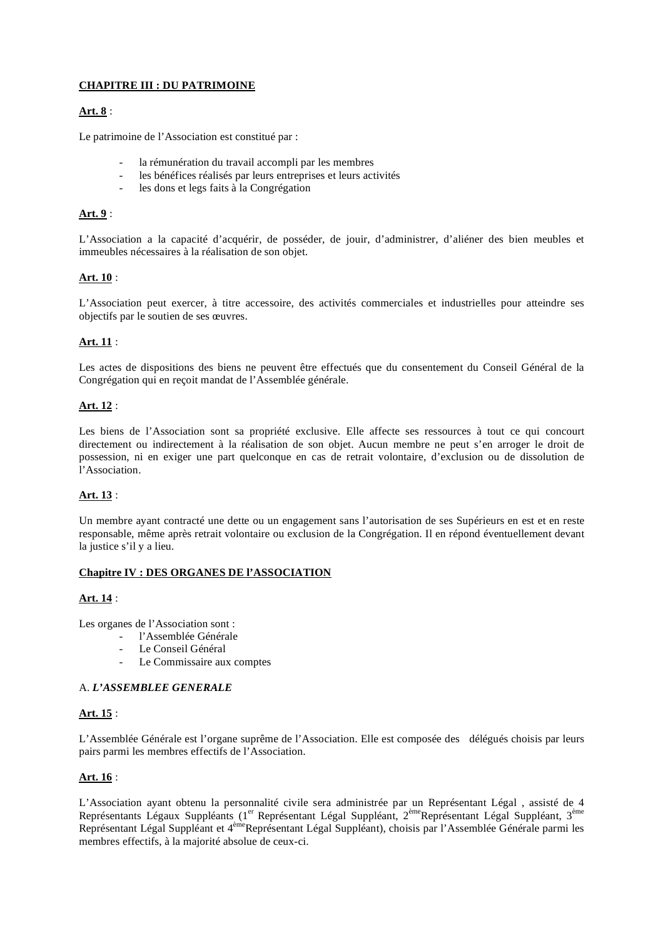# **CHAPITRE III : DU PATRIMOINE**

# **Art. 8** :

Le patrimoine de l'Association est constitué par :

- la rémunération du travail accompli par les membres
- les bénéfices réalisés par leurs entreprises et leurs activités
- les dons et legs faits à la Congrégation

# **Art. 9** :

L'Association a la capacité d'acquérir, de posséder, de jouir, d'administrer, d'aliéner des bien meubles et immeubles nécessaires à la réalisation de son objet.

# **Art. 10** :

L'Association peut exercer, à titre accessoire, des activités commerciales et industrielles pour atteindre ses objectifs par le soutien de ses œuvres.

# **Art. 11** :

Les actes de dispositions des biens ne peuvent être effectués que du consentement du Conseil Général de la Congrégation qui en reçoit mandat de l'Assemblée générale.

## **Art. 12** :

Les biens de l'Association sont sa propriété exclusive. Elle affecte ses ressources à tout ce qui concourt directement ou indirectement à la réalisation de son objet. Aucun membre ne peut s'en arroger le droit de possession, ni en exiger une part quelconque en cas de retrait volontaire, d'exclusion ou de dissolution de l'Association.

# **Art. 13** :

Un membre ayant contracté une dette ou un engagement sans l'autorisation de ses Supérieurs en est et en reste responsable, même après retrait volontaire ou exclusion de la Congrégation. Il en répond éventuellement devant la justice s'il y a lieu.

## **Chapitre IV : DES ORGANES DE l'ASSOCIATION**

## **Art. 14** :

Les organes de l'Association sont :

- l'Assemblée Générale
- Le Conseil Général
- Le Commissaire aux comptes

## A. *L'ASSEMBLEE GENERALE*

# **Art. 15** :

L'Assemblée Générale est l'organe suprême de l'Association. Elle est composée des délégués choisis par leurs pairs parmi les membres effectifs de l'Association.

# **Art. 16** :

L'Association ayant obtenu la personnalité civile sera administrée par un Représentant Légal , assisté de 4 Représentants Légaux Suppléants (1<sup>er</sup> Représentant Légal Suppléant, 2<sup>ème</sup>Représentant Légal Suppléant, 3<sup>ème</sup> Représentant Légal Suppléant et 4<sup>ème</sup>Représentant Légal Suppléant), choisis par l'Assemblée Générale parmi les membres effectifs, à la majorité absolue de ceux-ci.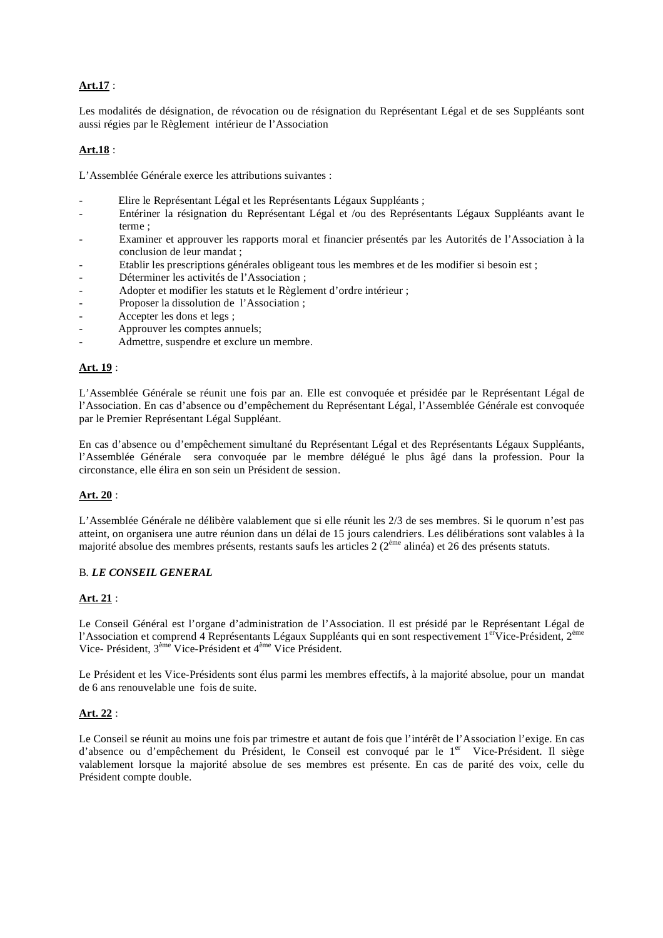# **Art.17** :

Les modalités de désignation, de révocation ou de résignation du Représentant Légal et de ses Suppléants sont aussi régies par le Règlement intérieur de l'Association

# **Art.18** :

L'Assemblée Générale exerce les attributions suivantes :

- Elire le Représentant Légal et les Représentants Légaux Suppléants ;
- Entériner la résignation du Représentant Légal et /ou des Représentants Légaux Suppléants avant le terme ;
- Examiner et approuver les rapports moral et financier présentés par les Autorités de l'Association à la conclusion de leur mandat ;
- Etablir les prescriptions générales obligeant tous les membres et de les modifier si besoin est ;
- Déterminer les activités de l'Association ;
- Adopter et modifier les statuts et le Règlement d'ordre intérieur ;
- Proposer la dissolution de l'Association ;
- Accepter les dons et legs ;
- Approuver les comptes annuels;
- Admettre, suspendre et exclure un membre.

# **Art. 19** :

L'Assemblée Générale se réunit une fois par an. Elle est convoquée et présidée par le Représentant Légal de l'Association. En cas d'absence ou d'empêchement du Représentant Légal, l'Assemblée Générale est convoquée par le Premier Représentant Légal Suppléant.

En cas d'absence ou d'empêchement simultané du Représentant Légal et des Représentants Légaux Suppléants, l'Assemblée Générale sera convoquée par le membre délégué le plus âgé dans la profession. Pour la circonstance, elle élira en son sein un Président de session.

# **Art. 20** :

L'Assemblée Générale ne délibère valablement que si elle réunit les 2/3 de ses membres. Si le quorum n'est pas atteint, on organisera une autre réunion dans un délai de 15 jours calendriers. Les délibérations sont valables à la majorité absolue des membres présents, restants saufs les articles 2 (2ème alinéa) et 26 des présents statuts.

## B*. LE CONSEIL GENERAL*

# **Art. 21** :

Le Conseil Général est l'organe d'administration de l'Association. Il est présidé par le Représentant Légal de l'Association et comprend 4 Représentants Légaux Suppléants qui en sont respectivement  $1^{er}$ Vice-Président,  $2^{eme}$ Vice- Président, 3ème Vice-Président et 4ème Vice Président.

Le Président et les Vice-Présidents sont élus parmi les membres effectifs, à la majorité absolue, pour un mandat de 6 ans renouvelable une fois de suite.

# **Art. 22** :

Le Conseil se réunit au moins une fois par trimestre et autant de fois que l'intérêt de l'Association l'exige. En cas d'absence ou d'empêchement du Président, le Conseil est convoqué par le 1<sup>er</sup> Vice-Président. Il siège valablement lorsque la majorité absolue de ses membres est présente. En cas de parité des voix, celle du Président compte double.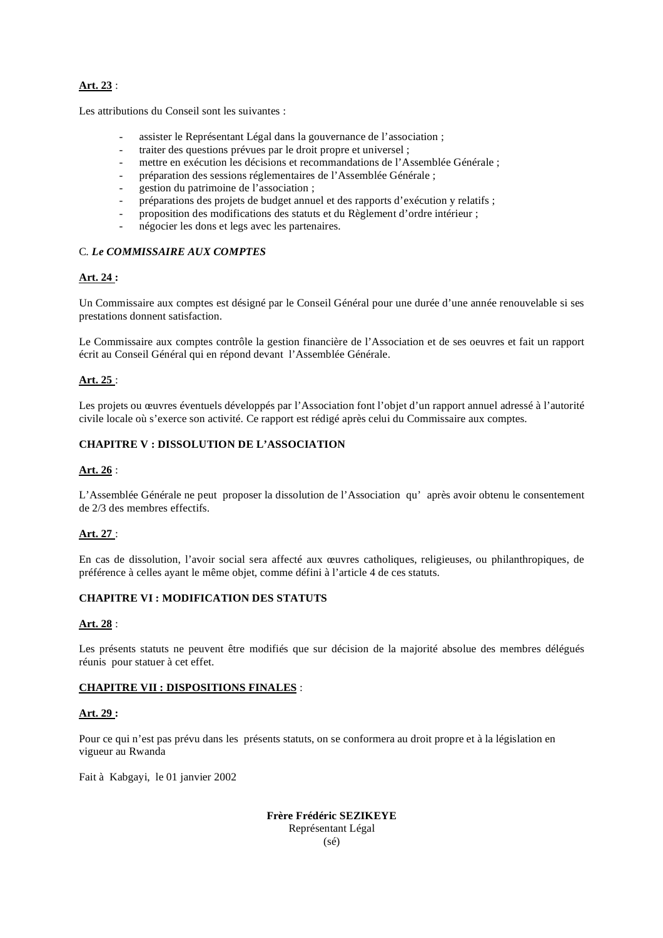# **Art. 23** :

Les attributions du Conseil sont les suivantes :

- assister le Représentant Légal dans la gouvernance de l'association ;
- traiter des questions prévues par le droit propre et universel ;
- mettre en exécution les décisions et recommandations de l'Assemblée Générale ;
- préparation des sessions réglementaires de l'Assemblée Générale ;
- gestion du patrimoine de l'association ;
- préparations des projets de budget annuel et des rapports d'exécution y relatifs ;
- proposition des modifications des statuts et du Règlement d'ordre intérieur ;
- négocier les dons et legs avec les partenaires.

# C*. Le COMMISSAIRE AUX COMPTES*

# **Art. 24 :**

Un Commissaire aux comptes est désigné par le Conseil Général pour une durée d'une année renouvelable si ses prestations donnent satisfaction.

Le Commissaire aux comptes contrôle la gestion financière de l'Association et de ses oeuvres et fait un rapport écrit au Conseil Général qui en répond devant l'Assemblée Générale.

# **Art. 25** :

Les projets ou œuvres éventuels développés par l'Association font l'objet d'un rapport annuel adressé à l'autorité civile locale où s'exerce son activité. Ce rapport est rédigé après celui du Commissaire aux comptes.

# **CHAPITRE V : DISSOLUTION DE L'ASSOCIATION**

## **Art. 26** :

L'Assemblée Générale ne peut proposer la dissolution de l'Association qu' après avoir obtenu le consentement de 2/3 des membres effectifs.

# **Art. 27** :

En cas de dissolution, l'avoir social sera affecté aux œuvres catholiques, religieuses, ou philanthropiques, de préférence à celles ayant le même objet, comme défini à l'article 4 de ces statuts.

## **CHAPITRE VI : MODIFICATION DES STATUTS**

## **Art. 28** :

Les présents statuts ne peuvent être modifiés que sur décision de la majorité absolue des membres délégués réunis pour statuer à cet effet.

## **CHAPITRE VII : DISPOSITIONS FINALES** :

## **Art. 29 :**

Pour ce qui n'est pas prévu dans les présents statuts, on se conformera au droit propre et à la législation en vigueur au Rwanda

Fait à Kabgayi, le 01 janvier 2002

**Frère Frédéric SEZIKEYE**  Représentant Légal  $(s<sub>é</sub>)$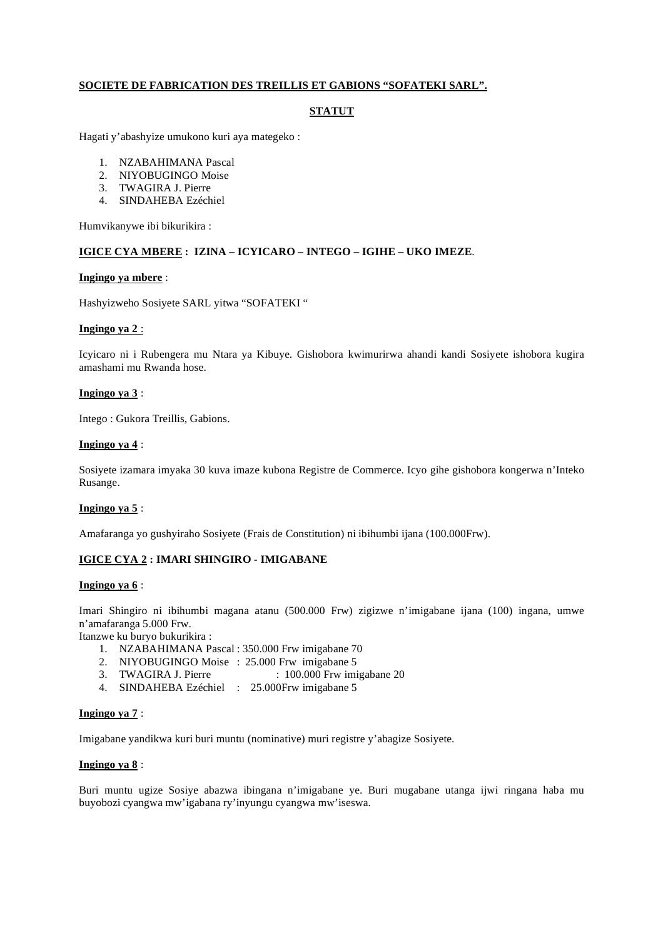# **SOCIETE DE FABRICATION DES TREILLIS ET GABIONS "SOFATEKI SARL".**

# **STATUT**

Hagati y'abashyize umukono kuri aya mategeko :

- 1. NZABAHIMANA Pascal
- 2. NIYOBUGINGO Moise
- 3. TWAGIRA J. Pierre
- 4. SINDAHEBA Ezéchiel

Humvikanywe ibi bikurikira :

## **IGICE CYA MBERE : IZINA – ICYICARO – INTEGO – IGIHE – UKO IMEZE**.

#### **Ingingo ya mbere** :

Hashyizweho Sosiyete SARL yitwa "SOFATEKI "

#### **Ingingo ya 2** :

Icyicaro ni i Rubengera mu Ntara ya Kibuye. Gishobora kwimurirwa ahandi kandi Sosiyete ishobora kugira amashami mu Rwanda hose.

#### **Ingingo ya 3** :

Intego : Gukora Treillis, Gabions.

#### **Ingingo ya 4** :

Sosiyete izamara imyaka 30 kuva imaze kubona Registre de Commerce. Icyo gihe gishobora kongerwa n'Inteko Rusange.

## **Ingingo ya 5** :

Amafaranga yo gushyiraho Sosiyete (Frais de Constitution) ni ibihumbi ijana (100.000Frw).

# **IGICE CYA 2 : IMARI SHINGIRO - IMIGABANE**

#### **Ingingo ya 6** :

Imari Shingiro ni ibihumbi magana atanu (500.000 Frw) zigizwe n'imigabane ijana (100) ingana, umwe n'amafaranga 5.000 Frw.

Itanzwe ku buryo bukurikira :

- 1. NZABAHIMANA Pascal : 350.000 Frw imigabane 70
- 2. NIYOBUGINGO Moise : 25.000 Frw imigabane 5<br>3. TWAGIRA J. Pierre : 100.000 Frw imi
- $: 100.000$  Frw imigabane 20
- 4. SINDAHEBA Ezéchiel : 25.000Frw imigabane 5

#### **Ingingo ya 7** :

Imigabane yandikwa kuri buri muntu (nominative) muri registre y'abagize Sosiyete.

#### **Ingingo ya 8** :

Buri muntu ugize Sosiye abazwa ibingana n'imigabane ye. Buri mugabane utanga ijwi ringana haba mu buyobozi cyangwa mw'igabana ry'inyungu cyangwa mw'iseswa.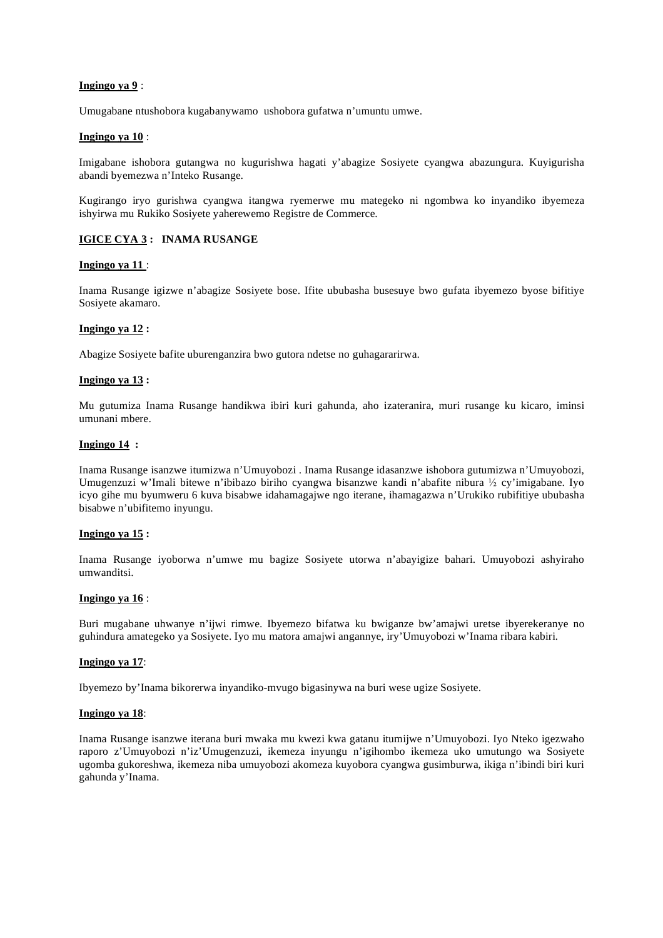#### **Ingingo ya 9** :

Umugabane ntushobora kugabanywamo ushobora gufatwa n'umuntu umwe.

#### **Ingingo ya 10** :

Imigabane ishobora gutangwa no kugurishwa hagati y'abagize Sosiyete cyangwa abazungura. Kuyigurisha abandi byemezwa n'Inteko Rusange.

Kugirango iryo gurishwa cyangwa itangwa ryemerwe mu mategeko ni ngombwa ko inyandiko ibyemeza ishyirwa mu Rukiko Sosiyete yaherewemo Registre de Commerce.

## **IGICE CYA 3 : INAMA RUSANGE**

#### **Ingingo ya 11** :

Inama Rusange igizwe n'abagize Sosiyete bose. Ifite ububasha busesuye bwo gufata ibyemezo byose bifitiye Sosiyete akamaro.

#### **Ingingo ya 12 :**

Abagize Sosiyete bafite uburenganzira bwo gutora ndetse no guhagararirwa.

#### **Ingingo ya 13 :**

Mu gutumiza Inama Rusange handikwa ibiri kuri gahunda, aho izateranira, muri rusange ku kicaro, iminsi umunani mbere.

#### **Ingingo 14 :**

Inama Rusange isanzwe itumizwa n'Umuyobozi . Inama Rusange idasanzwe ishobora gutumizwa n'Umuyobozi, Umugenzuzi w'Imali bitewe n'ibibazo biriho cyangwa bisanzwe kandi n'abafite nibura  $\frac{1}{2}$  cy'imigabane. Iyo icyo gihe mu byumweru 6 kuva bisabwe idahamagajwe ngo iterane, ihamagazwa n'Urukiko rubifitiye ububasha bisabwe n'ubifitemo inyungu.

#### **Ingingo ya 15 :**

Inama Rusange iyoborwa n'umwe mu bagize Sosiyete utorwa n'abayigize bahari. Umuyobozi ashyiraho umwanditsi.

#### **Ingingo ya 16** :

Buri mugabane uhwanye n'ijwi rimwe. Ibyemezo bifatwa ku bwiganze bw'amajwi uretse ibyerekeranye no guhindura amategeko ya Sosiyete. Iyo mu matora amajwi angannye, iry'Umuyobozi w'Inama ribara kabiri.

#### **Ingingo ya 17**:

Ibyemezo by'Inama bikorerwa inyandiko-mvugo bigasinywa na buri wese ugize Sosiyete.

#### **Ingingo ya 18**:

Inama Rusange isanzwe iterana buri mwaka mu kwezi kwa gatanu itumijwe n'Umuyobozi. Iyo Nteko igezwaho raporo z'Umuyobozi n'iz'Umugenzuzi, ikemeza inyungu n'igihombo ikemeza uko umutungo wa Sosiyete ugomba gukoreshwa, ikemeza niba umuyobozi akomeza kuyobora cyangwa gusimburwa, ikiga n'ibindi biri kuri gahunda y'Inama.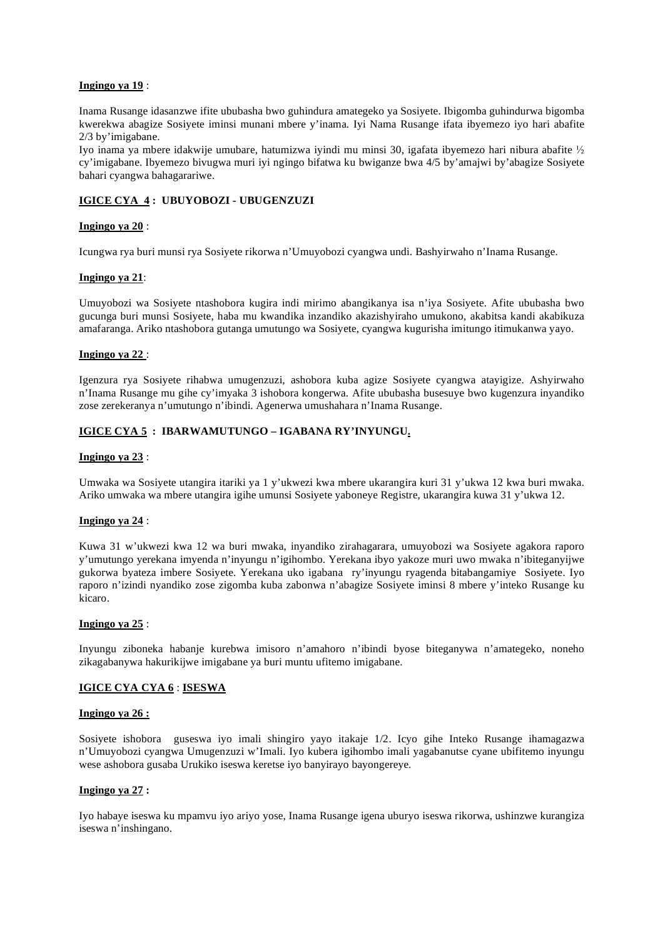#### **Ingingo ya 19** :

Inama Rusange idasanzwe ifite ububasha bwo guhindura amategeko ya Sosiyete. Ibigomba guhindurwa bigomba kwerekwa abagize Sosiyete iminsi munani mbere y'inama. Iyi Nama Rusange ifata ibyemezo iyo hari abafite 2/3 by'imigabane.

Iyo inama ya mbere idakwije umubare, hatumizwa iyindi mu minsi 30, igafata ibyemezo hari nibura abafite cy'imigabane. Ibyemezo bivugwa muri iyi ngingo bifatwa ku bwiganze bwa 4/5 by'amajwi by'abagize Sosiyete bahari cyangwa bahagarariwe.

# **IGICE CYA 4 : UBUYOBOZI - UBUGENZUZI**

#### **Ingingo ya 20** :

Icungwa rya buri munsi rya Sosiyete rikorwa n'Umuyobozi cyangwa undi. Bashyirwaho n'Inama Rusange.

#### **Ingingo ya 21**:

Umuyobozi wa Sosiyete ntashobora kugira indi mirimo abangikanya isa n'iya Sosiyete. Afite ububasha bwo gucunga buri munsi Sosiyete, haba mu kwandika inzandiko akazishyiraho umukono, akabitsa kandi akabikuza amafaranga. Ariko ntashobora gutanga umutungo wa Sosiyete, cyangwa kugurisha imitungo itimukanwa yayo.

#### **Ingingo ya 22** :

Igenzura rya Sosiyete rihabwa umugenzuzi, ashobora kuba agize Sosiyete cyangwa atayigize. Ashyirwaho n'Inama Rusange mu gihe cy'imyaka 3 ishobora kongerwa. Afite ububasha busesuye bwo kugenzura inyandiko zose zerekeranya n'umutungo n'ibindi. Agenerwa umushahara n'Inama Rusange.

## **IGICE CYA 5 : IBARWAMUTUNGO – IGABANA RY'INYUNGU.**

#### **Ingingo ya 23** :

Umwaka wa Sosiyete utangira itariki ya 1 y'ukwezi kwa mbere ukarangira kuri 31 y'ukwa 12 kwa buri mwaka. Ariko umwaka wa mbere utangira igihe umunsi Sosiyete yaboneye Registre, ukarangira kuwa 31 y'ukwa 12.

#### **Ingingo ya 24** :

Kuwa 31 w'ukwezi kwa 12 wa buri mwaka, inyandiko zirahagarara, umuyobozi wa Sosiyete agakora raporo y'umutungo yerekana imyenda n'inyungu n'igihombo. Yerekana ibyo yakoze muri uwo mwaka n'ibiteganyijwe gukorwa byateza imbere Sosiyete. Yerekana uko igabana ry'inyungu ryagenda bitabangamiye Sosiyete. Iyo raporo n'izindi nyandiko zose zigomba kuba zabonwa n'abagize Sosiyete iminsi 8 mbere y'inteko Rusange ku kicaro.

#### **Ingingo ya 25** :

Inyungu ziboneka habanje kurebwa imisoro n'amahoro n'ibindi byose biteganywa n'amategeko, noneho zikagabanywa hakurikijwe imigabane ya buri muntu ufitemo imigabane.

## **IGICE CYA CYA 6** : **ISESWA**

#### **Ingingo ya 26 :**

Sosiyete ishobora guseswa iyo imali shingiro yayo itakaje 1/2. Icyo gihe Inteko Rusange ihamagazwa n'Umuyobozi cyangwa Umugenzuzi w'Imali. Iyo kubera igihombo imali yagabanutse cyane ubifitemo inyungu wese ashobora gusaba Urukiko iseswa keretse iyo banyirayo bayongereye.

#### **Ingingo ya 27 :**

Iyo habaye iseswa ku mpamvu iyo ariyo yose, Inama Rusange igena uburyo iseswa rikorwa, ushinzwe kurangiza iseswa n'inshingano.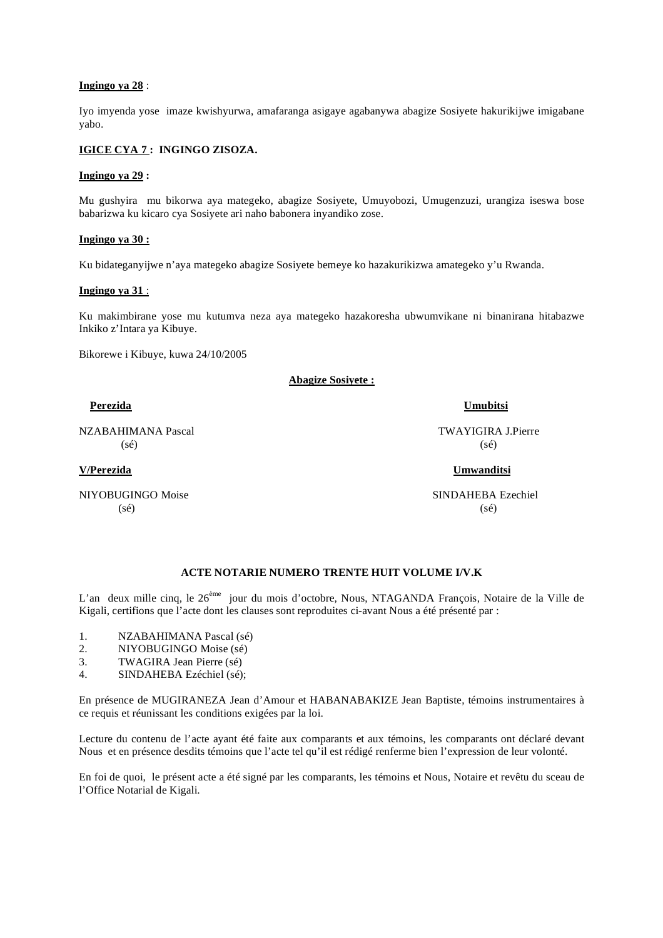#### **Ingingo ya 28** :

Iyo imyenda yose imaze kwishyurwa, amafaranga asigaye agabanywa abagize Sosiyete hakurikijwe imigabane yabo.

## **IGICE CYA 7 : INGINGO ZISOZA.**

#### **Ingingo ya 29 :**

Mu gushyira mu bikorwa aya mategeko, abagize Sosiyete, Umuyobozi, Umugenzuzi, urangiza iseswa bose babarizwa ku kicaro cya Sosiyete ari naho babonera inyandiko zose.

#### **Ingingo ya 30 :**

Ku bidateganyijwe n'aya mategeko abagize Sosiyete bemeye ko hazakurikizwa amategeko y'u Rwanda.

#### **Ingingo ya 31** :

Ku makimbirane yose mu kutumva neza aya mategeko hazakoresha ubwumvikane ni binanirana hitabazwe Inkiko z'Intara ya Kibuye.

Bikorewe i Kibuye, kuwa 24/10/2005

**Abagize Sosiyete :**

NZABAHIMANA Pascal TWAYIGIRA J.Pierre  $(s\acute{e})$  (sé)

NIYOBUGINGO Moise SINDAHEBA Ezechiel  $(s\acute{e})$  (se) (se)

#### **Perezida Umubitsi**

**V/Perezida Umwanditsi**

# **ACTE NOTARIE NUMERO TRENTE HUIT VOLUME I/V.K**

L'an deux mille cinq, le 26<sup>ème</sup> jour du mois d'octobre, Nous, NTAGANDA François, Notaire de la Ville de Kigali, certifions que l'acte dont les clauses sont reproduites ci-avant Nous a été présenté par :

- 1. NZABAHIMANA Pascal (sé)
- 2. NIYOBUGINGO Moise (sé)
- 3. TWAGIRA Jean Pierre (sé)
- 4. SINDAHEBA Ezéchiel (sé);

En présence de MUGIRANEZA Jean d'Amour et HABANABAKIZE Jean Baptiste, témoins instrumentaires à ce requis et réunissant les conditions exigées par la loi.

Lecture du contenu de l'acte ayant été faite aux comparants et aux témoins, les comparants ont déclaré devant Nous et en présence desdits témoins que l'acte tel qu'il est rédigé renferme bien l'expression de leur volonté.

En foi de quoi, le présent acte a été signé par les comparants, les témoins et Nous, Notaire et revêtu du sceau de l'Office Notarial de Kigali.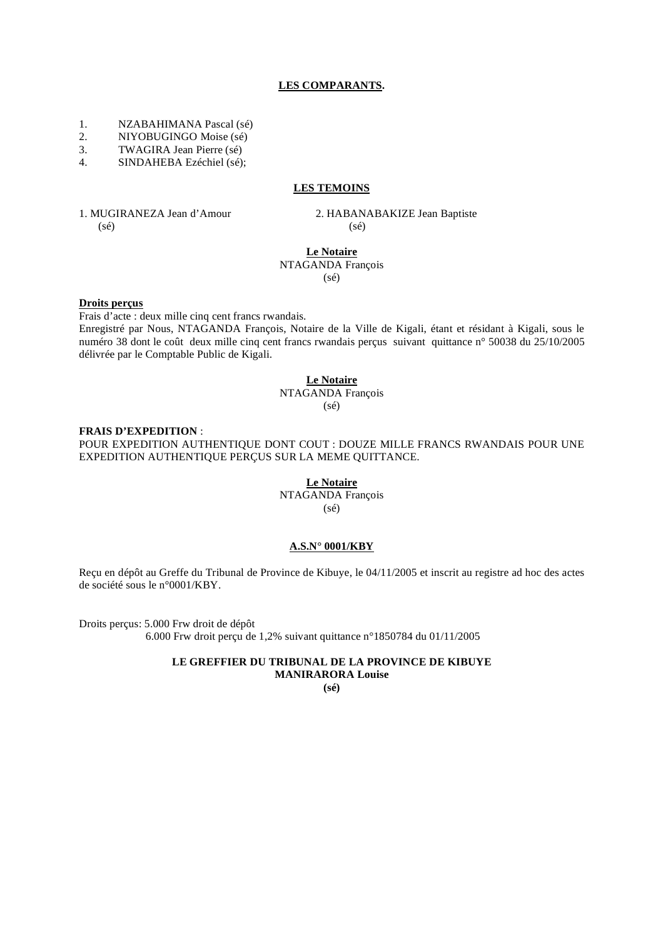#### **LES COMPARANTS.**

- 1. NZABAHIMANA Pascal (sé)
- 2. NIYOBUGINGO Moise (sé)<br>
TWAGIRA Jean Pierre (sé)
- 3. TWAGIRA Jean Pierre (sé)
- 4. SINDAHEBA Ezéchiel (sé);

## **LES TEMOINS**

1. MUGIRANEZA Jean d'Amour 2. HABANABAKIZE Jean Baptiste  $(s\acute{e})$  (sé)

#### **Le Notaire** NTAGANDA François

(sé)

#### **Droits perçus**

Frais d'acte : deux mille cinq cent francs rwandais.

Enregistré par Nous, NTAGANDA François, Notaire de la Ville de Kigali, étant et résidant à Kigali, sous le numéro 38 dont le coût deux mille cinq cent francs rwandais perçus suivant quittance n° 50038 du 25/10/2005 délivrée par le Comptable Public de Kigali.

# **Le Notaire** NTAGANDA François

(sé)

#### **FRAIS D'EXPEDITION** :

POUR EXPEDITION AUTHENTIQUE DONT COUT : DOUZE MILLE FRANCS RWANDAIS POUR UNE EXPEDITION AUTHENTIQUE PERÇUS SUR LA MEME QUITTANCE.

> **Le Notaire** NTAGANDA François (sé)

#### **A.S.N° 0001/KBY**

Reçu en dépôt au Greffe du Tribunal de Province de Kibuye, le 04/11/2005 et inscrit au registre ad hoc des actes de société sous le n°0001/KBY.

Droits perçus: 5.000 Frw droit de dépôt 6.000 Frw droit perçu de 1,2% suivant quittance n°1850784 du 01/11/2005

#### **LE GREFFIER DU TRIBUNAL DE LA PROVINCE DE KIBUYE MANIRARORA Louise**

**(sé)**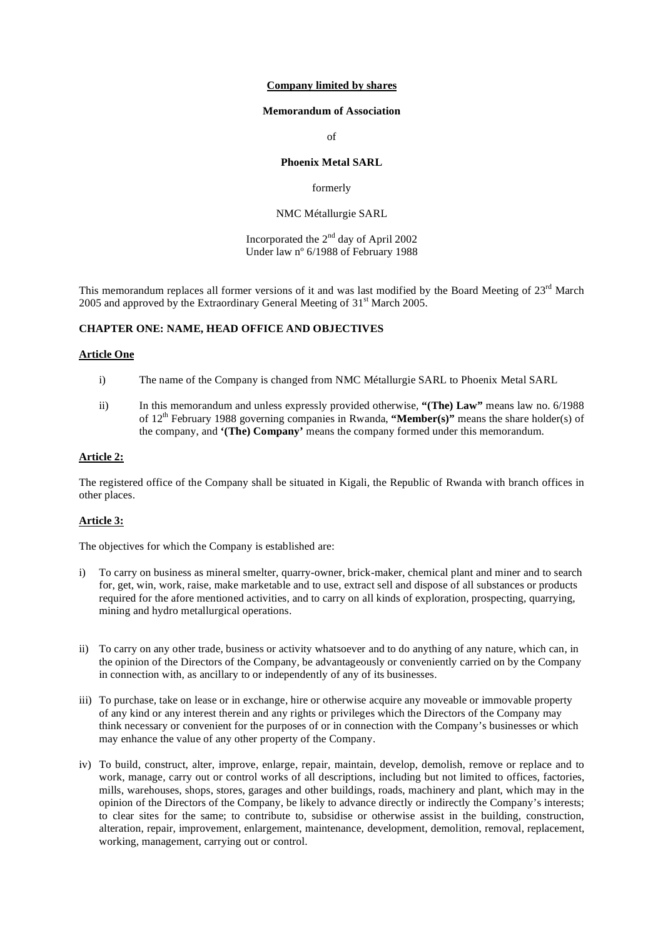#### **Company limited by shares**

#### **Memorandum of Association**

of

#### **Phoenix Metal SARL**

#### formerly

#### NMC Métallurgie SARL

Incorporated the  $2<sup>nd</sup>$  day of April 2002 Under law nº 6/1988 of February 1988

This memorandum replaces all former versions of it and was last modified by the Board Meeting of 23<sup>rd</sup> March 2005 and approved by the Extraordinary General Meeting of 31<sup>st</sup> March 2005.

# **CHAPTER ONE: NAME, HEAD OFFICE AND OBJECTIVES**

#### **Article One**

- i) The name of the Company is changed from NMC Métallurgie SARL to Phoenix Metal SARL
- ii) In this memorandum and unless expressly provided otherwise, **"(The) Law"** means law no. 6/1988 of 12th February 1988 governing companies in Rwanda, **"Member(s)"** means the share holder(s) of the company, and **'(The) Company'** means the company formed under this memorandum.

# **Article 2:**

The registered office of the Company shall be situated in Kigali, the Republic of Rwanda with branch offices in other places.

## **Article 3:**

The objectives for which the Company is established are:

- i) To carry on business as mineral smelter, quarry-owner, brick-maker, chemical plant and miner and to search for, get, win, work, raise, make marketable and to use, extract sell and dispose of all substances or products required for the afore mentioned activities, and to carry on all kinds of exploration, prospecting, quarrying, mining and hydro metallurgical operations.
- ii) To carry on any other trade, business or activity whatsoever and to do anything of any nature, which can, in the opinion of the Directors of the Company, be advantageously or conveniently carried on by the Company in connection with, as ancillary to or independently of any of its businesses.
- iii) To purchase, take on lease or in exchange, hire or otherwise acquire any moveable or immovable property of any kind or any interest therein and any rights or privileges which the Directors of the Company may think necessary or convenient for the purposes of or in connection with the Company's businesses or which may enhance the value of any other property of the Company.
- iv) To build, construct, alter, improve, enlarge, repair, maintain, develop, demolish, remove or replace and to work, manage, carry out or control works of all descriptions, including but not limited to offices, factories, mills, warehouses, shops, stores, garages and other buildings, roads, machinery and plant, which may in the opinion of the Directors of the Company, be likely to advance directly or indirectly the Company's interests; to clear sites for the same; to contribute to, subsidise or otherwise assist in the building, construction, alteration, repair, improvement, enlargement, maintenance, development, demolition, removal, replacement, working, management, carrying out or control.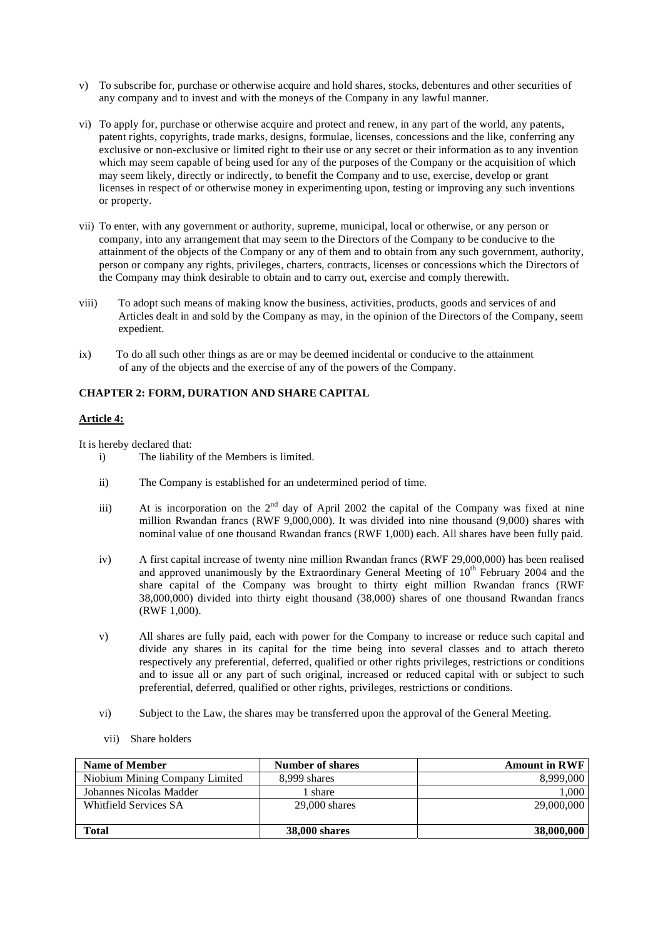- v) To subscribe for, purchase or otherwise acquire and hold shares, stocks, debentures and other securities of any company and to invest and with the moneys of the Company in any lawful manner.
- vi) To apply for, purchase or otherwise acquire and protect and renew, in any part of the world, any patents, patent rights, copyrights, trade marks, designs, formulae, licenses, concessions and the like, conferring any exclusive or non-exclusive or limited right to their use or any secret or their information as to any invention which may seem capable of being used for any of the purposes of the Company or the acquisition of which may seem likely, directly or indirectly, to benefit the Company and to use, exercise, develop or grant licenses in respect of or otherwise money in experimenting upon, testing or improving any such inventions or property.
- vii) To enter, with any government or authority, supreme, municipal, local or otherwise, or any person or company, into any arrangement that may seem to the Directors of the Company to be conducive to the attainment of the objects of the Company or any of them and to obtain from any such government, authority, person or company any rights, privileges, charters, contracts, licenses or concessions which the Directors of the Company may think desirable to obtain and to carry out, exercise and comply therewith.
- viii) To adopt such means of making know the business, activities, products, goods and services of and Articles dealt in and sold by the Company as may, in the opinion of the Directors of the Company, seem expedient.
- ix) To do all such other things as are or may be deemed incidental or conducive to the attainment of any of the objects and the exercise of any of the powers of the Company.

# **CHAPTER 2: FORM, DURATION AND SHARE CAPITAL**

## **Article 4:**

It is hereby declared that:

- i) The liability of the Members is limited.
- ii) The Company is established for an undetermined period of time.
- iii) At is incorporation on the  $2<sup>nd</sup>$  day of April 2002 the capital of the Company was fixed at nine million Rwandan francs (RWF 9,000,000). It was divided into nine thousand (9,000) shares with nominal value of one thousand Rwandan francs (RWF 1,000) each. All shares have been fully paid.
- iv) A first capital increase of twenty nine million Rwandan francs (RWF 29,000,000) has been realised and approved unanimously by the Extraordinary General Meeting of  $10<sup>th</sup>$  February 2004 and the share capital of the Company was brought to thirty eight million Rwandan francs (RWF 38,000,000) divided into thirty eight thousand (38,000) shares of one thousand Rwandan francs (RWF 1,000).
- v) All shares are fully paid, each with power for the Company to increase or reduce such capital and divide any shares in its capital for the time being into several classes and to attach thereto respectively any preferential, deferred, qualified or other rights privileges, restrictions or conditions and to issue all or any part of such original, increased or reduced capital with or subject to such preferential, deferred, qualified or other rights, privileges, restrictions or conditions.
- vi) Subject to the Law, the shares may be transferred upon the approval of the General Meeting.
- vii) Share holders

| <b>Name of Member</b>          | <b>Number of shares</b> | <b>Amount in RWF</b> |
|--------------------------------|-------------------------|----------------------|
| Niobium Mining Company Limited | 8.999 shares            | 8,999,000            |
| Johannes Nicolas Madder        | l share                 | 1.000                |
| Whitfield Services SA          | $29,000$ shares         | 29,000,000           |
|                                |                         |                      |
| Total                          | <b>38,000 shares</b>    | 38,000,000           |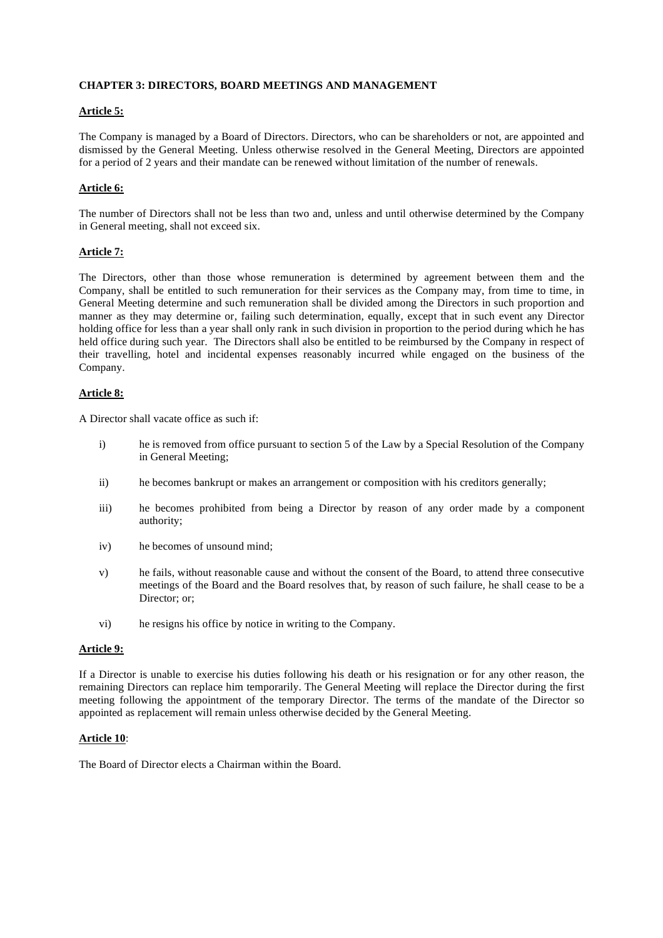#### **CHAPTER 3: DIRECTORS, BOARD MEETINGS AND MANAGEMENT**

## **Article 5:**

The Company is managed by a Board of Directors. Directors, who can be shareholders or not, are appointed and dismissed by the General Meeting. Unless otherwise resolved in the General Meeting, Directors are appointed for a period of 2 years and their mandate can be renewed without limitation of the number of renewals.

# **Article 6:**

The number of Directors shall not be less than two and, unless and until otherwise determined by the Company in General meeting, shall not exceed six.

## **Article 7:**

The Directors, other than those whose remuneration is determined by agreement between them and the Company, shall be entitled to such remuneration for their services as the Company may, from time to time, in General Meeting determine and such remuneration shall be divided among the Directors in such proportion and manner as they may determine or, failing such determination, equally, except that in such event any Director holding office for less than a year shall only rank in such division in proportion to the period during which he has held office during such year. The Directors shall also be entitled to be reimbursed by the Company in respect of their travelling, hotel and incidental expenses reasonably incurred while engaged on the business of the Company.

## **Article 8:**

A Director shall vacate office as such if:

- i) he is removed from office pursuant to section 5 of the Law by a Special Resolution of the Company in General Meeting;
- ii) he becomes bankrupt or makes an arrangement or composition with his creditors generally;
- iii) he becomes prohibited from being a Director by reason of any order made by a component authority;
- iv) he becomes of unsound mind;
- v) he fails, without reasonable cause and without the consent of the Board, to attend three consecutive meetings of the Board and the Board resolves that, by reason of such failure, he shall cease to be a Director: or:
- vi) he resigns his office by notice in writing to the Company.

## **Article 9:**

If a Director is unable to exercise his duties following his death or his resignation or for any other reason, the remaining Directors can replace him temporarily. The General Meeting will replace the Director during the first meeting following the appointment of the temporary Director. The terms of the mandate of the Director so appointed as replacement will remain unless otherwise decided by the General Meeting.

## **Article 10**:

The Board of Director elects a Chairman within the Board.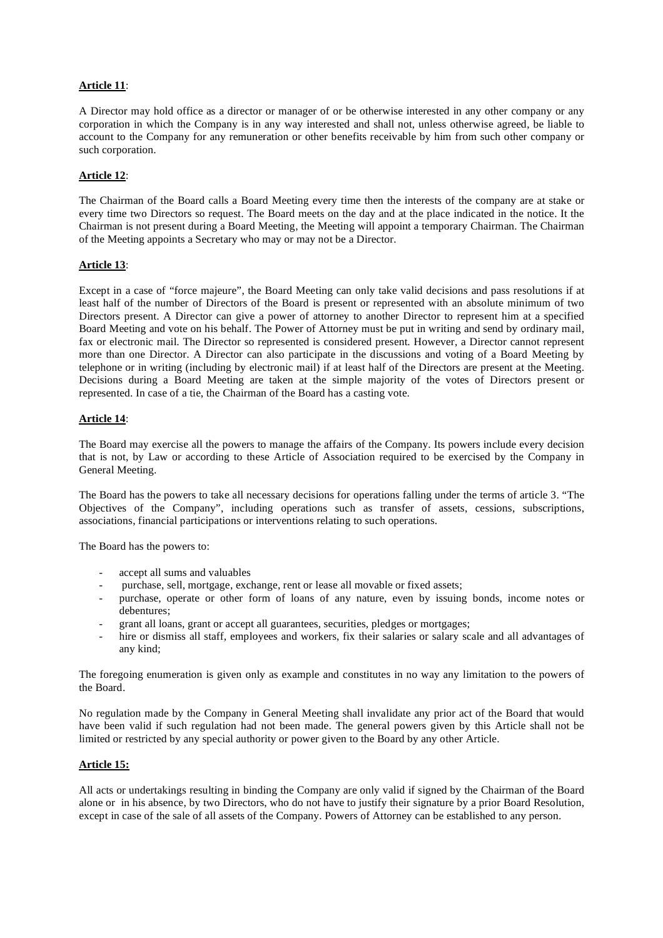## **Article 11**:

A Director may hold office as a director or manager of or be otherwise interested in any other company or any corporation in which the Company is in any way interested and shall not, unless otherwise agreed, be liable to account to the Company for any remuneration or other benefits receivable by him from such other company or such corporation.

## **Article 12**:

The Chairman of the Board calls a Board Meeting every time then the interests of the company are at stake or every time two Directors so request. The Board meets on the day and at the place indicated in the notice. It the Chairman is not present during a Board Meeting, the Meeting will appoint a temporary Chairman. The Chairman of the Meeting appoints a Secretary who may or may not be a Director.

## **Article 13**:

Except in a case of "force majeure", the Board Meeting can only take valid decisions and pass resolutions if at least half of the number of Directors of the Board is present or represented with an absolute minimum of two Directors present. A Director can give a power of attorney to another Director to represent him at a specified Board Meeting and vote on his behalf. The Power of Attorney must be put in writing and send by ordinary mail, fax or electronic mail. The Director so represented is considered present. However, a Director cannot represent more than one Director. A Director can also participate in the discussions and voting of a Board Meeting by telephone or in writing (including by electronic mail) if at least half of the Directors are present at the Meeting. Decisions during a Board Meeting are taken at the simple majority of the votes of Directors present or represented. In case of a tie, the Chairman of the Board has a casting vote.

## **Article 14**:

The Board may exercise all the powers to manage the affairs of the Company. Its powers include every decision that is not, by Law or according to these Article of Association required to be exercised by the Company in General Meeting.

The Board has the powers to take all necessary decisions for operations falling under the terms of article 3. "The Objectives of the Company", including operations such as transfer of assets, cessions, subscriptions, associations, financial participations or interventions relating to such operations.

The Board has the powers to:

- accept all sums and valuables
- purchase, sell, mortgage, exchange, rent or lease all movable or fixed assets;
- purchase, operate or other form of loans of any nature, even by issuing bonds, income notes or debentures;
- grant all loans, grant or accept all guarantees, securities, pledges or mortgages;
- hire or dismiss all staff, employees and workers, fix their salaries or salary scale and all advantages of any kind;

The foregoing enumeration is given only as example and constitutes in no way any limitation to the powers of the Board.

No regulation made by the Company in General Meeting shall invalidate any prior act of the Board that would have been valid if such regulation had not been made. The general powers given by this Article shall not be limited or restricted by any special authority or power given to the Board by any other Article.

## **Article 15:**

All acts or undertakings resulting in binding the Company are only valid if signed by the Chairman of the Board alone or in his absence, by two Directors, who do not have to justify their signature by a prior Board Resolution, except in case of the sale of all assets of the Company. Powers of Attorney can be established to any person.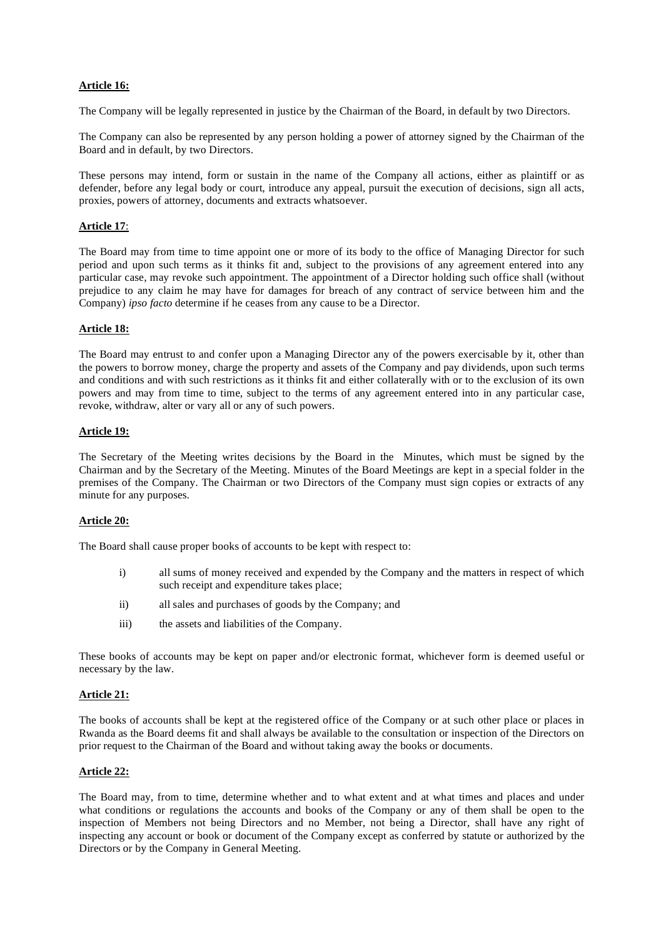## **Article 16:**

The Company will be legally represented in justice by the Chairman of the Board, in default by two Directors.

The Company can also be represented by any person holding a power of attorney signed by the Chairman of the Board and in default, by two Directors.

These persons may intend, form or sustain in the name of the Company all actions, either as plaintiff or as defender, before any legal body or court, introduce any appeal, pursuit the execution of decisions, sign all acts, proxies, powers of attorney, documents and extracts whatsoever.

## **Article 17**:

The Board may from time to time appoint one or more of its body to the office of Managing Director for such period and upon such terms as it thinks fit and, subject to the provisions of any agreement entered into any particular case, may revoke such appointment. The appointment of a Director holding such office shall (without prejudice to any claim he may have for damages for breach of any contract of service between him and the Company) *ipso facto* determine if he ceases from any cause to be a Director.

#### **Article 18:**

The Board may entrust to and confer upon a Managing Director any of the powers exercisable by it, other than the powers to borrow money, charge the property and assets of the Company and pay dividends, upon such terms and conditions and with such restrictions as it thinks fit and either collaterally with or to the exclusion of its own powers and may from time to time, subject to the terms of any agreement entered into in any particular case, revoke, withdraw, alter or vary all or any of such powers.

#### **Article 19:**

The Secretary of the Meeting writes decisions by the Board in the Minutes, which must be signed by the Chairman and by the Secretary of the Meeting. Minutes of the Board Meetings are kept in a special folder in the premises of the Company. The Chairman or two Directors of the Company must sign copies or extracts of any minute for any purposes.

## **Article 20:**

The Board shall cause proper books of accounts to be kept with respect to:

- i) all sums of money received and expended by the Company and the matters in respect of which such receipt and expenditure takes place;
- ii) all sales and purchases of goods by the Company; and
- iii) the assets and liabilities of the Company.

These books of accounts may be kept on paper and/or electronic format, whichever form is deemed useful or necessary by the law.

## **Article 21:**

The books of accounts shall be kept at the registered office of the Company or at such other place or places in Rwanda as the Board deems fit and shall always be available to the consultation or inspection of the Directors on prior request to the Chairman of the Board and without taking away the books or documents.

## **Article 22:**

The Board may, from to time, determine whether and to what extent and at what times and places and under what conditions or regulations the accounts and books of the Company or any of them shall be open to the inspection of Members not being Directors and no Member, not being a Director, shall have any right of inspecting any account or book or document of the Company except as conferred by statute or authorized by the Directors or by the Company in General Meeting.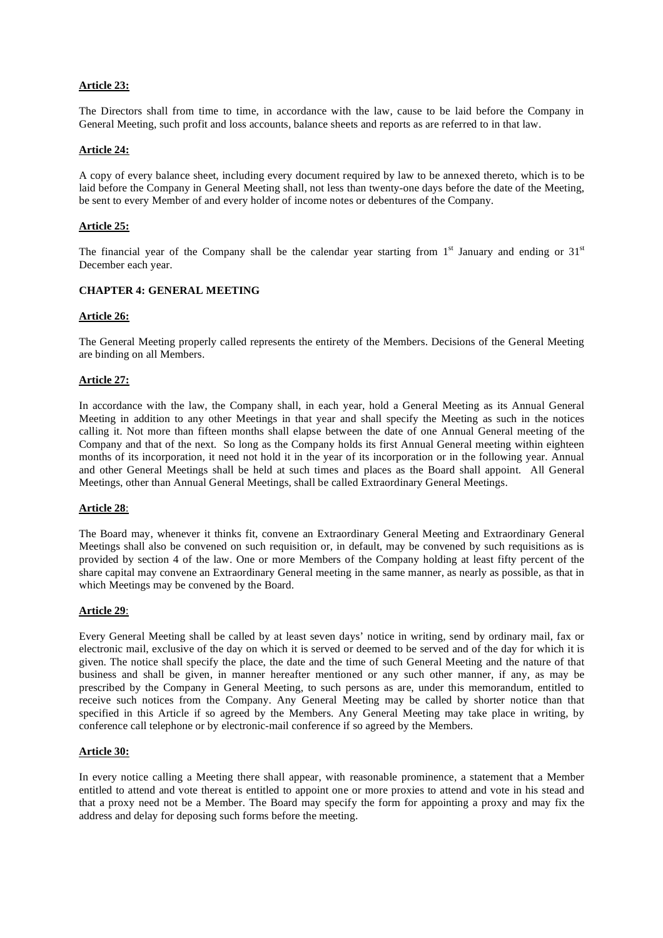# **Article 23:**

The Directors shall from time to time, in accordance with the law, cause to be laid before the Company in General Meeting, such profit and loss accounts, balance sheets and reports as are referred to in that law.

## **Article 24:**

A copy of every balance sheet, including every document required by law to be annexed thereto, which is to be laid before the Company in General Meeting shall, not less than twenty-one days before the date of the Meeting, be sent to every Member of and every holder of income notes or debentures of the Company.

# **Article 25:**

The financial year of the Company shall be the calendar year starting from  $1<sup>st</sup>$  January and ending or  $31<sup>st</sup>$ December each year.

#### **CHAPTER 4: GENERAL MEETING**

#### **Article 26:**

The General Meeting properly called represents the entirety of the Members. Decisions of the General Meeting are binding on all Members.

#### **Article 27:**

In accordance with the law, the Company shall, in each year, hold a General Meeting as its Annual General Meeting in addition to any other Meetings in that year and shall specify the Meeting as such in the notices calling it. Not more than fifteen months shall elapse between the date of one Annual General meeting of the Company and that of the next. So long as the Company holds its first Annual General meeting within eighteen months of its incorporation, it need not hold it in the year of its incorporation or in the following year. Annual and other General Meetings shall be held at such times and places as the Board shall appoint. All General Meetings, other than Annual General Meetings, shall be called Extraordinary General Meetings.

#### **Article 28**:

The Board may, whenever it thinks fit, convene an Extraordinary General Meeting and Extraordinary General Meetings shall also be convened on such requisition or, in default, may be convened by such requisitions as is provided by section 4 of the law. One or more Members of the Company holding at least fifty percent of the share capital may convene an Extraordinary General meeting in the same manner, as nearly as possible, as that in which Meetings may be convened by the Board.

#### **Article 29**:

Every General Meeting shall be called by at least seven days' notice in writing, send by ordinary mail, fax or electronic mail, exclusive of the day on which it is served or deemed to be served and of the day for which it is given. The notice shall specify the place, the date and the time of such General Meeting and the nature of that business and shall be given, in manner hereafter mentioned or any such other manner, if any, as may be prescribed by the Company in General Meeting, to such persons as are, under this memorandum, entitled to receive such notices from the Company. Any General Meeting may be called by shorter notice than that specified in this Article if so agreed by the Members. Any General Meeting may take place in writing, by conference call telephone or by electronic-mail conference if so agreed by the Members.

#### **Article 30:**

In every notice calling a Meeting there shall appear, with reasonable prominence, a statement that a Member entitled to attend and vote thereat is entitled to appoint one or more proxies to attend and vote in his stead and that a proxy need not be a Member. The Board may specify the form for appointing a proxy and may fix the address and delay for deposing such forms before the meeting.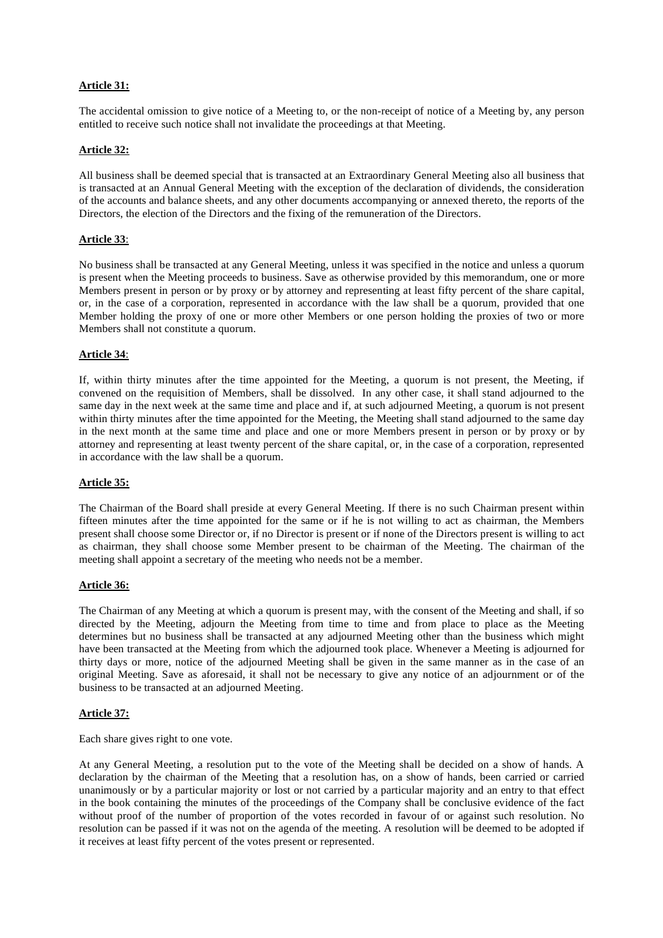# **Article 31:**

The accidental omission to give notice of a Meeting to, or the non-receipt of notice of a Meeting by, any person entitled to receive such notice shall not invalidate the proceedings at that Meeting.

#### **Article 32:**

All business shall be deemed special that is transacted at an Extraordinary General Meeting also all business that is transacted at an Annual General Meeting with the exception of the declaration of dividends, the consideration of the accounts and balance sheets, and any other documents accompanying or annexed thereto, the reports of the Directors, the election of the Directors and the fixing of the remuneration of the Directors.

#### **Article 33**:

No business shall be transacted at any General Meeting, unless it was specified in the notice and unless a quorum is present when the Meeting proceeds to business. Save as otherwise provided by this memorandum, one or more Members present in person or by proxy or by attorney and representing at least fifty percent of the share capital, or, in the case of a corporation, represented in accordance with the law shall be a quorum, provided that one Member holding the proxy of one or more other Members or one person holding the proxies of two or more Members shall not constitute a quorum.

#### **Article 34**:

If, within thirty minutes after the time appointed for the Meeting, a quorum is not present, the Meeting, if convened on the requisition of Members, shall be dissolved. In any other case, it shall stand adjourned to the same day in the next week at the same time and place and if, at such adjourned Meeting, a quorum is not present within thirty minutes after the time appointed for the Meeting, the Meeting shall stand adjourned to the same day in the next month at the same time and place and one or more Members present in person or by proxy or by attorney and representing at least twenty percent of the share capital, or, in the case of a corporation, represented in accordance with the law shall be a quorum.

#### **Article 35:**

The Chairman of the Board shall preside at every General Meeting. If there is no such Chairman present within fifteen minutes after the time appointed for the same or if he is not willing to act as chairman, the Members present shall choose some Director or, if no Director is present or if none of the Directors present is willing to act as chairman, they shall choose some Member present to be chairman of the Meeting. The chairman of the meeting shall appoint a secretary of the meeting who needs not be a member.

#### **Article 36:**

The Chairman of any Meeting at which a quorum is present may, with the consent of the Meeting and shall, if so directed by the Meeting, adjourn the Meeting from time to time and from place to place as the Meeting determines but no business shall be transacted at any adjourned Meeting other than the business which might have been transacted at the Meeting from which the adjourned took place. Whenever a Meeting is adjourned for thirty days or more, notice of the adjourned Meeting shall be given in the same manner as in the case of an original Meeting. Save as aforesaid, it shall not be necessary to give any notice of an adjournment or of the business to be transacted at an adjourned Meeting.

## **Article 37:**

Each share gives right to one vote.

At any General Meeting, a resolution put to the vote of the Meeting shall be decided on a show of hands. A declaration by the chairman of the Meeting that a resolution has, on a show of hands, been carried or carried unanimously or by a particular majority or lost or not carried by a particular majority and an entry to that effect in the book containing the minutes of the proceedings of the Company shall be conclusive evidence of the fact without proof of the number of proportion of the votes recorded in favour of or against such resolution. No resolution can be passed if it was not on the agenda of the meeting. A resolution will be deemed to be adopted if it receives at least fifty percent of the votes present or represented.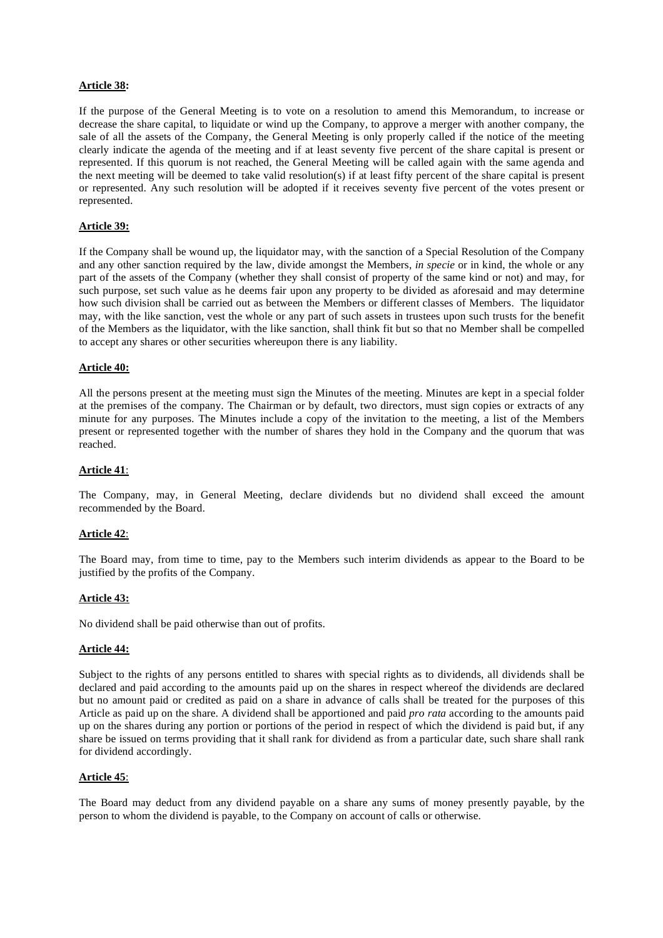#### **Article 38:**

If the purpose of the General Meeting is to vote on a resolution to amend this Memorandum, to increase or decrease the share capital, to liquidate or wind up the Company, to approve a merger with another company, the sale of all the assets of the Company, the General Meeting is only properly called if the notice of the meeting clearly indicate the agenda of the meeting and if at least seventy five percent of the share capital is present or represented. If this quorum is not reached, the General Meeting will be called again with the same agenda and the next meeting will be deemed to take valid resolution(s) if at least fifty percent of the share capital is present or represented. Any such resolution will be adopted if it receives seventy five percent of the votes present or represented.

#### **Article 39:**

If the Company shall be wound up, the liquidator may, with the sanction of a Special Resolution of the Company and any other sanction required by the law, divide amongst the Members, *in specie* or in kind, the whole or any part of the assets of the Company (whether they shall consist of property of the same kind or not) and may, for such purpose, set such value as he deems fair upon any property to be divided as aforesaid and may determine how such division shall be carried out as between the Members or different classes of Members. The liquidator may, with the like sanction, vest the whole or any part of such assets in trustees upon such trusts for the benefit of the Members as the liquidator, with the like sanction, shall think fit but so that no Member shall be compelled to accept any shares or other securities whereupon there is any liability.

#### **Article 40:**

All the persons present at the meeting must sign the Minutes of the meeting. Minutes are kept in a special folder at the premises of the company. The Chairman or by default, two directors, must sign copies or extracts of any minute for any purposes. The Minutes include a copy of the invitation to the meeting, a list of the Members present or represented together with the number of shares they hold in the Company and the quorum that was reached.

## **Article 41**:

The Company, may, in General Meeting, declare dividends but no dividend shall exceed the amount recommended by the Board.

#### **Article 42**:

The Board may, from time to time, pay to the Members such interim dividends as appear to the Board to be justified by the profits of the Company.

#### **Article 43:**

No dividend shall be paid otherwise than out of profits.

#### **Article 44:**

Subject to the rights of any persons entitled to shares with special rights as to dividends, all dividends shall be declared and paid according to the amounts paid up on the shares in respect whereof the dividends are declared but no amount paid or credited as paid on a share in advance of calls shall be treated for the purposes of this Article as paid up on the share. A dividend shall be apportioned and paid *pro rata* according to the amounts paid up on the shares during any portion or portions of the period in respect of which the dividend is paid but, if any share be issued on terms providing that it shall rank for dividend as from a particular date, such share shall rank for dividend accordingly.

#### **Article 45**:

The Board may deduct from any dividend payable on a share any sums of money presently payable, by the person to whom the dividend is payable, to the Company on account of calls or otherwise.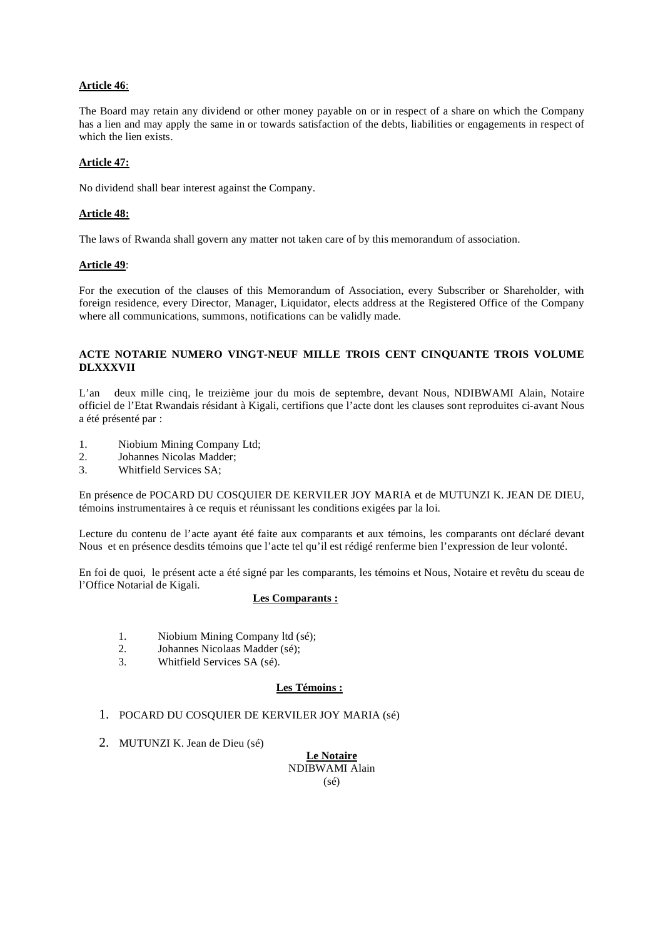# **Article 46**:

The Board may retain any dividend or other money payable on or in respect of a share on which the Company has a lien and may apply the same in or towards satisfaction of the debts, liabilities or engagements in respect of which the lien exists.

## **Article 47:**

No dividend shall bear interest against the Company.

# **Article 48:**

The laws of Rwanda shall govern any matter not taken care of by this memorandum of association.

## **Article 49**:

For the execution of the clauses of this Memorandum of Association, every Subscriber or Shareholder, with foreign residence, every Director, Manager, Liquidator, elects address at the Registered Office of the Company where all communications, summons, notifications can be validly made.

## **ACTE NOTARIE NUMERO VINGT-NEUF MILLE TROIS CENT CINQUANTE TROIS VOLUME DLXXXVII**

L'an deux mille cinq, le treizième jour du mois de septembre, devant Nous, NDIBWAMI Alain, Notaire officiel de l'Etat Rwandais résidant à Kigali, certifions que l'acte dont les clauses sont reproduites ci-avant Nous a été présenté par :

- 1. Niobium Mining Company Ltd;
- 2. Johannes Nicolas Madder;
- 3. Whitfield Services SA;

En présence de POCARD DU COSQUIER DE KERVILER JOY MARIA et de MUTUNZI K. JEAN DE DIEU, témoins instrumentaires à ce requis et réunissant les conditions exigées par la loi.

Lecture du contenu de l'acte ayant été faite aux comparants et aux témoins, les comparants ont déclaré devant Nous et en présence desdits témoins que l'acte tel qu'il est rédigé renferme bien l'expression de leur volonté.

En foi de quoi, le présent acte a été signé par les comparants, les témoins et Nous, Notaire et revêtu du sceau de l'Office Notarial de Kigali.

## **Les Comparants :**

- 1. Niobium Mining Company ltd (sé);
- 2. Johannes Nicolaas Madder (sé);
- 3. Whitfield Services SA (sé).

## **Les Témoins :**

- 1. POCARD DU COSQUIER DE KERVILER JOY MARIA (sé)
- 2. MUTUNZI K. Jean de Dieu (sé)

**Le Notaire** NDIBWAMI Alain (sé)